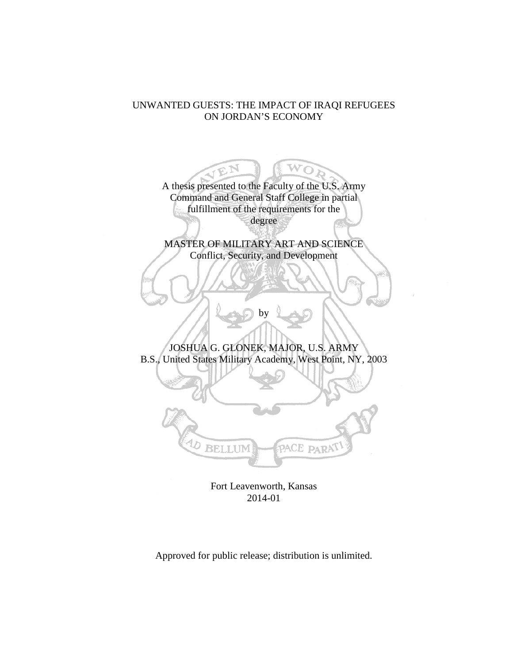## UNWANTED GUESTS: THE IMPACT OF IRAQI REFUGEES ON JORDAN'S ECONOMY

A thesis presented to the Faculty of the U.S. Army Command and General Staff College in partial fulfillment of the requirements for the degree MASTER OF MILITARY ART AND SCIENCE Conflict, Security, and Development by JOSHUA G. GLONEK, MAJOR, U.S. ARMY B.S., United States Military Academy, West Point, NY, 2003 **BELLUN** PACE PARA<sup>T</sup>

Fort Leavenworth, Kansas 2014-01

Approved for public release; distribution is unlimited.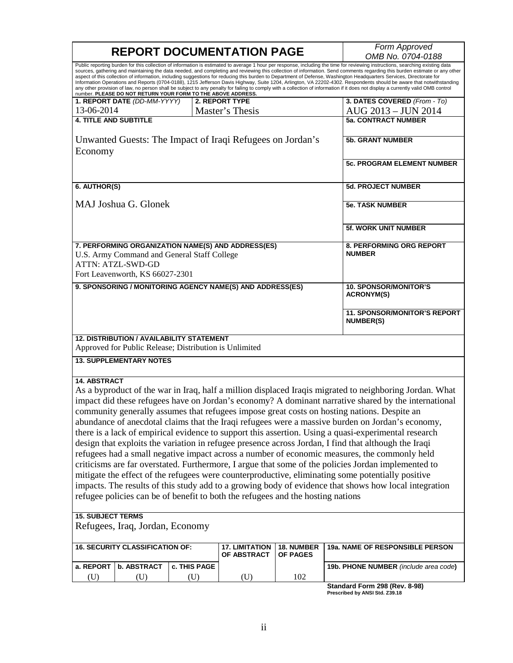| <b>REPORT DOCUMENTATION PAGE</b>                                                                                                                                                                                                                                                                                                                                                                                                                                                                                                                                                                                                                                                                                                                                                                                                                                                                                                                                                                                                                                                                                                                                  |                   |                                      | Form Approved                             |                                                                                                                                                                                                                                                                                                                                                                                                                                                                                                                                                                                                                                                                                                                                                                                                                                                                                                   |  |
|-------------------------------------------------------------------------------------------------------------------------------------------------------------------------------------------------------------------------------------------------------------------------------------------------------------------------------------------------------------------------------------------------------------------------------------------------------------------------------------------------------------------------------------------------------------------------------------------------------------------------------------------------------------------------------------------------------------------------------------------------------------------------------------------------------------------------------------------------------------------------------------------------------------------------------------------------------------------------------------------------------------------------------------------------------------------------------------------------------------------------------------------------------------------|-------------------|--------------------------------------|-------------------------------------------|---------------------------------------------------------------------------------------------------------------------------------------------------------------------------------------------------------------------------------------------------------------------------------------------------------------------------------------------------------------------------------------------------------------------------------------------------------------------------------------------------------------------------------------------------------------------------------------------------------------------------------------------------------------------------------------------------------------------------------------------------------------------------------------------------------------------------------------------------------------------------------------------------|--|
|                                                                                                                                                                                                                                                                                                                                                                                                                                                                                                                                                                                                                                                                                                                                                                                                                                                                                                                                                                                                                                                                                                                                                                   | OMB No. 0704-0188 |                                      |                                           |                                                                                                                                                                                                                                                                                                                                                                                                                                                                                                                                                                                                                                                                                                                                                                                                                                                                                                   |  |
| number. PLEASE DO NOT RETURN YOUR FORM TO THE ABOVE ADDRESS.                                                                                                                                                                                                                                                                                                                                                                                                                                                                                                                                                                                                                                                                                                                                                                                                                                                                                                                                                                                                                                                                                                      |                   |                                      |                                           | Public reporting burden for this collection of information is estimated to average 1 hour per response, including the time for reviewing instructions, searching existing data<br>sources, gathering and maintaining the data needed, and completing and reviewing this collection of information. Send comments regarding this burden estimate or any other<br>aspect of this collection of information, including suggestions for reducing this burden to Department of Defense, Washington Headquarters Services, Directorate for<br>Information Operations and Reports (0704-0188), 1215 Jefferson Davis Highway, Suite 1204, Arlington, VA 22202-4302. Respondents should be aware that notwithstanding<br>any other provision of law, no person shall be subject to any penalty for failing to comply with a collection of information if it does not display a currently valid OMB control |  |
| 1. REPORT DATE (DD-MM-YYYY)                                                                                                                                                                                                                                                                                                                                                                                                                                                                                                                                                                                                                                                                                                                                                                                                                                                                                                                                                                                                                                                                                                                                       |                   | 2. REPORT TYPE                       |                                           | 3. DATES COVERED (From - To)                                                                                                                                                                                                                                                                                                                                                                                                                                                                                                                                                                                                                                                                                                                                                                                                                                                                      |  |
| 13-06-2014                                                                                                                                                                                                                                                                                                                                                                                                                                                                                                                                                                                                                                                                                                                                                                                                                                                                                                                                                                                                                                                                                                                                                        |                   | Master's Thesis                      |                                           | AUG 2013 - JUN 2014                                                                                                                                                                                                                                                                                                                                                                                                                                                                                                                                                                                                                                                                                                                                                                                                                                                                               |  |
| <b>4. TITLE AND SUBTITLE</b>                                                                                                                                                                                                                                                                                                                                                                                                                                                                                                                                                                                                                                                                                                                                                                                                                                                                                                                                                                                                                                                                                                                                      |                   |                                      |                                           | <b>5a. CONTRACT NUMBER</b>                                                                                                                                                                                                                                                                                                                                                                                                                                                                                                                                                                                                                                                                                                                                                                                                                                                                        |  |
| Unwanted Guests: The Impact of Iraqi Refugees on Jordan's<br>Economy                                                                                                                                                                                                                                                                                                                                                                                                                                                                                                                                                                                                                                                                                                                                                                                                                                                                                                                                                                                                                                                                                              |                   |                                      | <b>5b. GRANT NUMBER</b>                   |                                                                                                                                                                                                                                                                                                                                                                                                                                                                                                                                                                                                                                                                                                                                                                                                                                                                                                   |  |
|                                                                                                                                                                                                                                                                                                                                                                                                                                                                                                                                                                                                                                                                                                                                                                                                                                                                                                                                                                                                                                                                                                                                                                   |                   |                                      |                                           | <b>5c. PROGRAM ELEMENT NUMBER</b>                                                                                                                                                                                                                                                                                                                                                                                                                                                                                                                                                                                                                                                                                                                                                                                                                                                                 |  |
| 6. AUTHOR(S)                                                                                                                                                                                                                                                                                                                                                                                                                                                                                                                                                                                                                                                                                                                                                                                                                                                                                                                                                                                                                                                                                                                                                      |                   |                                      |                                           | <b>5d. PROJECT NUMBER</b>                                                                                                                                                                                                                                                                                                                                                                                                                                                                                                                                                                                                                                                                                                                                                                                                                                                                         |  |
| MAJ Joshua G. Glonek                                                                                                                                                                                                                                                                                                                                                                                                                                                                                                                                                                                                                                                                                                                                                                                                                                                                                                                                                                                                                                                                                                                                              |                   |                                      | <b>5e. TASK NUMBER</b>                    |                                                                                                                                                                                                                                                                                                                                                                                                                                                                                                                                                                                                                                                                                                                                                                                                                                                                                                   |  |
|                                                                                                                                                                                                                                                                                                                                                                                                                                                                                                                                                                                                                                                                                                                                                                                                                                                                                                                                                                                                                                                                                                                                                                   |                   |                                      |                                           | <b>5f. WORK UNIT NUMBER</b>                                                                                                                                                                                                                                                                                                                                                                                                                                                                                                                                                                                                                                                                                                                                                                                                                                                                       |  |
| 7. PERFORMING ORGANIZATION NAME(S) AND ADDRESS(ES)<br>U.S. Army Command and General Staff College<br><b>ATTN: ATZL-SWD-GD</b><br>Fort Leavenworth, KS 66027-2301                                                                                                                                                                                                                                                                                                                                                                                                                                                                                                                                                                                                                                                                                                                                                                                                                                                                                                                                                                                                  |                   |                                      | 8. PERFORMING ORG REPORT<br><b>NUMBER</b> |                                                                                                                                                                                                                                                                                                                                                                                                                                                                                                                                                                                                                                                                                                                                                                                                                                                                                                   |  |
|                                                                                                                                                                                                                                                                                                                                                                                                                                                                                                                                                                                                                                                                                                                                                                                                                                                                                                                                                                                                                                                                                                                                                                   |                   |                                      |                                           | <b>10. SPONSOR/MONITOR'S</b>                                                                                                                                                                                                                                                                                                                                                                                                                                                                                                                                                                                                                                                                                                                                                                                                                                                                      |  |
| 9. SPONSORING / MONITORING AGENCY NAME(S) AND ADDRESS(ES)                                                                                                                                                                                                                                                                                                                                                                                                                                                                                                                                                                                                                                                                                                                                                                                                                                                                                                                                                                                                                                                                                                         |                   |                                      |                                           | <b>ACRONYM(S)</b>                                                                                                                                                                                                                                                                                                                                                                                                                                                                                                                                                                                                                                                                                                                                                                                                                                                                                 |  |
|                                                                                                                                                                                                                                                                                                                                                                                                                                                                                                                                                                                                                                                                                                                                                                                                                                                                                                                                                                                                                                                                                                                                                                   |                   |                                      |                                           | <b>11. SPONSOR/MONITOR'S REPORT</b><br><b>NUMBER(S)</b>                                                                                                                                                                                                                                                                                                                                                                                                                                                                                                                                                                                                                                                                                                                                                                                                                                           |  |
| <b>12. DISTRIBUTION / AVAILABILITY STATEMENT</b><br>Approved for Public Release; Distribution is Unlimited                                                                                                                                                                                                                                                                                                                                                                                                                                                                                                                                                                                                                                                                                                                                                                                                                                                                                                                                                                                                                                                        |                   |                                      |                                           |                                                                                                                                                                                                                                                                                                                                                                                                                                                                                                                                                                                                                                                                                                                                                                                                                                                                                                   |  |
| <b>13. SUPPLEMENTARY NOTES</b>                                                                                                                                                                                                                                                                                                                                                                                                                                                                                                                                                                                                                                                                                                                                                                                                                                                                                                                                                                                                                                                                                                                                    |                   |                                      |                                           |                                                                                                                                                                                                                                                                                                                                                                                                                                                                                                                                                                                                                                                                                                                                                                                                                                                                                                   |  |
| <b>14. ABSTRACT</b><br>As a byproduct of the war in Iraq, half a million displaced Iraqis migrated to neighboring Jordan. What<br>impact did these refugees have on Jordan's economy? A dominant narrative shared by the international<br>community generally assumes that refugees impose great costs on hosting nations. Despite an<br>abundance of anecdotal claims that the Iraqi refugees were a massive burden on Jordan's economy,<br>there is a lack of empirical evidence to support this assertion. Using a quasi-experimental research<br>design that exploits the variation in refugee presence across Jordan, I find that although the Iraqi<br>refugees had a small negative impact across a number of economic measures, the commonly held<br>criticisms are far overstated. Furthermore, I argue that some of the policies Jordan implemented to<br>mitigate the effect of the refugees were counterproductive, eliminating some potentially positive<br>impacts. The results of this study add to a growing body of evidence that shows how local integration<br>refugee policies can be of benefit to both the refugees and the hosting nations |                   |                                      |                                           |                                                                                                                                                                                                                                                                                                                                                                                                                                                                                                                                                                                                                                                                                                                                                                                                                                                                                                   |  |
| <b>15. SUBJECT TERMS</b><br>Refugees, Iraq, Jordan, Economy                                                                                                                                                                                                                                                                                                                                                                                                                                                                                                                                                                                                                                                                                                                                                                                                                                                                                                                                                                                                                                                                                                       |                   |                                      |                                           |                                                                                                                                                                                                                                                                                                                                                                                                                                                                                                                                                                                                                                                                                                                                                                                                                                                                                                   |  |
| <b>16. SECURITY CLASSIFICATION OF:</b>                                                                                                                                                                                                                                                                                                                                                                                                                                                                                                                                                                                                                                                                                                                                                                                                                                                                                                                                                                                                                                                                                                                            |                   | <b>17. LIMITATION</b><br>OF ABSTRACT | 18. NUMBER<br>OF PAGES                    | 19a. NAME OF RESPONSIBLE PERSON                                                                                                                                                                                                                                                                                                                                                                                                                                                                                                                                                                                                                                                                                                                                                                                                                                                                   |  |
| a. REPORT<br>b. ABSTRACT                                                                                                                                                                                                                                                                                                                                                                                                                                                                                                                                                                                                                                                                                                                                                                                                                                                                                                                                                                                                                                                                                                                                          | c. THIS PAGE      |                                      |                                           | 19b. PHONE NUMBER (include area code)                                                                                                                                                                                                                                                                                                                                                                                                                                                                                                                                                                                                                                                                                                                                                                                                                                                             |  |
| (U)<br>(U)                                                                                                                                                                                                                                                                                                                                                                                                                                                                                                                                                                                                                                                                                                                                                                                                                                                                                                                                                                                                                                                                                                                                                        | (U)               | (U)                                  | 102                                       | Standard Form 208 (Pov. 8-08)                                                                                                                                                                                                                                                                                                                                                                                                                                                                                                                                                                                                                                                                                                                                                                                                                                                                     |  |

**Standard Form 298 (Rev. 8-98) Prescribed by ANSI Std. Z39.18**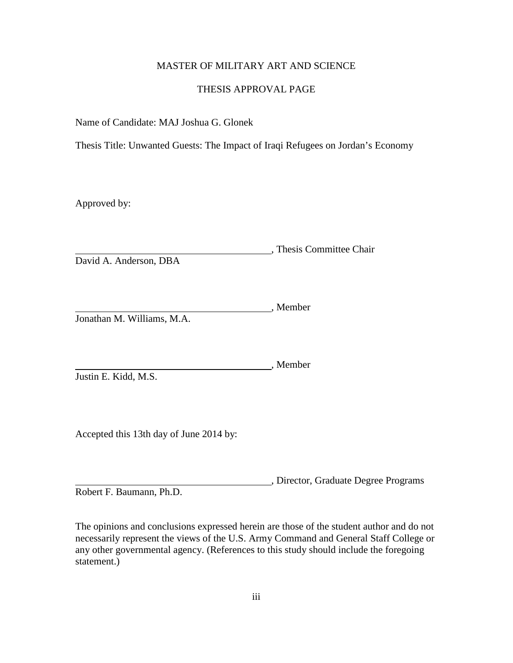## MASTER OF MILITARY ART AND SCIENCE

#### THESIS APPROVAL PAGE

Name of Candidate: MAJ Joshua G. Glonek

Thesis Title: Unwanted Guests: The Impact of Iraqi Refugees on Jordan's Economy

Approved by:

, Thesis Committee Chair David A. Anderson, DBA

Member Jonathan M. Williams, M.A.

, Member Justin E. Kidd, M.S.

Accepted this 13th day of June 2014 by:

, Director, Graduate Degree Programs Robert F. Baumann, Ph.D.

The opinions and conclusions expressed herein are those of the student author and do not necessarily represent the views of the U.S. Army Command and General Staff College or any other governmental agency. (References to this study should include the foregoing statement.)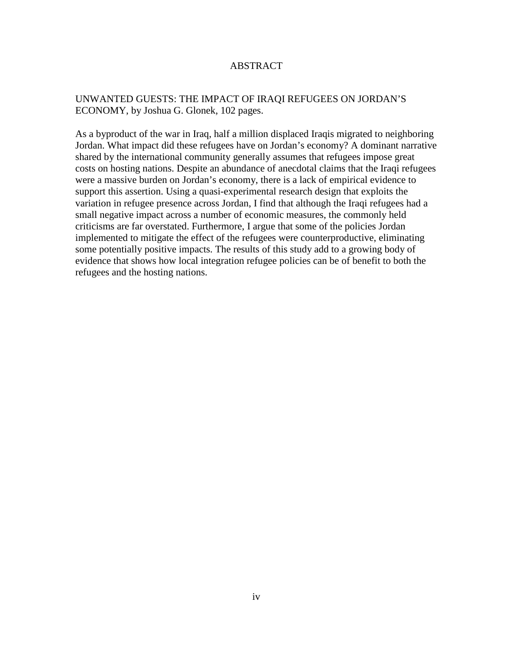## ABSTRACT

## UNWANTED GUESTS: THE IMPACT OF IRAQI REFUGEES ON JORDAN'S ECONOMY, by Joshua G. Glonek, 102 pages.

As a byproduct of the war in Iraq, half a million displaced Iraqis migrated to neighboring Jordan. What impact did these refugees have on Jordan's economy? A dominant narrative shared by the international community generally assumes that refugees impose great costs on hosting nations. Despite an abundance of anecdotal claims that the Iraqi refugees were a massive burden on Jordan's economy, there is a lack of empirical evidence to support this assertion. Using a quasi-experimental research design that exploits the variation in refugee presence across Jordan, I find that although the Iraqi refugees had a small negative impact across a number of economic measures, the commonly held criticisms are far overstated. Furthermore, I argue that some of the policies Jordan implemented to mitigate the effect of the refugees were counterproductive, eliminating some potentially positive impacts. The results of this study add to a growing body of evidence that shows how local integration refugee policies can be of benefit to both the refugees and the hosting nations.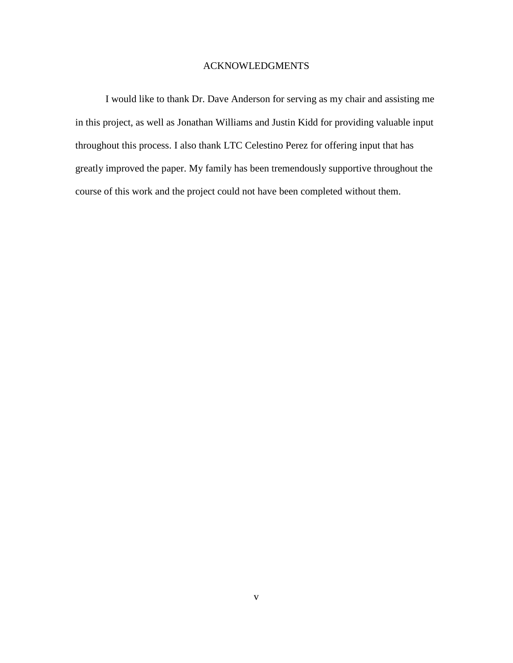## ACKNOWLEDGMENTS

I would like to thank Dr. Dave Anderson for serving as my chair and assisting me in this project, as well as Jonathan Williams and Justin Kidd for providing valuable input throughout this process. I also thank LTC Celestino Perez for offering input that has greatly improved the paper. My family has been tremendously supportive throughout the course of this work and the project could not have been completed without them.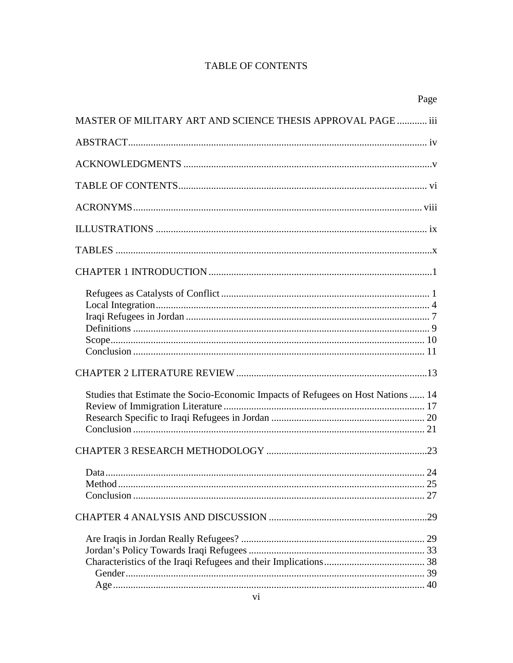## **TABLE OF CONTENTS**

|                                                                                  | Page |
|----------------------------------------------------------------------------------|------|
| MASTER OF MILITARY ART AND SCIENCE THESIS APPROVAL PAGE  iii                     |      |
|                                                                                  |      |
|                                                                                  |      |
|                                                                                  |      |
|                                                                                  |      |
|                                                                                  |      |
|                                                                                  |      |
|                                                                                  |      |
|                                                                                  |      |
|                                                                                  |      |
|                                                                                  |      |
|                                                                                  |      |
|                                                                                  |      |
| Studies that Estimate the Socio-Economic Impacts of Refugees on Host Nations  14 |      |
|                                                                                  |      |
|                                                                                  |      |
|                                                                                  |      |
|                                                                                  |      |
|                                                                                  |      |
|                                                                                  |      |
|                                                                                  |      |
|                                                                                  |      |
|                                                                                  |      |
|                                                                                  |      |
|                                                                                  |      |
|                                                                                  |      |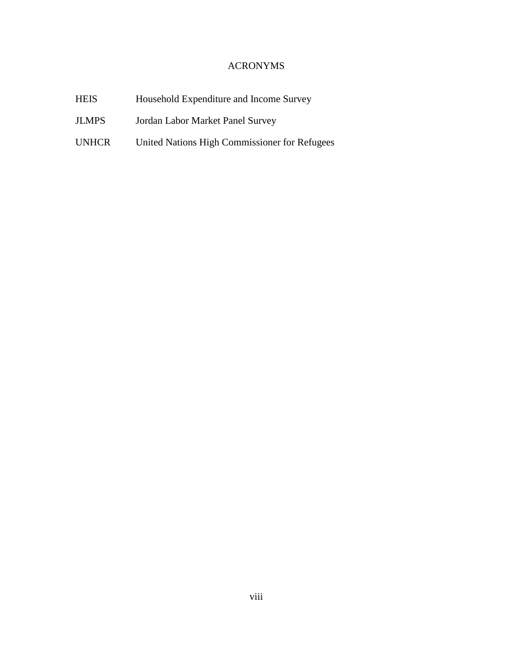## ACRONYMS

| <b>HEIS</b>  | Household Expenditure and Income Survey       |
|--------------|-----------------------------------------------|
| <b>JLMPS</b> | Jordan Labor Market Panel Survey              |
| <b>UNHCR</b> | United Nations High Commissioner for Refugees |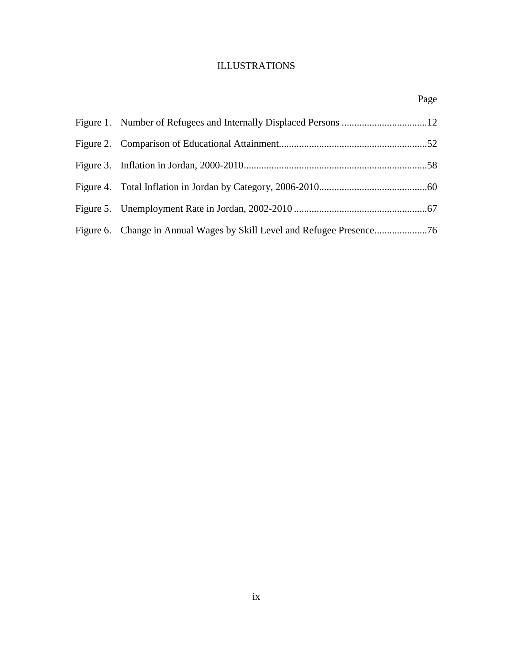## ILLUSTRATIONS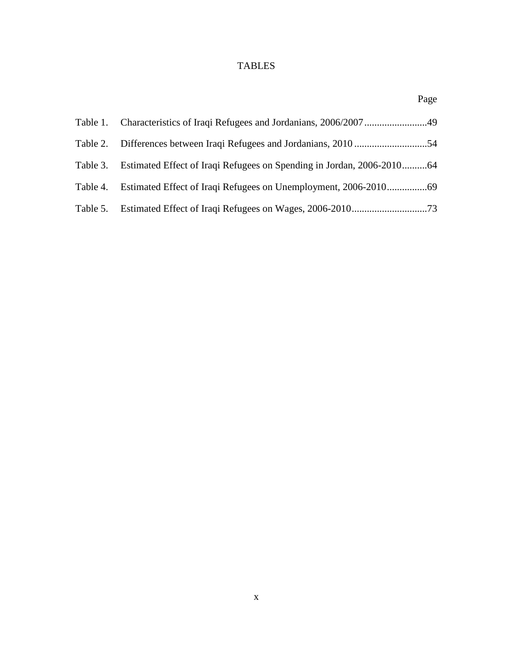# TABLES

|          |                                                                       | Page |
|----------|-----------------------------------------------------------------------|------|
| Table 1. |                                                                       |      |
|          |                                                                       |      |
| Table 3. | Estimated Effect of Iraqi Refugees on Spending in Jordan, 2006-201064 |      |
| Table 4. |                                                                       |      |
| Table 5. |                                                                       |      |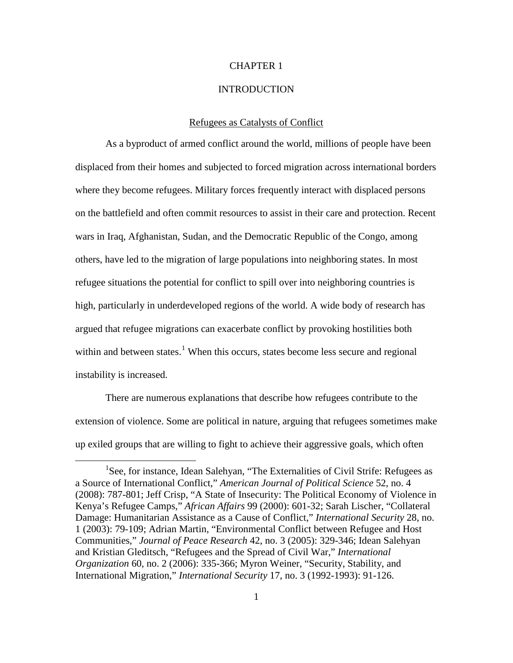#### CHAPTER 1

#### **INTRODUCTION**

#### Refugees as Catalysts of Conflict

As a byproduct of armed conflict around the world, millions of people have been displaced from their homes and subjected to forced migration across international borders where they become refugees. Military forces frequently interact with displaced persons on the battlefield and often commit resources to assist in their care and protection. Recent wars in Iraq, Afghanistan, Sudan, and the Democratic Republic of the Congo, among others, have led to the migration of large populations into neighboring states. In most refugee situations the potential for conflict to spill over into neighboring countries is high, particularly in underdeveloped regions of the world. A wide body of research has argued that refugee migrations can exacerbate conflict by provoking hostilities both within and between states.<sup>[1](#page-10-0)</sup> When this occurs, states become less secure and regional instability is increased.

There are numerous explanations that describe how refugees contribute to the extension of violence. Some are political in nature, arguing that refugees sometimes make up exiled groups that are willing to fight to achieve their aggressive goals, which often

<span id="page-10-0"></span><sup>&</sup>lt;sup>1</sup>See, for instance, Idean Salehyan, "The Externalities of Civil Strife: Refugees as a Source of International Conflict," *American Journal of Political Science* 52, no. 4 (2008): 787-801; Jeff Crisp, "A State of Insecurity: The Political Economy of Violence in Kenya's Refugee Camps," *African Affairs* 99 (2000): 601-32; Sarah Lischer, "Collateral Damage: Humanitarian Assistance as a Cause of Conflict," *International Security* 28, no. 1 (2003): 79-109; Adrian Martin, "Environmental Conflict between Refugee and Host Communities," *Journal of Peace Research* 42, no. 3 (2005): 329-346; Idean Salehyan and Kristian Gleditsch, "Refugees and the Spread of Civil War," *International Organization* 60, no. 2 (2006): 335-366; Myron Weiner, "Security, Stability, and International Migration," *International Security* 17, no. 3 (1992-1993): 91-126.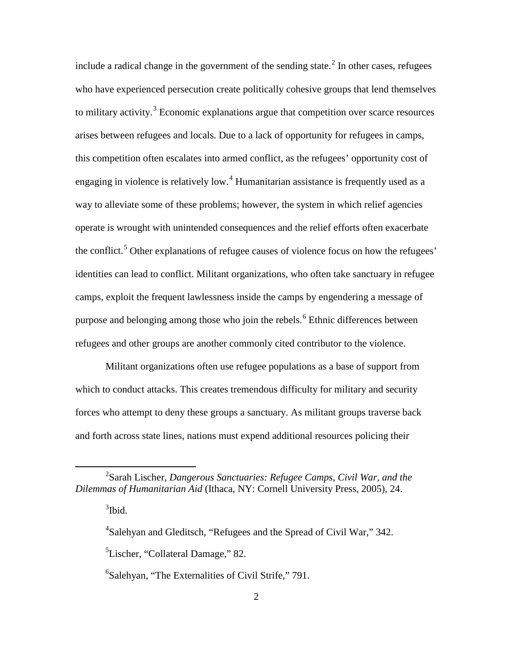include a radical change in the government of the sending state.<sup>[2](#page-11-0)</sup> In other cases, refugees who have experienced persecution create politically cohesive groups that lend themselves to military activity.<sup>[3](#page-11-1)</sup> Economic explanations argue that competition over scarce resources arises between refugees and locals. Due to a lack of opportunity for refugees in camps, this competition often escalates into armed conflict, as the refugees' opportunity cost of engaging in violence is relatively low.<sup>[4](#page-11-2)</sup> Humanitarian assistance is frequently used as a way to alleviate some of these problems; however, the system in which relief agencies operate is wrought with unintended consequences and the relief efforts often exacerbate the conflict.<sup>[5](#page-11-3)</sup> Other explanations of refugee causes of violence focus on how the refugees' identities can lead to conflict. Militant organizations, who often take sanctuary in refugee camps, exploit the frequent lawlessness inside the camps by engendering a message of purpose and belonging among those who join the rebels.<sup>[6](#page-11-4)</sup> Ethnic differences between refugees and other groups are another commonly cited contributor to the violence.

Militant organizations often use refugee populations as a base of support from which to conduct attacks. This creates tremendous difficulty for military and security forces who attempt to deny these groups a sanctuary. As militant groups traverse back and forth across state lines, nations must expend additional resources policing their

<span id="page-11-2"></span><span id="page-11-1"></span><span id="page-11-0"></span><sup>2</sup> Sarah Lischer, *Dangerous Sanctuaries: Refugee Camps, Civil War, and the Dilemmas of Humanitarian Aid* (Ithaca, NY: Cornell University Press, 2005), 24.

 $3$ Ibid.

<sup>&</sup>lt;sup>4</sup>Salehyan and Gleditsch, "Refugees and the Spread of Civil War," 342.

<span id="page-11-3"></span><sup>&</sup>lt;sup>5</sup>Lischer, "Collateral Damage," 82.

<span id="page-11-4"></span><sup>&</sup>lt;sup>6</sup>Salehyan, "The Externalities of Civil Strife," 791.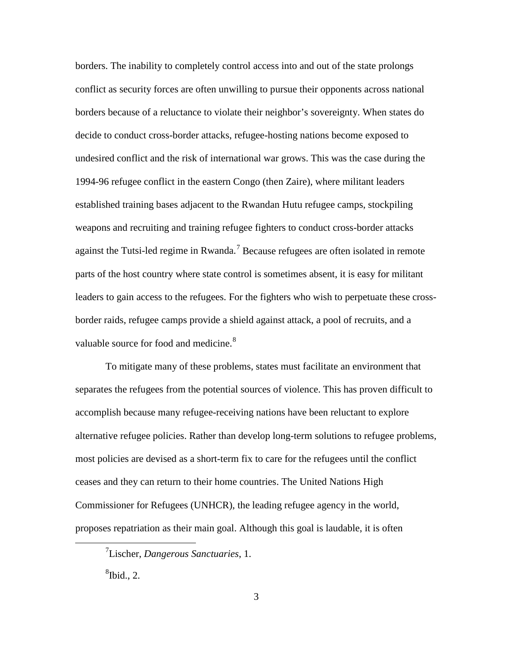borders. The inability to completely control access into and out of the state prolongs conflict as security forces are often unwilling to pursue their opponents across national borders because of a reluctance to violate their neighbor's sovereignty. When states do decide to conduct cross-border attacks, refugee-hosting nations become exposed to undesired conflict and the risk of international war grows. This was the case during the 1994-96 refugee conflict in the eastern Congo (then Zaire), where militant leaders established training bases adjacent to the Rwandan Hutu refugee camps, stockpiling weapons and recruiting and training refugee fighters to conduct cross-border attacks against the Tutsi-led regime in Rwanda.<sup>[7](#page-12-0)</sup> Because refugees are often isolated in remote parts of the host country where state control is sometimes absent, it is easy for militant leaders to gain access to the refugees. For the fighters who wish to perpetuate these crossborder raids, refugee camps provide a shield against attack, a pool of recruits, and a valuable source for food and medicine.<sup>[8](#page-12-1)</sup>

To mitigate many of these problems, states must facilitate an environment that separates the refugees from the potential sources of violence. This has proven difficult to accomplish because many refugee-receiving nations have been reluctant to explore alternative refugee policies. Rather than develop long-term solutions to refugee problems, most policies are devised as a short-term fix to care for the refugees until the conflict ceases and they can return to their home countries. The United Nations High Commissioner for Refugees (UNHCR), the leading refugee agency in the world, proposes repatriation as their main goal. Although this goal is laudable, it is often

<span id="page-12-1"></span> ${}^{8}$ Ibid., 2.

<span id="page-12-0"></span><sup>7</sup> Lischer, *Dangerous Sanctuaries*, 1.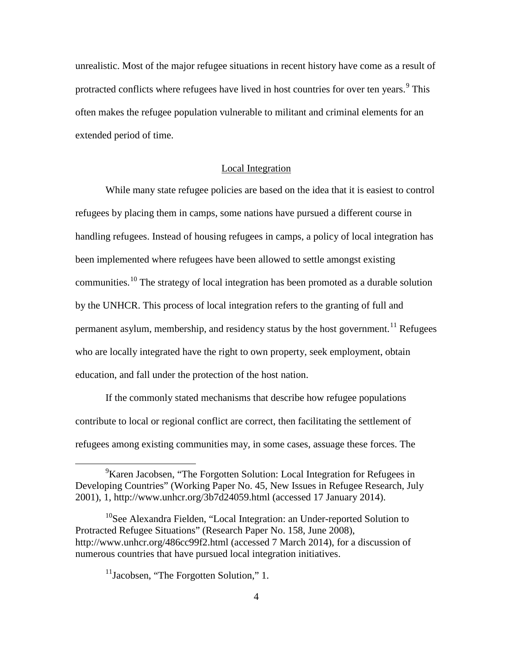unrealistic. Most of the major refugee situations in recent history have come as a result of protracted conflicts where refugees have lived in host countries for over ten years.<sup>[9](#page-13-0)</sup> This often makes the refugee population vulnerable to militant and criminal elements for an extended period of time.

#### Local Integration

While many state refugee policies are based on the idea that it is easiest to control refugees by placing them in camps, some nations have pursued a different course in handling refugees. Instead of housing refugees in camps, a policy of local integration has been implemented where refugees have been allowed to settle amongst existing communities.<sup>[10](#page-13-1)</sup> The strategy of local integration has been promoted as a durable solution by the UNHCR. This process of local integration refers to the granting of full and permanent asylum, membership, and residency status by the host government.<sup>[11](#page-13-2)</sup> Refugees who are locally integrated have the right to own property, seek employment, obtain education, and fall under the protection of the host nation.

If the commonly stated mechanisms that describe how refugee populations contribute to local or regional conflict are correct, then facilitating the settlement of refugees among existing communities may, in some cases, assuage these forces. The

<span id="page-13-0"></span><sup>&</sup>lt;sup>9</sup>Karen Jacobsen, "The Forgotten Solution: Local Integration for Refugees in Developing Countries" (Working Paper No. 45, New Issues in Refugee Research, July 2001), 1, http://www.unhcr.org/3b7d24059.html (accessed 17 January 2014).

<span id="page-13-2"></span><span id="page-13-1"></span><sup>&</sup>lt;sup>10</sup>See Alexandra Fielden, "Local Integration: an Under-reported Solution to Protracted Refugee Situations" (Research Paper No. 158, June 2008), http://www.unhcr.org/486cc99f2.html (accessed 7 March 2014), for a discussion of numerous countries that have pursued local integration initiatives.

<sup>&</sup>lt;sup>11</sup>Jacobsen, "The Forgotten Solution," 1.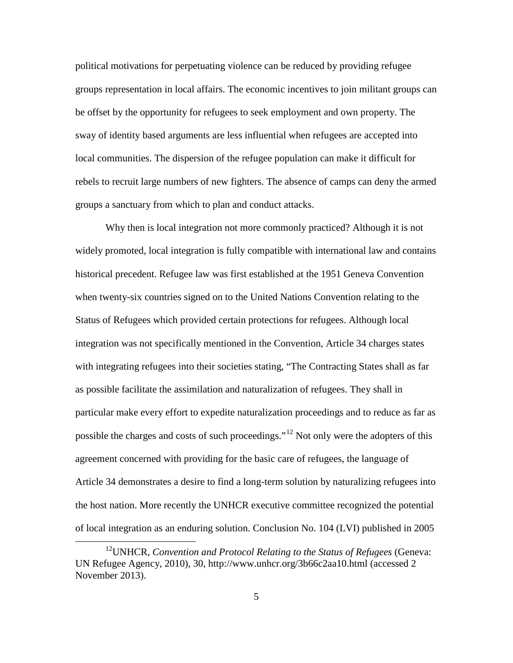political motivations for perpetuating violence can be reduced by providing refugee groups representation in local affairs. The economic incentives to join militant groups can be offset by the opportunity for refugees to seek employment and own property. The sway of identity based arguments are less influential when refugees are accepted into local communities. The dispersion of the refugee population can make it difficult for rebels to recruit large numbers of new fighters. The absence of camps can deny the armed groups a sanctuary from which to plan and conduct attacks.

Why then is local integration not more commonly practiced? Although it is not widely promoted, local integration is fully compatible with international law and contains historical precedent. Refugee law was first established at the 1951 Geneva Convention when twenty-six countries signed on to the United Nations Convention relating to the Status of Refugees which provided certain protections for refugees. Although local integration was not specifically mentioned in the Convention, Article 34 charges states with integrating refugees into their societies stating, "The Contracting States shall as far as possible facilitate the assimilation and naturalization of refugees. They shall in particular make every effort to expedite naturalization proceedings and to reduce as far as possible the charges and costs of such proceedings."[12](#page-14-0) Not only were the adopters of this agreement concerned with providing for the basic care of refugees, the language of Article 34 demonstrates a desire to find a long-term solution by naturalizing refugees into the host nation. More recently the UNHCR executive committee recognized the potential of local integration as an enduring solution. Conclusion No. 104 (LVI) published in 2005

<span id="page-14-0"></span><sup>12</sup>UNHCR, *Convention and Protocol Relating to the Status of Refugees* (Geneva: UN Refugee Agency, 2010), 30, http://www.unhcr.org/3b66c2aa10.html (accessed 2 November 2013).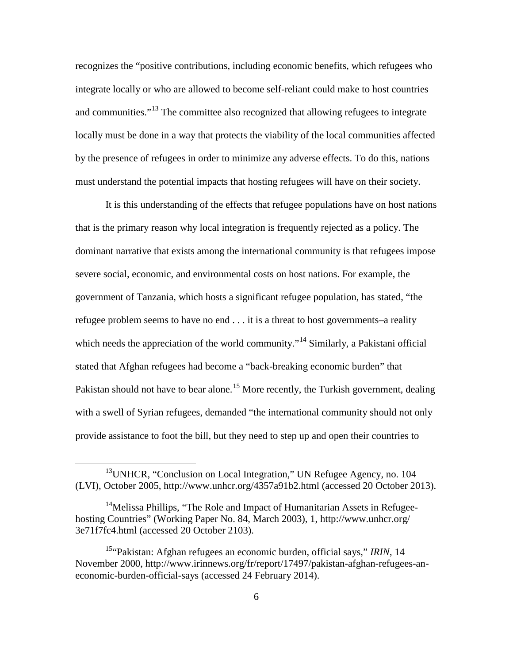recognizes the "positive contributions, including economic benefits, which refugees who integrate locally or who are allowed to become self-reliant could make to host countries and communities."<sup>[13](#page-15-0)</sup> The committee also recognized that allowing refugees to integrate locally must be done in a way that protects the viability of the local communities affected by the presence of refugees in order to minimize any adverse effects. To do this, nations must understand the potential impacts that hosting refugees will have on their society.

It is this understanding of the effects that refugee populations have on host nations that is the primary reason why local integration is frequently rejected as a policy. The dominant narrative that exists among the international community is that refugees impose severe social, economic, and environmental costs on host nations. For example, the government of Tanzania, which hosts a significant refugee population, has stated, "the refugee problem seems to have no end . . . it is a threat to host governments–a reality which needs the appreciation of the world community."<sup>[14](#page-15-1)</sup> Similarly, a Pakistani official stated that Afghan refugees had become a "back-breaking economic burden" that Pakistan should not have to bear alone.<sup>[15](#page-15-2)</sup> More recently, the Turkish government, dealing with a swell of Syrian refugees, demanded "the international community should not only provide assistance to foot the bill, but they need to step up and open their countries to

<span id="page-15-0"></span><sup>&</sup>lt;sup>13</sup> UNHCR, "Conclusion on Local Integration," UN Refugee Agency, no. 104 (LVI), October 2005, http://www.unhcr.org/4357a91b2.html (accessed 20 October 2013).

<span id="page-15-1"></span><sup>&</sup>lt;sup>14</sup>Melissa Phillips, "The Role and Impact of Humanitarian Assets in Refugeehosting Countries" (Working Paper No. 84, March 2003), 1, http://www.unhcr.org/ 3e71f7fc4.html (accessed 20 October 2103).

<span id="page-15-2"></span><sup>&</sup>lt;sup>15</sup>"Pakistan: Afghan refugees an economic burden, official says," *IRIN*, 14 November 2000, http://www.irinnews.org/fr/report/17497/pakistan-afghan-refugees-aneconomic-burden-official-says (accessed 24 February 2014).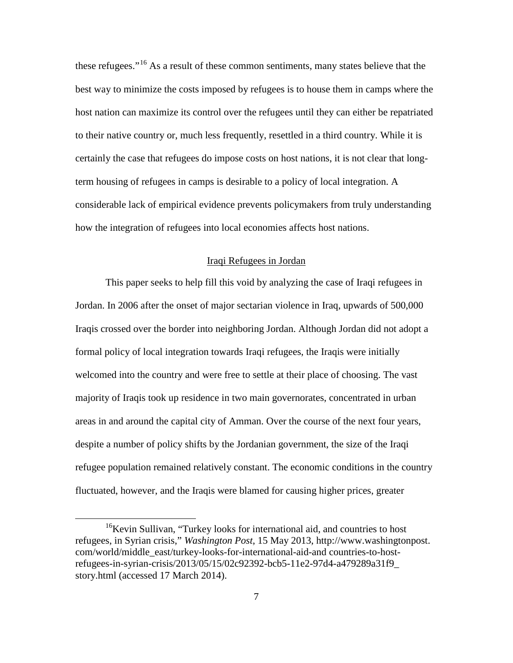these refugees."<sup>[16](#page-16-0)</sup> As a result of these common sentiments, many states believe that the best way to minimize the costs imposed by refugees is to house them in camps where the host nation can maximize its control over the refugees until they can either be repatriated to their native country or, much less frequently, resettled in a third country. While it is certainly the case that refugees do impose costs on host nations, it is not clear that longterm housing of refugees in camps is desirable to a policy of local integration. A considerable lack of empirical evidence prevents policymakers from truly understanding how the integration of refugees into local economies affects host nations.

### Iraqi Refugees in Jordan

This paper seeks to help fill this void by analyzing the case of Iraqi refugees in Jordan. In 2006 after the onset of major sectarian violence in Iraq, upwards of 500,000 Iraqis crossed over the border into neighboring Jordan. Although Jordan did not adopt a formal policy of local integration towards Iraqi refugees, the Iraqis were initially welcomed into the country and were free to settle at their place of choosing. The vast majority of Iraqis took up residence in two main governorates, concentrated in urban areas in and around the capital city of Amman. Over the course of the next four years, despite a number of policy shifts by the Jordanian government, the size of the Iraqi refugee population remained relatively constant. The economic conditions in the country fluctuated, however, and the Iraqis were blamed for causing higher prices, greater

<span id="page-16-0"></span><sup>&</sup>lt;sup>16</sup>Kevin Sullivan, "Turkey looks for international aid, and countries to host refugees, in Syrian crisis," *Washington Post*, 15 May 2013, http://www.washingtonpost. com/world/middle\_east/turkey-looks-for-international-aid-and countries-to-hostrefugees-in-syrian-crisis/2013/05/15/02c92392-bcb5-11e2-97d4-a479289a31f9\_ story.html (accessed 17 March 2014).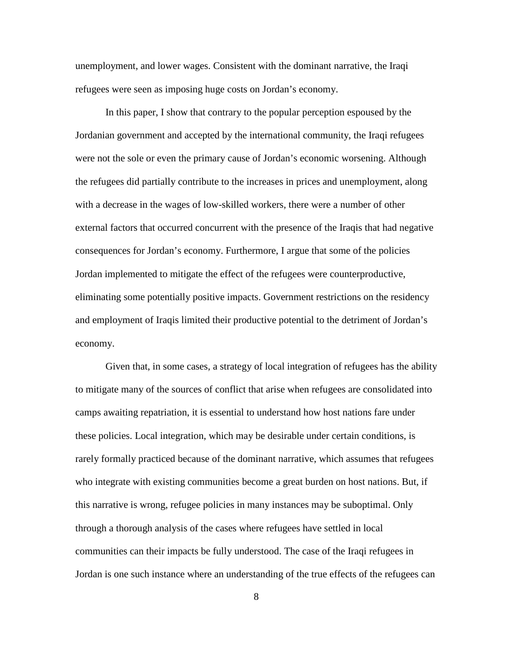unemployment, and lower wages. Consistent with the dominant narrative, the Iraqi refugees were seen as imposing huge costs on Jordan's economy.

In this paper, I show that contrary to the popular perception espoused by the Jordanian government and accepted by the international community, the Iraqi refugees were not the sole or even the primary cause of Jordan's economic worsening. Although the refugees did partially contribute to the increases in prices and unemployment, along with a decrease in the wages of low-skilled workers, there were a number of other external factors that occurred concurrent with the presence of the Iraqis that had negative consequences for Jordan's economy. Furthermore, I argue that some of the policies Jordan implemented to mitigate the effect of the refugees were counterproductive, eliminating some potentially positive impacts. Government restrictions on the residency and employment of Iraqis limited their productive potential to the detriment of Jordan's economy.

Given that, in some cases, a strategy of local integration of refugees has the ability to mitigate many of the sources of conflict that arise when refugees are consolidated into camps awaiting repatriation, it is essential to understand how host nations fare under these policies. Local integration, which may be desirable under certain conditions, is rarely formally practiced because of the dominant narrative, which assumes that refugees who integrate with existing communities become a great burden on host nations. But, if this narrative is wrong, refugee policies in many instances may be suboptimal. Only through a thorough analysis of the cases where refugees have settled in local communities can their impacts be fully understood. The case of the Iraqi refugees in Jordan is one such instance where an understanding of the true effects of the refugees can

8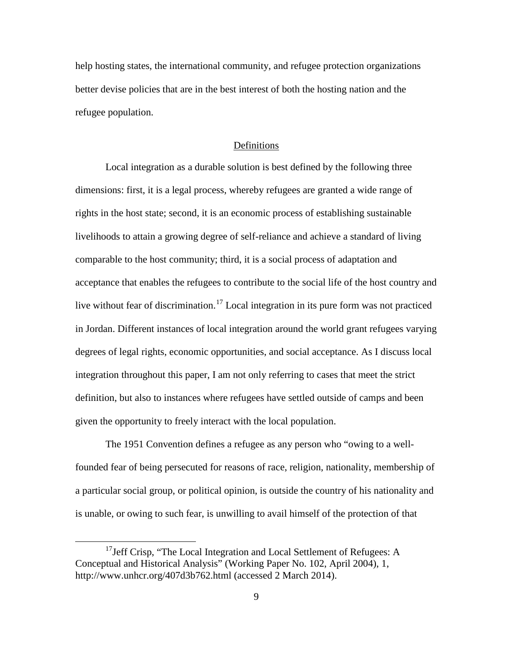help hosting states, the international community, and refugee protection organizations better devise policies that are in the best interest of both the hosting nation and the refugee population.

#### Definitions

Local integration as a durable solution is best defined by the following three dimensions: first, it is a legal process, whereby refugees are granted a wide range of rights in the host state; second, it is an economic process of establishing sustainable livelihoods to attain a growing degree of self-reliance and achieve a standard of living comparable to the host community; third, it is a social process of adaptation and acceptance that enables the refugees to contribute to the social life of the host country and live without fear of discrimination.<sup>[17](#page-18-0)</sup> Local integration in its pure form was not practiced in Jordan. Different instances of local integration around the world grant refugees varying degrees of legal rights, economic opportunities, and social acceptance. As I discuss local integration throughout this paper, I am not only referring to cases that meet the strict definition, but also to instances where refugees have settled outside of camps and been given the opportunity to freely interact with the local population.

The 1951 Convention defines a refugee as any person who "owing to a wellfounded fear of being persecuted for reasons of race, religion, nationality, membership of a particular social group, or political opinion, is outside the country of his nationality and is unable, or owing to such fear, is unwilling to avail himself of the protection of that

<span id="page-18-0"></span><sup>&</sup>lt;sup>17</sup>Jeff Crisp, "The Local Integration and Local Settlement of Refugees: A Conceptual and Historical Analysis" (Working Paper No. 102, April 2004), 1, http://www.unhcr.org/407d3b762.html (accessed 2 March 2014).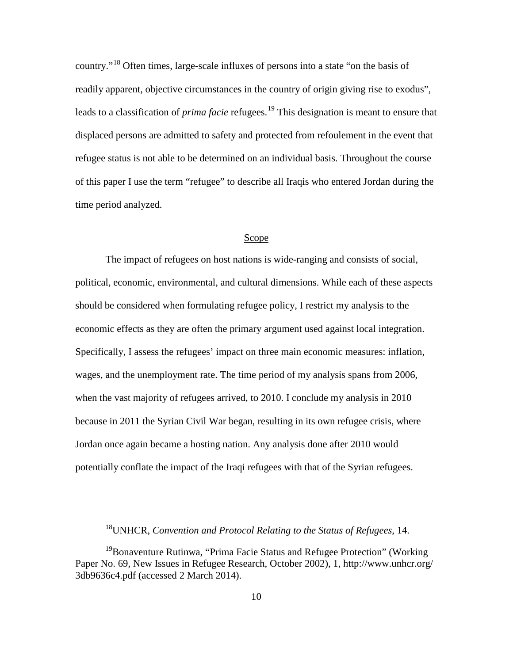country."[18](#page-19-0) Often times, large-scale influxes of persons into a state "on the basis of readily apparent, objective circumstances in the country of origin giving rise to exodus", leads to a classification of *prima facie* refugees.<sup>[19](#page-19-1)</sup> This designation is meant to ensure that displaced persons are admitted to safety and protected from refoulement in the event that refugee status is not able to be determined on an individual basis. Throughout the course of this paper I use the term "refugee" to describe all Iraqis who entered Jordan during the time period analyzed.

#### Scope

The impact of refugees on host nations is wide-ranging and consists of social, political, economic, environmental, and cultural dimensions. While each of these aspects should be considered when formulating refugee policy, I restrict my analysis to the economic effects as they are often the primary argument used against local integration. Specifically, I assess the refugees' impact on three main economic measures: inflation, wages, and the unemployment rate. The time period of my analysis spans from 2006, when the vast majority of refugees arrived, to 2010. I conclude my analysis in 2010 because in 2011 the Syrian Civil War began, resulting in its own refugee crisis, where Jordan once again became a hosting nation. Any analysis done after 2010 would potentially conflate the impact of the Iraqi refugees with that of the Syrian refugees.

<sup>18</sup>UNHCR, *Convention and Protocol Relating to the Status of Refugees*, 14.

<span id="page-19-1"></span><span id="page-19-0"></span><sup>&</sup>lt;sup>19</sup>Bonaventure Rutinwa, "Prima Facie Status and Refugee Protection" (Working Paper No. 69, New Issues in Refugee Research, October 2002), 1, http://www.unhcr.org/ 3db9636c4.pdf (accessed 2 March 2014).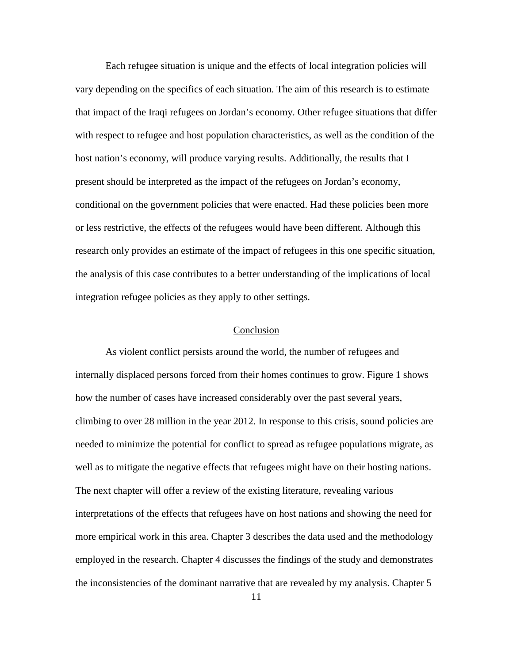Each refugee situation is unique and the effects of local integration policies will vary depending on the specifics of each situation. The aim of this research is to estimate that impact of the Iraqi refugees on Jordan's economy. Other refugee situations that differ with respect to refugee and host population characteristics, as well as the condition of the host nation's economy, will produce varying results. Additionally, the results that I present should be interpreted as the impact of the refugees on Jordan's economy, conditional on the government policies that were enacted. Had these policies been more or less restrictive, the effects of the refugees would have been different. Although this research only provides an estimate of the impact of refugees in this one specific situation, the analysis of this case contributes to a better understanding of the implications of local integration refugee policies as they apply to other settings.

#### Conclusion

As violent conflict persists around the world, the number of refugees and internally displaced persons forced from their homes continues to grow. Figure 1 shows how the number of cases have increased considerably over the past several years, climbing to over 28 million in the year 2012. In response to this crisis, sound policies are needed to minimize the potential for conflict to spread as refugee populations migrate, as well as to mitigate the negative effects that refugees might have on their hosting nations. The next chapter will offer a review of the existing literature, revealing various interpretations of the effects that refugees have on host nations and showing the need for more empirical work in this area. Chapter 3 describes the data used and the methodology employed in the research. Chapter 4 discusses the findings of the study and demonstrates the inconsistencies of the dominant narrative that are revealed by my analysis. Chapter 5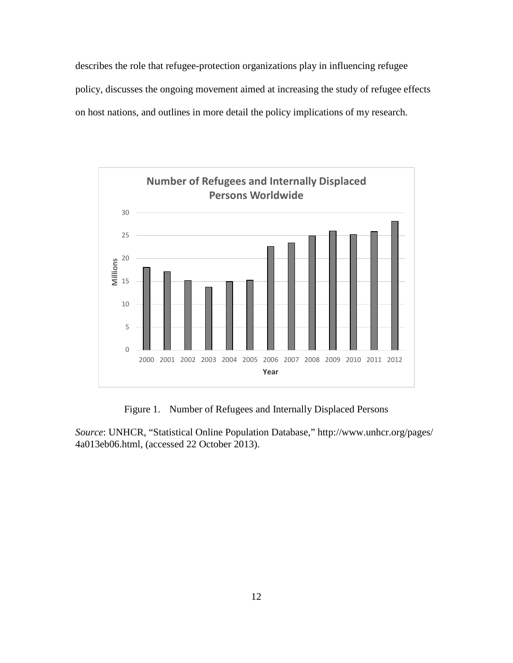describes the role that refugee-protection organizations play in influencing refugee policy, discusses the ongoing movement aimed at increasing the study of refugee effects on host nations, and outlines in more detail the policy implications of my research.



Figure 1. Number of Refugees and Internally Displaced Persons

*Source*: UNHCR, "Statistical Online Population Database," http://www.unhcr.org/pages/ 4a013eb06.html, (accessed 22 October 2013).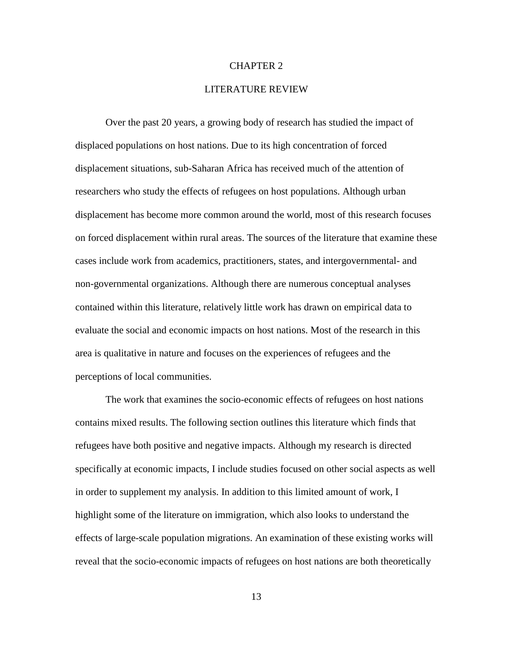#### CHAPTER 2

#### LITERATURE REVIEW

Over the past 20 years, a growing body of research has studied the impact of displaced populations on host nations. Due to its high concentration of forced displacement situations, sub-Saharan Africa has received much of the attention of researchers who study the effects of refugees on host populations. Although urban displacement has become more common around the world, most of this research focuses on forced displacement within rural areas. The sources of the literature that examine these cases include work from academics, practitioners, states, and intergovernmental- and non-governmental organizations. Although there are numerous conceptual analyses contained within this literature, relatively little work has drawn on empirical data to evaluate the social and economic impacts on host nations. Most of the research in this area is qualitative in nature and focuses on the experiences of refugees and the perceptions of local communities.

The work that examines the socio-economic effects of refugees on host nations contains mixed results. The following section outlines this literature which finds that refugees have both positive and negative impacts. Although my research is directed specifically at economic impacts, I include studies focused on other social aspects as well in order to supplement my analysis. In addition to this limited amount of work, I highlight some of the literature on immigration, which also looks to understand the effects of large-scale population migrations. An examination of these existing works will reveal that the socio-economic impacts of refugees on host nations are both theoretically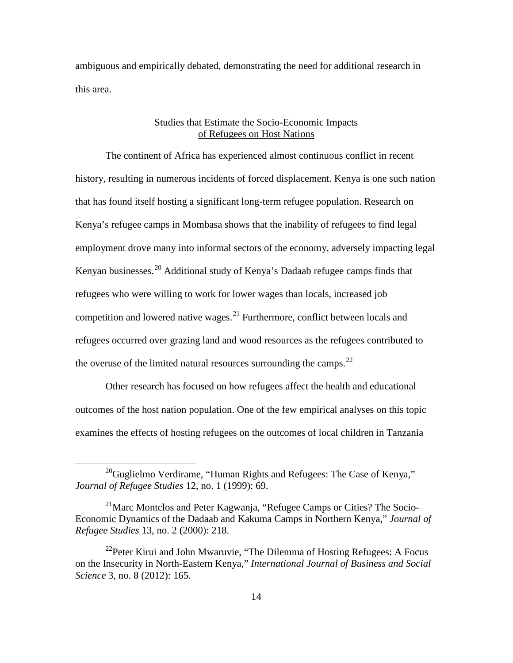ambiguous and empirically debated, demonstrating the need for additional research in this area.

### Studies that Estimate the Socio-Economic Impacts of Refugees on Host Nations

The continent of Africa has experienced almost continuous conflict in recent history, resulting in numerous incidents of forced displacement. Kenya is one such nation that has found itself hosting a significant long-term refugee population. Research on Kenya's refugee camps in Mombasa shows that the inability of refugees to find legal employment drove many into informal sectors of the economy, adversely impacting legal Kenyan businesses.<sup>[20](#page-23-0)</sup> Additional study of Kenya's Dadaab refugee camps finds that refugees who were willing to work for lower wages than locals, increased job competition and lowered native wages.<sup>[21](#page-23-1)</sup> Furthermore, conflict between locals and refugees occurred over grazing land and wood resources as the refugees contributed to the overuse of the limited natural resources surrounding the camps. $^{22}$  $^{22}$  $^{22}$ 

Other research has focused on how refugees affect the health and educational outcomes of the host nation population. One of the few empirical analyses on this topic examines the effects of hosting refugees on the outcomes of local children in Tanzania

<span id="page-23-0"></span><sup>&</sup>lt;sup>20</sup>Guglielmo Verdirame, "Human Rights and Refugees: The Case of Kenya," *Journal of Refugee Studies* 12, no. 1 (1999): 69.

<span id="page-23-1"></span><sup>&</sup>lt;sup>21</sup>Marc Montclos and Peter Kagwanja, "Refugee Camps or Cities? The Socio-Economic Dynamics of the Dadaab and Kakuma Camps in Northern Kenya," *Journal of Refugee Studies* 13, no. 2 (2000): 218.

<span id="page-23-2"></span> $22$ Peter Kirui and John Mwaruvie, "The Dilemma of Hosting Refugees: A Focus on the Insecurity in North-Eastern Kenya," *International Journal of Business and Social Science* 3, no. 8 (2012): 165.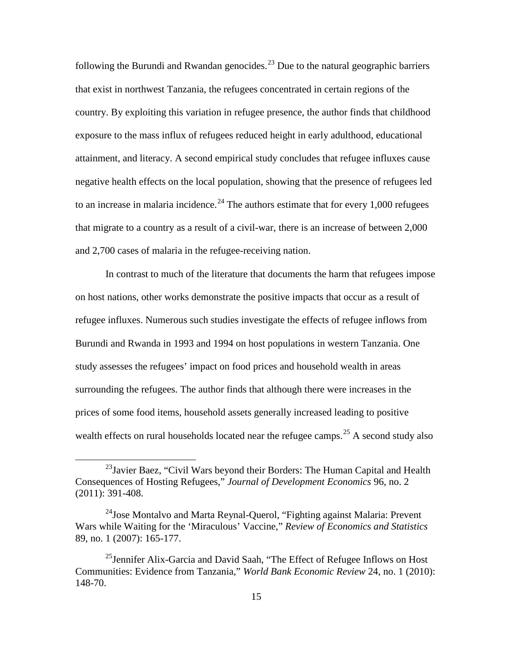following the Burundi and Rwandan genocides.<sup>[23](#page-24-0)</sup> Due to the natural geographic barriers that exist in northwest Tanzania, the refugees concentrated in certain regions of the country. By exploiting this variation in refugee presence, the author finds that childhood exposure to the mass influx of refugees reduced height in early adulthood, educational attainment, and literacy. A second empirical study concludes that refugee influxes cause negative health effects on the local population, showing that the presence of refugees led to an increase in malaria incidence.<sup>[24](#page-24-1)</sup> The authors estimate that for every  $1,000$  refugees that migrate to a country as a result of a civil-war, there is an increase of between 2,000 and 2,700 cases of malaria in the refugee-receiving nation.

In contrast to much of the literature that documents the harm that refugees impose on host nations, other works demonstrate the positive impacts that occur as a result of refugee influxes. Numerous such studies investigate the effects of refugee inflows from Burundi and Rwanda in 1993 and 1994 on host populations in western Tanzania. One study assesses the refugees' impact on food prices and household wealth in areas surrounding the refugees. The author finds that although there were increases in the prices of some food items, household assets generally increased leading to positive wealth effects on rural households located near the refugee camps.<sup>[25](#page-24-2)</sup> A second study also

<span id="page-24-0"></span> $^{23}$ Javier Baez, "Civil Wars beyond their Borders: The Human Capital and Health Consequences of Hosting Refugees," *Journal of Development Economics* 96, no. 2 (2011): 391-408.

<span id="page-24-1"></span> $^{24}$ Jose Montalvo and Marta Reynal-Querol, "Fighting against Malaria: Prevent Wars while Waiting for the 'Miraculous' Vaccine," *Review of Economics and Statistics* 89, no. 1 (2007): 165-177.

<span id="page-24-2"></span><sup>&</sup>lt;sup>25</sup> Jennifer Alix-Garcia and David Saah, "The Effect of Refugee Inflows on Host Communities: Evidence from Tanzania," *World Bank Economic Review* 24, no. 1 (2010): 148-70.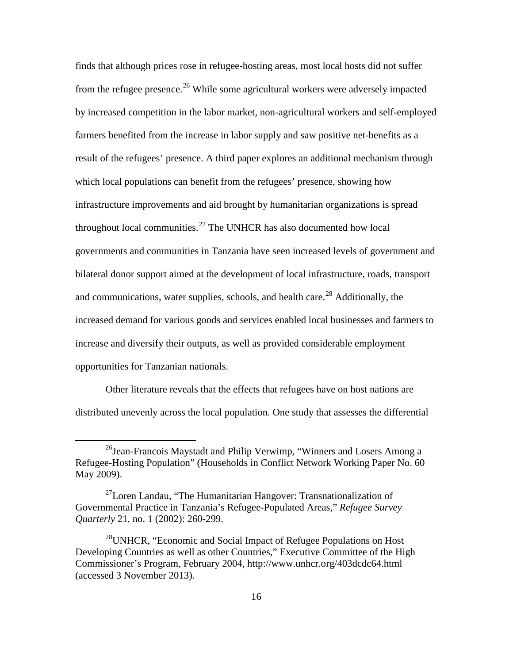finds that although prices rose in refugee-hosting areas, most local hosts did not suffer from the refugee presence.<sup>[26](#page-25-0)</sup> While some agricultural workers were adversely impacted by increased competition in the labor market, non-agricultural workers and self-employed farmers benefited from the increase in labor supply and saw positive net-benefits as a result of the refugees' presence. A third paper explores an additional mechanism through which local populations can benefit from the refugees' presence, showing how infrastructure improvements and aid brought by humanitarian organizations is spread throughout local communities. $27$  The UNHCR has also documented how local governments and communities in Tanzania have seen increased levels of government and bilateral donor support aimed at the development of local infrastructure, roads, transport and communications, water supplies, schools, and health care.<sup>[28](#page-25-2)</sup> Additionally, the increased demand for various goods and services enabled local businesses and farmers to increase and diversify their outputs, as well as provided considerable employment opportunities for Tanzanian nationals.

Other literature reveals that the effects that refugees have on host nations are distributed unevenly across the local population. One study that assesses the differential

<span id="page-25-0"></span><sup>&</sup>lt;sup>26</sup>Jean-Francois Maystadt and Philip Verwimp, "Winners and Losers Among a Refugee-Hosting Population" (Households in Conflict Network Working Paper No. 60 May 2009).

<span id="page-25-1"></span> $^{27}$ Loren Landau, "The Humanitarian Hangover: Transnationalization of Governmental Practice in Tanzania's Refugee-Populated Areas," *Refugee Survey Quarterly* 21, no. 1 (2002): 260-299.

<span id="page-25-2"></span> $^{28}$ UNHCR, "Economic and Social Impact of Refugee Populations on Host Developing Countries as well as other Countries," Executive Committee of the High Commissioner's Program, February 2004, http://www.unhcr.org/403dcdc64.html (accessed 3 November 2013).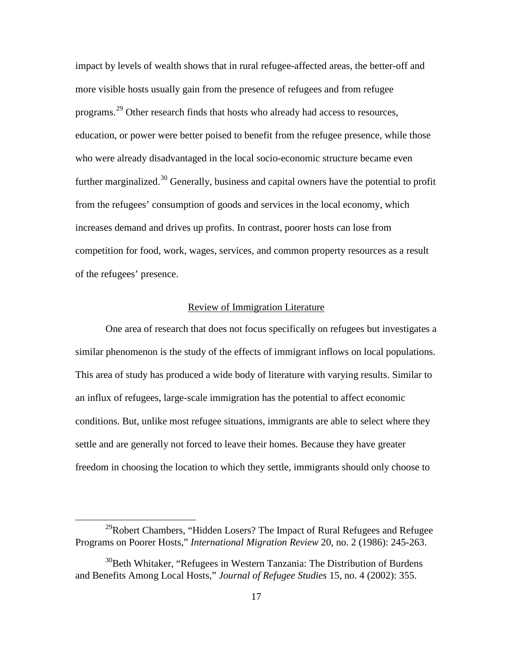impact by levels of wealth shows that in rural refugee-affected areas, the better-off and more visible hosts usually gain from the presence of refugees and from refugee programs.<sup>[29](#page-26-0)</sup> Other research finds that hosts who already had access to resources, education, or power were better poised to benefit from the refugee presence, while those who were already disadvantaged in the local socio-economic structure became even further marginalized.<sup>[30](#page-26-1)</sup> Generally, business and capital owners have the potential to profit from the refugees' consumption of goods and services in the local economy, which increases demand and drives up profits. In contrast, poorer hosts can lose from competition for food, work, wages, services, and common property resources as a result of the refugees' presence.

### Review of Immigration Literature

One area of research that does not focus specifically on refugees but investigates a similar phenomenon is the study of the effects of immigrant inflows on local populations. This area of study has produced a wide body of literature with varying results. Similar to an influx of refugees, large-scale immigration has the potential to affect economic conditions. But, unlike most refugee situations, immigrants are able to select where they settle and are generally not forced to leave their homes. Because they have greater freedom in choosing the location to which they settle, immigrants should only choose to

<span id="page-26-0"></span> $^{29}$ Robert Chambers, "Hidden Losers? The Impact of Rural Refugees and Refugee Programs on Poorer Hosts," *International Migration Review* 20, no. 2 (1986): 245-263.

<span id="page-26-1"></span> $30$ Beth Whitaker, "Refugees in Western Tanzania: The Distribution of Burdens and Benefits Among Local Hosts," *Journal of Refugee Studies* 15, no. 4 (2002): 355.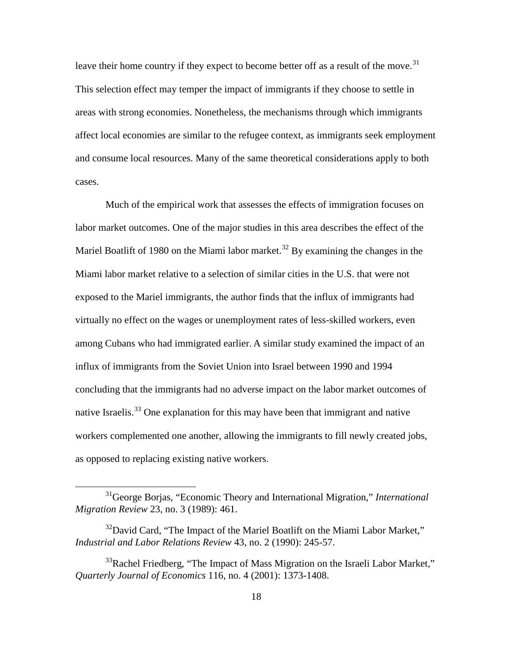leave their home country if they expect to become better off as a result of the move.<sup>[31](#page-27-0)</sup> This selection effect may temper the impact of immigrants if they choose to settle in areas with strong economies. Nonetheless, the mechanisms through which immigrants affect local economies are similar to the refugee context, as immigrants seek employment and consume local resources. Many of the same theoretical considerations apply to both cases.

Much of the empirical work that assesses the effects of immigration focuses on labor market outcomes. One of the major studies in this area describes the effect of the Mariel Boatlift of 1980 on the Miami labor market.<sup>[32](#page-27-1)</sup> By examining the changes in the Miami labor market relative to a selection of similar cities in the U.S. that were not exposed to the Mariel immigrants, the author finds that the influx of immigrants had virtually no effect on the wages or unemployment rates of less-skilled workers, even among Cubans who had immigrated earlier. A similar study examined the impact of an influx of immigrants from the Soviet Union into Israel between 1990 and 1994 concluding that the immigrants had no adverse impact on the labor market outcomes of native Israelis.<sup>[33](#page-27-2)</sup> One explanation for this may have been that immigrant and native workers complemented one another, allowing the immigrants to fill newly created jobs, as opposed to replacing existing native workers.

<span id="page-27-0"></span><sup>31</sup>George Borjas, "Economic Theory and International Migration," *International Migration Review* 23, no. 3 (1989): 461.

<span id="page-27-1"></span> $32^3$ David Card, "The Impact of the Mariel Boatlift on the Miami Labor Market," *Industrial and Labor Relations Review* 43, no. 2 (1990): 245-57.

<span id="page-27-2"></span> $33R$ achel Friedberg, "The Impact of Mass Migration on the Israeli Labor Market," *Quarterly Journal of Economics* 116, no. 4 (2001): 1373-1408.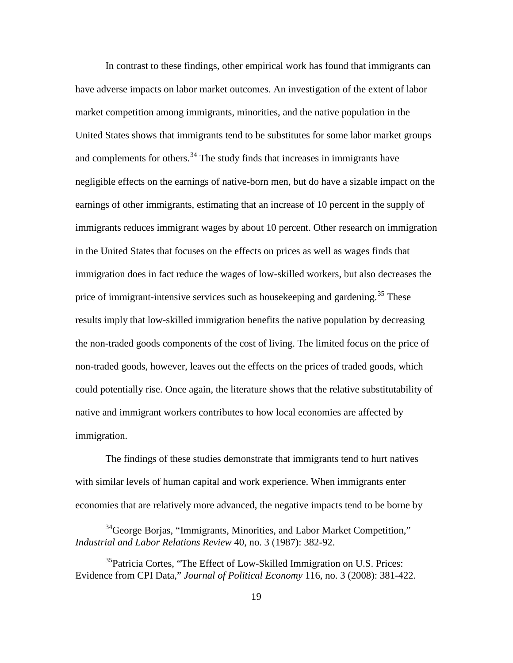In contrast to these findings, other empirical work has found that immigrants can have adverse impacts on labor market outcomes. An investigation of the extent of labor market competition among immigrants, minorities, and the native population in the United States shows that immigrants tend to be substitutes for some labor market groups and complements for others.<sup>[34](#page-28-0)</sup> The study finds that increases in immigrants have negligible effects on the earnings of native-born men, but do have a sizable impact on the earnings of other immigrants, estimating that an increase of 10 percent in the supply of immigrants reduces immigrant wages by about 10 percent. Other research on immigration in the United States that focuses on the effects on prices as well as wages finds that immigration does in fact reduce the wages of low-skilled workers, but also decreases the price of immigrant-intensive services such as house keeping and gardening.<sup>[35](#page-28-1)</sup> These results imply that low-skilled immigration benefits the native population by decreasing the non-traded goods components of the cost of living. The limited focus on the price of non-traded goods, however, leaves out the effects on the prices of traded goods, which could potentially rise. Once again, the literature shows that the relative substitutability of native and immigrant workers contributes to how local economies are affected by immigration.

The findings of these studies demonstrate that immigrants tend to hurt natives with similar levels of human capital and work experience. When immigrants enter economies that are relatively more advanced, the negative impacts tend to be borne by

<span id="page-28-0"></span> $34$ George Borjas, "Immigrants, Minorities, and Labor Market Competition," *Industrial and Labor Relations Review* 40, no. 3 (1987): 382-92.

<span id="page-28-1"></span><sup>&</sup>lt;sup>35</sup>Patricia Cortes, "The Effect of Low-Skilled Immigration on U.S. Prices: Evidence from CPI Data," *Journal of Political Economy* 116, no. 3 (2008): 381-422.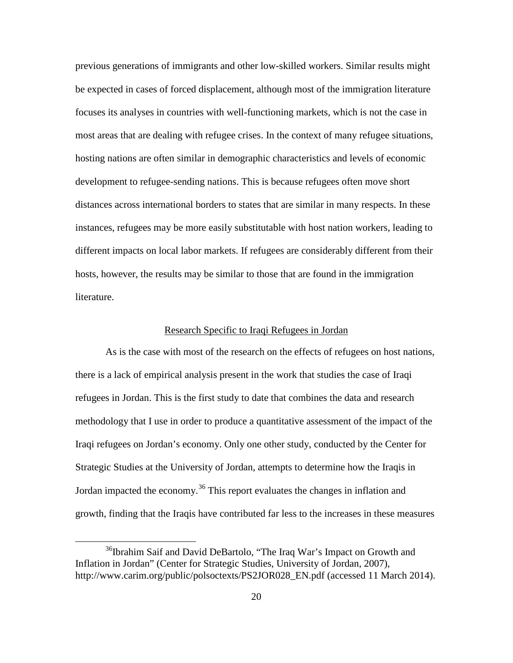previous generations of immigrants and other low-skilled workers. Similar results might be expected in cases of forced displacement, although most of the immigration literature focuses its analyses in countries with well-functioning markets, which is not the case in most areas that are dealing with refugee crises. In the context of many refugee situations, hosting nations are often similar in demographic characteristics and levels of economic development to refugee-sending nations. This is because refugees often move short distances across international borders to states that are similar in many respects. In these instances, refugees may be more easily substitutable with host nation workers, leading to different impacts on local labor markets. If refugees are considerably different from their hosts, however, the results may be similar to those that are found in the immigration literature.

#### Research Specific to Iraqi Refugees in Jordan

As is the case with most of the research on the effects of refugees on host nations, there is a lack of empirical analysis present in the work that studies the case of Iraqi refugees in Jordan. This is the first study to date that combines the data and research methodology that I use in order to produce a quantitative assessment of the impact of the Iraqi refugees on Jordan's economy. Only one other study, conducted by the Center for Strategic Studies at the University of Jordan, attempts to determine how the Iraqis in Jordan impacted the economy.<sup>[36](#page-29-0)</sup> This report evaluates the changes in inflation and growth, finding that the Iraqis have contributed far less to the increases in these measures

<span id="page-29-0"></span><sup>&</sup>lt;sup>36</sup>Ibrahim Saif and David DeBartolo, "The Iraq War's Impact on Growth and Inflation in Jordan" (Center for Strategic Studies, University of Jordan, 2007), http://www.carim.org/public/polsoctexts/PS2JOR028\_EN.pdf (accessed 11 March 2014).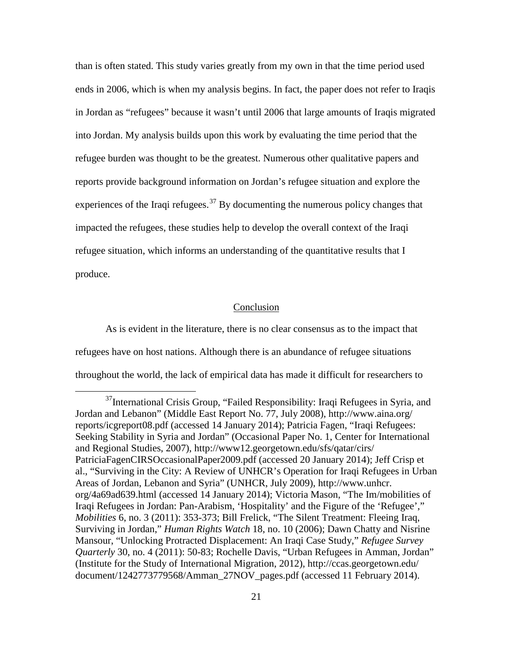than is often stated. This study varies greatly from my own in that the time period used ends in 2006, which is when my analysis begins. In fact, the paper does not refer to Iraqis in Jordan as "refugees" because it wasn't until 2006 that large amounts of Iraqis migrated into Jordan. My analysis builds upon this work by evaluating the time period that the refugee burden was thought to be the greatest. Numerous other qualitative papers and reports provide background information on Jordan's refugee situation and explore the experiences of the Iraqi refugees.<sup>[37](#page-30-0)</sup> By documenting the numerous policy changes that impacted the refugees, these studies help to develop the overall context of the Iraqi refugee situation, which informs an understanding of the quantitative results that I produce.

#### Conclusion

As is evident in the literature, there is no clear consensus as to the impact that refugees have on host nations. Although there is an abundance of refugee situations throughout the world, the lack of empirical data has made it difficult for researchers to

<span id="page-30-0"></span><sup>&</sup>lt;sup>37</sup>International Crisis Group, "Failed Responsibility: Iraqi Refugees in Syria, and Jordan and Lebanon" (Middle East Report No. 77, July 2008), http://www.aina.org/ reports/icgreport08.pdf (accessed 14 January 2014); Patricia Fagen, "Iraqi Refugees: Seeking Stability in Syria and Jordan" (Occasional Paper No. 1, Center for International and Regional Studies, 2007), http://www12.georgetown.edu/sfs/qatar/cirs/ PatriciaFagenCIRSOccasionalPaper2009.pdf (accessed 20 January 2014); Jeff Crisp et al., "Surviving in the City: A Review of UNHCR's Operation for Iraqi Refugees in Urban Areas of Jordan, Lebanon and Syria" (UNHCR, July 2009), http://www.unhcr. org/4a69ad639.html (accessed 14 January 2014); Victoria Mason, "The Im/mobilities of Iraqi Refugees in Jordan: Pan-Arabism, 'Hospitality' and the Figure of the 'Refugee'," *Mobilities* 6, no. 3 (2011): 353-373; Bill Frelick, "The Silent Treatment: Fleeing Iraq, Surviving in Jordan," *Human Rights Watch* 18, no. 10 (2006); Dawn Chatty and Nisrine Mansour, "Unlocking Protracted Displacement: An Iraqi Case Study," *Refugee Survey Quarterly* 30, no. 4 (2011): 50-83; Rochelle Davis, "Urban Refugees in Amman, Jordan" (Institute for the Study of International Migration, 2012), http://ccas.georgetown.edu/ document/1242773779568/Amman\_27NOV\_pages.pdf (accessed 11 February 2014).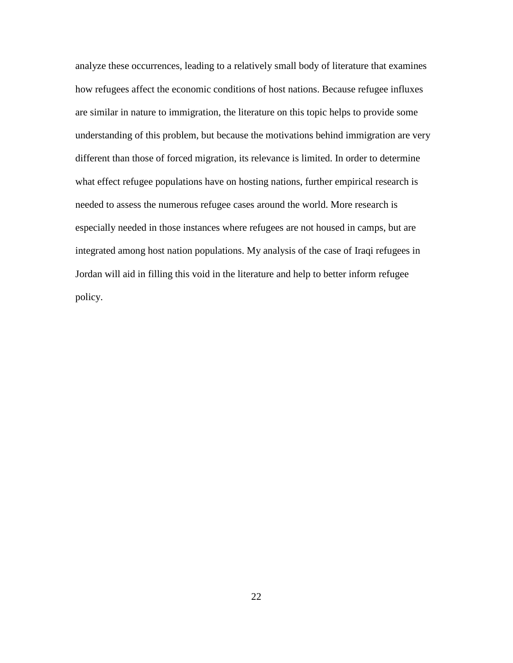analyze these occurrences, leading to a relatively small body of literature that examines how refugees affect the economic conditions of host nations. Because refugee influxes are similar in nature to immigration, the literature on this topic helps to provide some understanding of this problem, but because the motivations behind immigration are very different than those of forced migration, its relevance is limited. In order to determine what effect refugee populations have on hosting nations, further empirical research is needed to assess the numerous refugee cases around the world. More research is especially needed in those instances where refugees are not housed in camps, but are integrated among host nation populations. My analysis of the case of Iraqi refugees in Jordan will aid in filling this void in the literature and help to better inform refugee policy.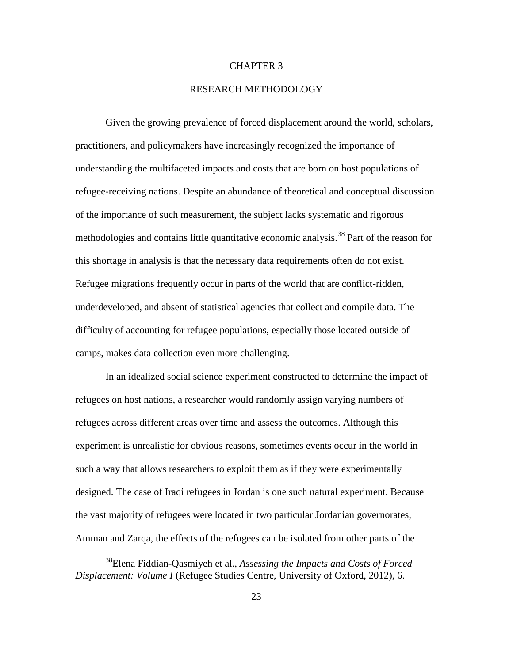#### CHAPTER 3

#### RESEARCH METHODOLOGY

Given the growing prevalence of forced displacement around the world, scholars, practitioners, and policymakers have increasingly recognized the importance of understanding the multifaceted impacts and costs that are born on host populations of refugee-receiving nations. Despite an abundance of theoretical and conceptual discussion of the importance of such measurement, the subject lacks systematic and rigorous methodologies and contains little quantitative economic analysis.<sup>[38](#page-32-0)</sup> Part of the reason for this shortage in analysis is that the necessary data requirements often do not exist. Refugee migrations frequently occur in parts of the world that are conflict-ridden, underdeveloped, and absent of statistical agencies that collect and compile data. The difficulty of accounting for refugee populations, especially those located outside of camps, makes data collection even more challenging.

In an idealized social science experiment constructed to determine the impact of refugees on host nations, a researcher would randomly assign varying numbers of refugees across different areas over time and assess the outcomes. Although this experiment is unrealistic for obvious reasons, sometimes events occur in the world in such a way that allows researchers to exploit them as if they were experimentally designed. The case of Iraqi refugees in Jordan is one such natural experiment. Because the vast majority of refugees were located in two particular Jordanian governorates, Amman and Zarqa, the effects of the refugees can be isolated from other parts of the

<span id="page-32-0"></span><sup>38</sup>Elena Fiddian-Qasmiyeh et al., *Assessing the Impacts and Costs of Forced Displacement: Volume I* (Refugee Studies Centre, University of Oxford, 2012), 6.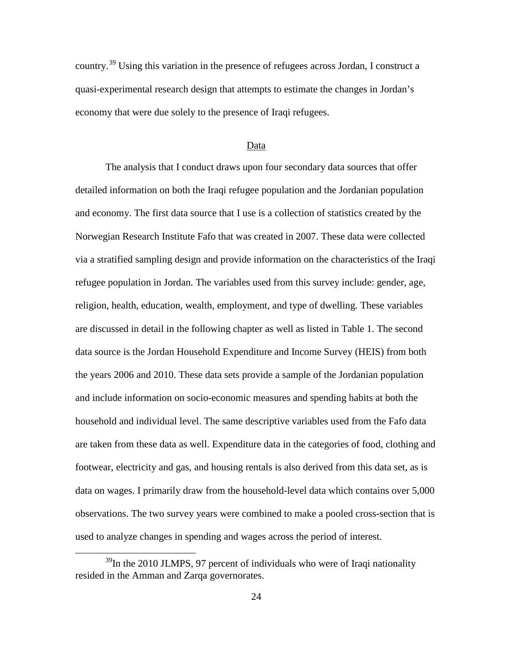country.<sup>[39](#page-33-0)</sup> Using this variation in the presence of refugees across Jordan, I construct a quasi-experimental research design that attempts to estimate the changes in Jordan's economy that were due solely to the presence of Iraqi refugees.

#### Data

The analysis that I conduct draws upon four secondary data sources that offer detailed information on both the Iraqi refugee population and the Jordanian population and economy. The first data source that I use is a collection of statistics created by the Norwegian Research Institute Fafo that was created in 2007. These data were collected via a stratified sampling design and provide information on the characteristics of the Iraqi refugee population in Jordan. The variables used from this survey include: gender, age, religion, health, education, wealth, employment, and type of dwelling. These variables are discussed in detail in the following chapter as well as listed in Table 1. The second data source is the Jordan Household Expenditure and Income Survey (HEIS) from both the years 2006 and 2010. These data sets provide a sample of the Jordanian population and include information on socio-economic measures and spending habits at both the household and individual level. The same descriptive variables used from the Fafo data are taken from these data as well. Expenditure data in the categories of food, clothing and footwear, electricity and gas, and housing rentals is also derived from this data set, as is data on wages. I primarily draw from the household-level data which contains over 5,000 observations. The two survey years were combined to make a pooled cross-section that is used to analyze changes in spending and wages across the period of interest.

<span id="page-33-0"></span> $39$ In the 2010 JLMPS, 97 percent of individuals who were of Iraqi nationality resided in the Amman and Zarqa governorates.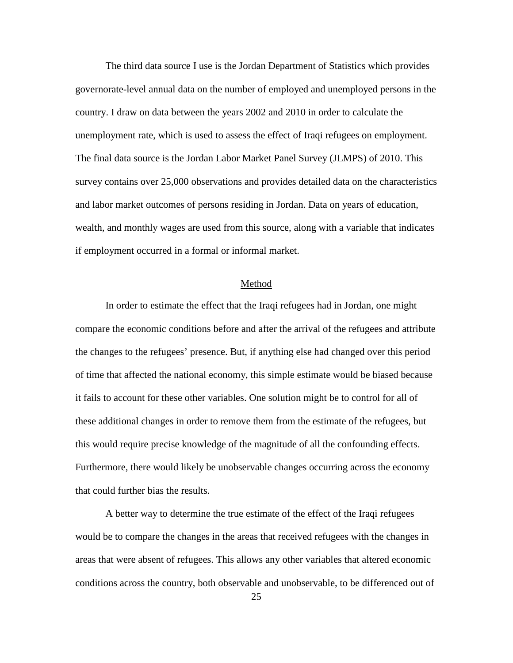The third data source I use is the Jordan Department of Statistics which provides governorate-level annual data on the number of employed and unemployed persons in the country. I draw on data between the years 2002 and 2010 in order to calculate the unemployment rate, which is used to assess the effect of Iraqi refugees on employment. The final data source is the Jordan Labor Market Panel Survey (JLMPS) of 2010. This survey contains over 25,000 observations and provides detailed data on the characteristics and labor market outcomes of persons residing in Jordan. Data on years of education, wealth, and monthly wages are used from this source, along with a variable that indicates if employment occurred in a formal or informal market.

#### Method

In order to estimate the effect that the Iraqi refugees had in Jordan, one might compare the economic conditions before and after the arrival of the refugees and attribute the changes to the refugees' presence. But, if anything else had changed over this period of time that affected the national economy, this simple estimate would be biased because it fails to account for these other variables. One solution might be to control for all of these additional changes in order to remove them from the estimate of the refugees, but this would require precise knowledge of the magnitude of all the confounding effects. Furthermore, there would likely be unobservable changes occurring across the economy that could further bias the results.

A better way to determine the true estimate of the effect of the Iraqi refugees would be to compare the changes in the areas that received refugees with the changes in areas that were absent of refugees. This allows any other variables that altered economic conditions across the country, both observable and unobservable, to be differenced out of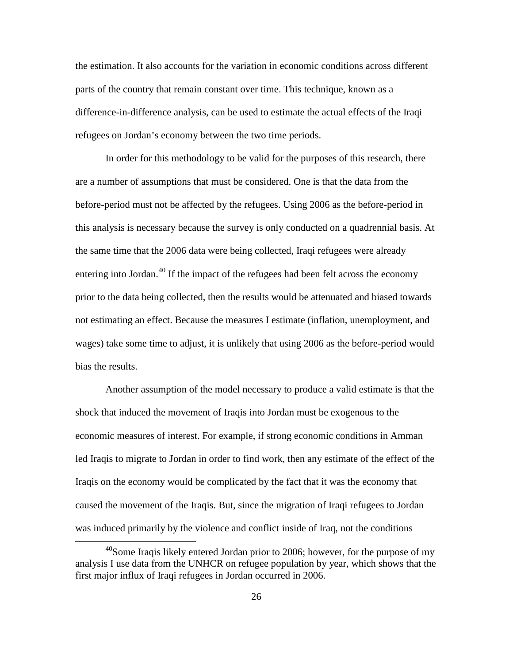the estimation. It also accounts for the variation in economic conditions across different parts of the country that remain constant over time. This technique, known as a difference-in-difference analysis, can be used to estimate the actual effects of the Iraqi refugees on Jordan's economy between the two time periods.

In order for this methodology to be valid for the purposes of this research, there are a number of assumptions that must be considered. One is that the data from the before-period must not be affected by the refugees. Using 2006 as the before-period in this analysis is necessary because the survey is only conducted on a quadrennial basis. At the same time that the 2006 data were being collected, Iraqi refugees were already entering into Jordan.<sup>[40](#page-35-0)</sup> If the impact of the refugees had been felt across the economy prior to the data being collected, then the results would be attenuated and biased towards not estimating an effect. Because the measures I estimate (inflation, unemployment, and wages) take some time to adjust, it is unlikely that using 2006 as the before-period would bias the results.

Another assumption of the model necessary to produce a valid estimate is that the shock that induced the movement of Iraqis into Jordan must be exogenous to the economic measures of interest. For example, if strong economic conditions in Amman led Iraqis to migrate to Jordan in order to find work, then any estimate of the effect of the Iraqis on the economy would be complicated by the fact that it was the economy that caused the movement of the Iraqis. But, since the migration of Iraqi refugees to Jordan was induced primarily by the violence and conflict inside of Iraq, not the conditions

<span id="page-35-0"></span> $^{40}$ Some Iraqis likely entered Jordan prior to 2006; however, for the purpose of my analysis I use data from the UNHCR on refugee population by year, which shows that the first major influx of Iraqi refugees in Jordan occurred in 2006.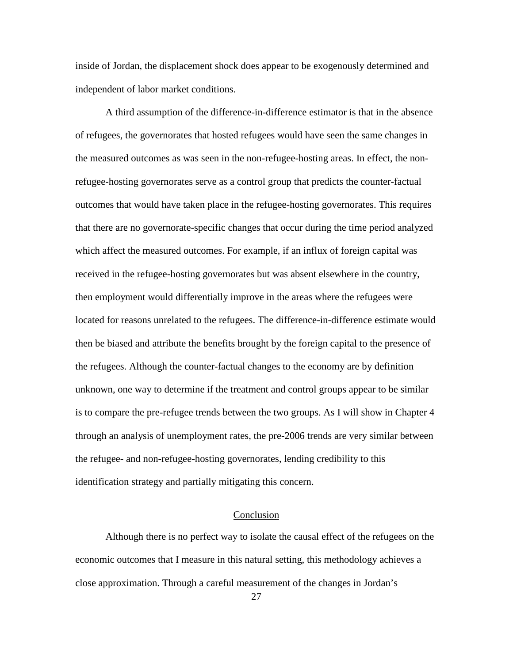inside of Jordan, the displacement shock does appear to be exogenously determined and independent of labor market conditions.

A third assumption of the difference-in-difference estimator is that in the absence of refugees, the governorates that hosted refugees would have seen the same changes in the measured outcomes as was seen in the non-refugee-hosting areas. In effect, the nonrefugee-hosting governorates serve as a control group that predicts the counter-factual outcomes that would have taken place in the refugee-hosting governorates. This requires that there are no governorate-specific changes that occur during the time period analyzed which affect the measured outcomes. For example, if an influx of foreign capital was received in the refugee-hosting governorates but was absent elsewhere in the country, then employment would differentially improve in the areas where the refugees were located for reasons unrelated to the refugees. The difference-in-difference estimate would then be biased and attribute the benefits brought by the foreign capital to the presence of the refugees. Although the counter-factual changes to the economy are by definition unknown, one way to determine if the treatment and control groups appear to be similar is to compare the pre-refugee trends between the two groups. As I will show in Chapter 4 through an analysis of unemployment rates, the pre-2006 trends are very similar between the refugee- and non-refugee-hosting governorates, lending credibility to this identification strategy and partially mitigating this concern.

## Conclusion

Although there is no perfect way to isolate the causal effect of the refugees on the economic outcomes that I measure in this natural setting, this methodology achieves a close approximation. Through a careful measurement of the changes in Jordan's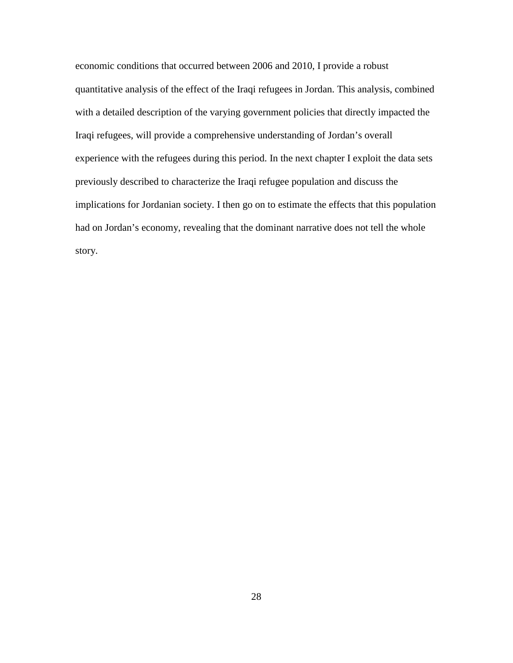economic conditions that occurred between 2006 and 2010, I provide a robust quantitative analysis of the effect of the Iraqi refugees in Jordan. This analysis, combined with a detailed description of the varying government policies that directly impacted the Iraqi refugees, will provide a comprehensive understanding of Jordan's overall experience with the refugees during this period. In the next chapter I exploit the data sets previously described to characterize the Iraqi refugee population and discuss the implications for Jordanian society. I then go on to estimate the effects that this population had on Jordan's economy, revealing that the dominant narrative does not tell the whole story.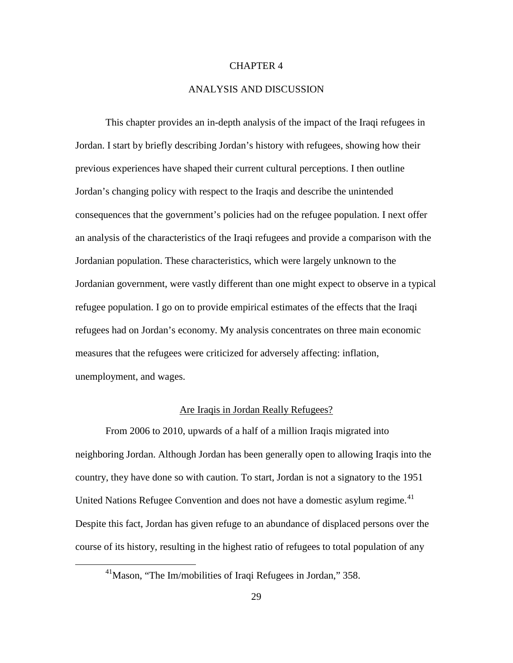### CHAPTER 4

### ANALYSIS AND DISCUSSION

This chapter provides an in-depth analysis of the impact of the Iraqi refugees in Jordan. I start by briefly describing Jordan's history with refugees, showing how their previous experiences have shaped their current cultural perceptions. I then outline Jordan's changing policy with respect to the Iraqis and describe the unintended consequences that the government's policies had on the refugee population. I next offer an analysis of the characteristics of the Iraqi refugees and provide a comparison with the Jordanian population. These characteristics, which were largely unknown to the Jordanian government, were vastly different than one might expect to observe in a typical refugee population. I go on to provide empirical estimates of the effects that the Iraqi refugees had on Jordan's economy. My analysis concentrates on three main economic measures that the refugees were criticized for adversely affecting: inflation, unemployment, and wages.

# Are Iraqis in Jordan Really Refugees?

From 2006 to 2010, upwards of a half of a million Iraqis migrated into neighboring Jordan. Although Jordan has been generally open to allowing Iraqis into the country, they have done so with caution. To start, Jordan is not a signatory to the 1951 United Nations Refugee Convention and does not have a domestic asylum regime.<sup>[41](#page-38-0)</sup> Despite this fact, Jordan has given refuge to an abundance of displaced persons over the course of its history, resulting in the highest ratio of refugees to total population of any

<span id="page-38-0"></span><sup>&</sup>lt;sup>41</sup>Mason, "The Im/mobilities of Iraqi Refugees in Jordan," 358.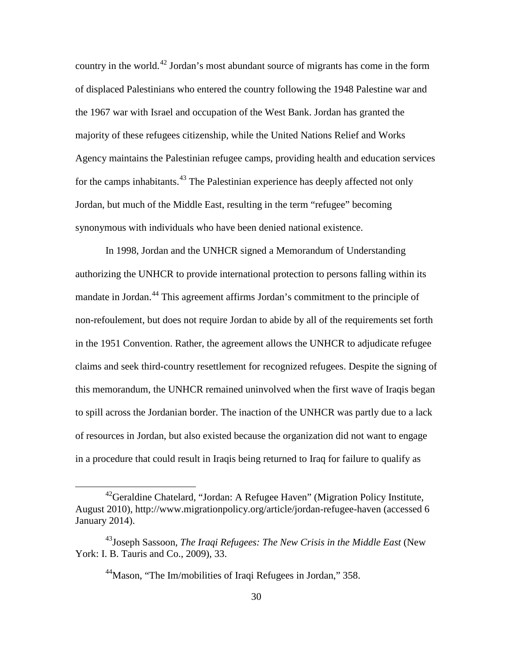country in the world.<sup>[42](#page-39-0)</sup> Jordan's most abundant source of migrants has come in the form of displaced Palestinians who entered the country following the 1948 Palestine war and the 1967 war with Israel and occupation of the West Bank. Jordan has granted the majority of these refugees citizenship, while the United Nations Relief and Works Agency maintains the Palestinian refugee camps, providing health and education services for the camps inhabitants.<sup>[43](#page-39-1)</sup> The Palestinian experience has deeply affected not only Jordan, but much of the Middle East, resulting in the term "refugee" becoming synonymous with individuals who have been denied national existence.

In 1998, Jordan and the UNHCR signed a Memorandum of Understanding authorizing the UNHCR to provide international protection to persons falling within its mandate in Jordan.<sup>[44](#page-39-2)</sup> This agreement affirms Jordan's commitment to the principle of non-refoulement, but does not require Jordan to abide by all of the requirements set forth in the 1951 Convention. Rather, the agreement allows the UNHCR to adjudicate refugee claims and seek third-country resettlement for recognized refugees. Despite the signing of this memorandum, the UNHCR remained uninvolved when the first wave of Iraqis began to spill across the Jordanian border. The inaction of the UNHCR was partly due to a lack of resources in Jordan, but also existed because the organization did not want to engage in a procedure that could result in Iraqis being returned to Iraq for failure to qualify as

<span id="page-39-0"></span><sup>42</sup>Geraldine Chatelard, "Jordan: A Refugee Haven" (Migration Policy Institute, August 2010), http://www.migrationpolicy.org/article/jordan-refugee-haven (accessed 6 January 2014).

<span id="page-39-2"></span><span id="page-39-1"></span><sup>&</sup>lt;sup>43</sup> Joseph Sassoon, *The Iraqi Refugees: The New Crisis in the Middle East* (New York: I. B. Tauris and Co., 2009), 33.

<sup>&</sup>lt;sup>44</sup>Mason, "The Im/mobilities of Iraqi Refugees in Jordan," 358.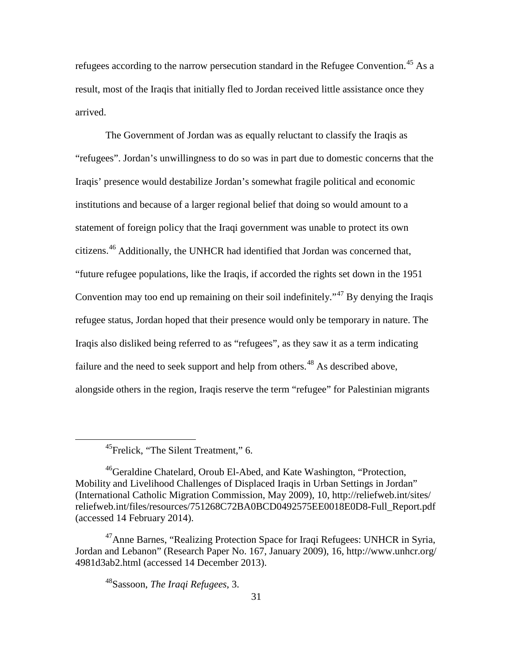refugees according to the narrow persecution standard in the Refugee Convention.<sup>[45](#page-40-0)</sup> As a result, most of the Iraqis that initially fled to Jordan received little assistance once they arrived.

The Government of Jordan was as equally reluctant to classify the Iraqis as "refugees". Jordan's unwillingness to do so was in part due to domestic concerns that the Iraqis' presence would destabilize Jordan's somewhat fragile political and economic institutions and because of a larger regional belief that doing so would amount to a statement of foreign policy that the Iraqi government was unable to protect its own citizens.<sup>[46](#page-40-1)</sup> Additionally, the UNHCR had identified that Jordan was concerned that, "future refugee populations, like the Iraqis, if accorded the rights set down in the 1951 Convention may too end up remaining on their soil indefinitely.<sup> $37$ </sup> By denying the Iraqis refugee status, Jordan hoped that their presence would only be temporary in nature. The Iraqis also disliked being referred to as "refugees", as they saw it as a term indicating failure and the need to seek support and help from others.<sup>[48](#page-40-3)</sup> As described above, alongside others in the region, Iraqis reserve the term "refugee" for Palestinian migrants

<sup>45</sup>Frelick, "The Silent Treatment," 6.

<span id="page-40-1"></span><span id="page-40-0"></span><sup>&</sup>lt;sup>46</sup>Geraldine Chatelard, Oroub El-Abed, and Kate Washington, "Protection, Mobility and Livelihood Challenges of Displaced Iraqis in Urban Settings in Jordan" (International Catholic Migration Commission, May 2009), 10, http://reliefweb.int/sites/ reliefweb.int/files/resources/751268C72BA0BCD0492575EE0018E0D8-Full\_Report.pdf (accessed 14 February 2014).

<span id="page-40-3"></span><span id="page-40-2"></span><sup>&</sup>lt;sup>47</sup>Anne Barnes, "Realizing Protection Space for Iraqi Refugees: UNHCR in Syria, Jordan and Lebanon" (Research Paper No. 167, January 2009), 16, http://www.unhcr.org/ 4981d3ab2.html (accessed 14 December 2013).

<sup>48</sup>Sassoon, *The Iraqi Refugees*, 3.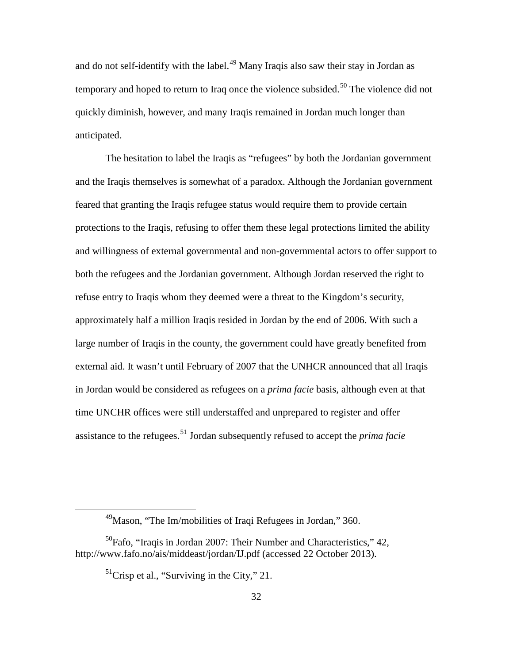and do not self-identify with the label.<sup>[49](#page-41-0)</sup> Many Iraqis also saw their stay in Jordan as temporary and hoped to return to Iraq once the violence subsided.<sup>[50](#page-41-1)</sup> The violence did not quickly diminish, however, and many Iraqis remained in Jordan much longer than anticipated.

The hesitation to label the Iraqis as "refugees" by both the Jordanian government and the Iraqis themselves is somewhat of a paradox. Although the Jordanian government feared that granting the Iraqis refugee status would require them to provide certain protections to the Iraqis, refusing to offer them these legal protections limited the ability and willingness of external governmental and non-governmental actors to offer support to both the refugees and the Jordanian government. Although Jordan reserved the right to refuse entry to Iraqis whom they deemed were a threat to the Kingdom's security, approximately half a million Iraqis resided in Jordan by the end of 2006. With such a large number of Iraqis in the county, the government could have greatly benefited from external aid. It wasn't until February of 2007 that the UNHCR announced that all Iraqis in Jordan would be considered as refugees on a *prima facie* basis, although even at that time UNCHR offices were still understaffed and unprepared to register and offer assistance to the refugees.[51](#page-41-2) Jordan subsequently refused to accept the *prima facie* 

 $^{49}$ Mason, "The Im/mobilities of Iraqi Refugees in Jordan," 360.

<span id="page-41-2"></span><span id="page-41-1"></span><span id="page-41-0"></span><sup>50</sup>Fafo, "Iraqis in Jordan 2007: Their Number and Characteristics," 42, http://www.fafo.no/ais/middeast/jordan/IJ.pdf (accessed 22 October 2013).

 $<sup>51</sup>$ Crisp et al., "Surviving in the City," 21.</sup>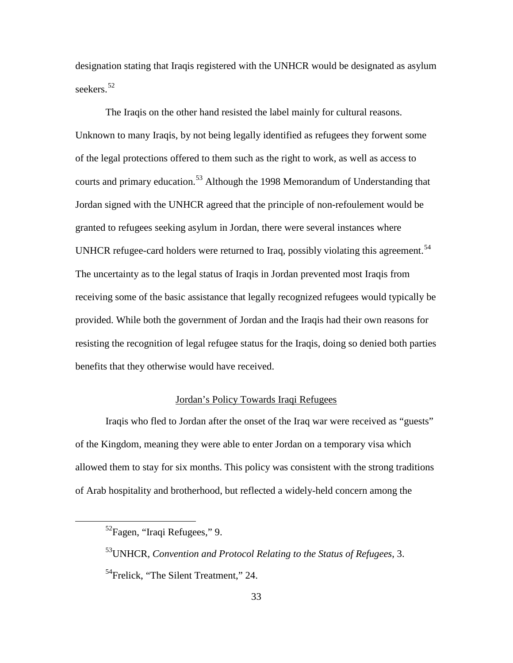designation stating that Iraqis registered with the UNHCR would be designated as asylum seekers.<sup>[52](#page-42-0)</sup>

The Iraqis on the other hand resisted the label mainly for cultural reasons. Unknown to many Iraqis, by not being legally identified as refugees they forwent some of the legal protections offered to them such as the right to work, as well as access to courts and primary education.<sup>[53](#page-42-1)</sup> Although the 1998 Memorandum of Understanding that Jordan signed with the UNHCR agreed that the principle of non-refoulement would be granted to refugees seeking asylum in Jordan, there were several instances where UNHCR refugee-card holders were returned to Iraq, possibly violating this agreement.<sup>[54](#page-42-2)</sup> The uncertainty as to the legal status of Iraqis in Jordan prevented most Iraqis from receiving some of the basic assistance that legally recognized refugees would typically be provided. While both the government of Jordan and the Iraqis had their own reasons for resisting the recognition of legal refugee status for the Iraqis, doing so denied both parties benefits that they otherwise would have received.

## Jordan's Policy Towards Iraqi Refugees

Iraqis who fled to Jordan after the onset of the Iraq war were received as "guests" of the Kingdom, meaning they were able to enter Jordan on a temporary visa which allowed them to stay for six months. This policy was consistent with the strong traditions of Arab hospitality and brotherhood, but reflected a widely-held concern among the

<span id="page-42-0"></span><sup>52</sup>Fagen, "Iraqi Refugees," 9.

<span id="page-42-2"></span><span id="page-42-1"></span><sup>53</sup>UNHCR, *Convention and Protocol Relating to the Status of Refugees*, 3. <sup>54</sup>Frelick, "The Silent Treatment," 24.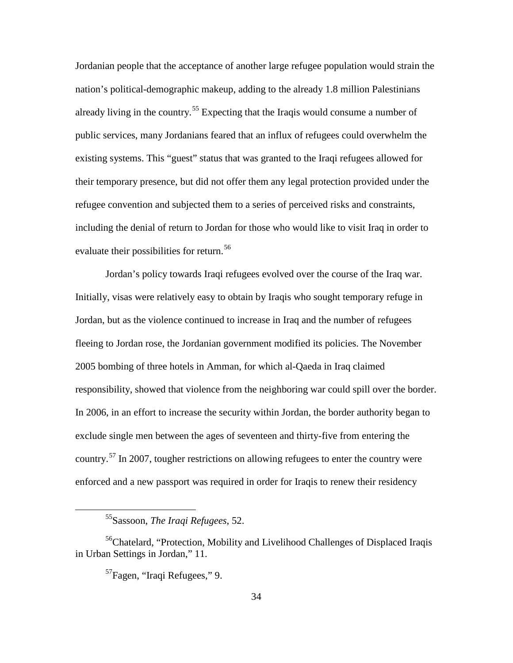Jordanian people that the acceptance of another large refugee population would strain the nation's political-demographic makeup, adding to the already 1.8 million Palestinians already living in the country.<sup>[55](#page-43-0)</sup> Expecting that the Iraqis would consume a number of public services, many Jordanians feared that an influx of refugees could overwhelm the existing systems. This "guest" status that was granted to the Iraqi refugees allowed for their temporary presence, but did not offer them any legal protection provided under the refugee convention and subjected them to a series of perceived risks and constraints, including the denial of return to Jordan for those who would like to visit Iraq in order to evaluate their possibilities for return.<sup>[56](#page-43-1)</sup>

Jordan's policy towards Iraqi refugees evolved over the course of the Iraq war. Initially, visas were relatively easy to obtain by Iraqis who sought temporary refuge in Jordan, but as the violence continued to increase in Iraq and the number of refugees fleeing to Jordan rose, the Jordanian government modified its policies. The November 2005 bombing of three hotels in Amman, for which al-Qaeda in Iraq claimed responsibility, showed that violence from the neighboring war could spill over the border. In 2006, in an effort to increase the security within Jordan, the border authority began to exclude single men between the ages of seventeen and thirty-five from entering the country.<sup>[57](#page-43-2)</sup> In 2007, tougher restrictions on allowing refugees to enter the country were enforced and a new passport was required in order for Iraqis to renew their residency

<sup>55</sup>Sassoon, *The Iraqi Refugees*, 52.

<span id="page-43-2"></span><span id="page-43-1"></span><span id="page-43-0"></span><sup>&</sup>lt;sup>56</sup>Chatelard, "Protection, Mobility and Livelihood Challenges of Displaced Iraqis in Urban Settings in Jordan," 11.

<sup>57</sup>Fagen, "Iraqi Refugees," 9.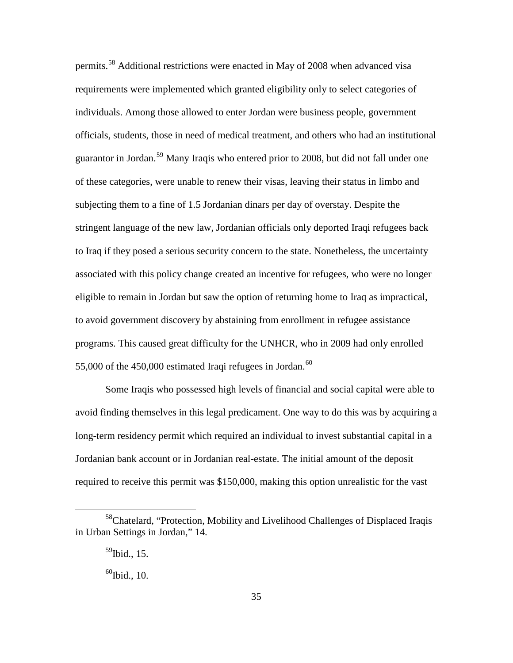permits.<sup>[58](#page-44-0)</sup> Additional restrictions were enacted in May of 2008 when advanced visa requirements were implemented which granted eligibility only to select categories of individuals. Among those allowed to enter Jordan were business people, government officials, students, those in need of medical treatment, and others who had an institutional guarantor in Jordan.[59](#page-44-1) Many Iraqis who entered prior to 2008, but did not fall under one of these categories, were unable to renew their visas, leaving their status in limbo and subjecting them to a fine of 1.5 Jordanian dinars per day of overstay. Despite the stringent language of the new law, Jordanian officials only deported Iraqi refugees back to Iraq if they posed a serious security concern to the state. Nonetheless, the uncertainty associated with this policy change created an incentive for refugees, who were no longer eligible to remain in Jordan but saw the option of returning home to Iraq as impractical, to avoid government discovery by abstaining from enrollment in refugee assistance programs. This caused great difficulty for the UNHCR, who in 2009 had only enrolled 55,000 of the  $450,000$  estimated Iraqi refugees in Jordan.<sup>[60](#page-44-2)</sup>

Some Iraqis who possessed high levels of financial and social capital were able to avoid finding themselves in this legal predicament. One way to do this was by acquiring a long-term residency permit which required an individual to invest substantial capital in a Jordanian bank account or in Jordanian real-estate. The initial amount of the deposit required to receive this permit was \$150,000, making this option unrealistic for the vast

<span id="page-44-2"></span><span id="page-44-1"></span><span id="page-44-0"></span><sup>58</sup>Chatelard, "Protection, Mobility and Livelihood Challenges of Displaced Iraqis in Urban Settings in Jordan," 14.

 $^{59}$ Ibid., 15.

 $60$ Ibid., 10.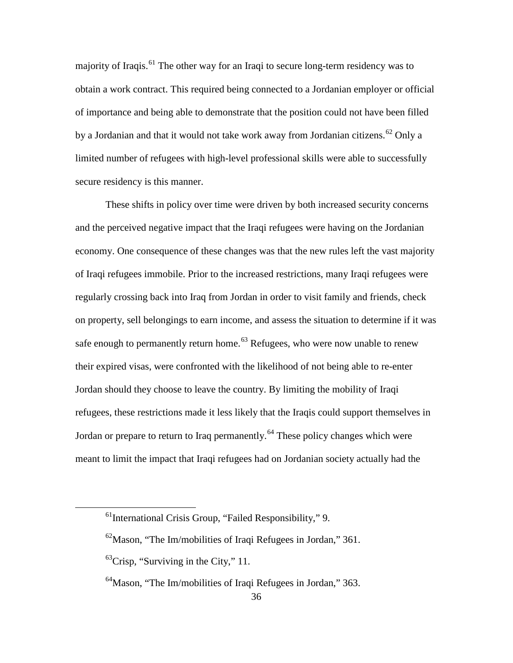majority of Iraqis.<sup>[61](#page-45-0)</sup> The other way for an Iraqi to secure long-term residency was to obtain a work contract. This required being connected to a Jordanian employer or official of importance and being able to demonstrate that the position could not have been filled by a Jordanian and that it would not take work away from Jordanian citizens.<sup>[62](#page-45-1)</sup> Only a limited number of refugees with high-level professional skills were able to successfully secure residency is this manner.

These shifts in policy over time were driven by both increased security concerns and the perceived negative impact that the Iraqi refugees were having on the Jordanian economy. One consequence of these changes was that the new rules left the vast majority of Iraqi refugees immobile. Prior to the increased restrictions, many Iraqi refugees were regularly crossing back into Iraq from Jordan in order to visit family and friends, check on property, sell belongings to earn income, and assess the situation to determine if it was safe enough to permanently return home.<sup>[63](#page-45-2)</sup> Refugees, who were now unable to renew their expired visas, were confronted with the likelihood of not being able to re-enter Jordan should they choose to leave the country. By limiting the mobility of Iraqi refugees, these restrictions made it less likely that the Iraqis could support themselves in Jordan or prepare to return to Iraq permanently.<sup>[64](#page-45-3)</sup> These policy changes which were meant to limit the impact that Iraqi refugees had on Jordanian society actually had the

<span id="page-45-0"></span> $<sup>61</sup>$ International Crisis Group, "Failed Responsibility," 9.</sup>

<span id="page-45-1"></span> $^{62}$ Mason, "The Im/mobilities of Iraqi Refugees in Jordan," 361.

<span id="page-45-2"></span> $^{63}$ Crisp, "Surviving in the City," 11.

<span id="page-45-3"></span><sup>&</sup>lt;sup>64</sup>Mason, "The Im/mobilities of Iraqi Refugees in Jordan," 363.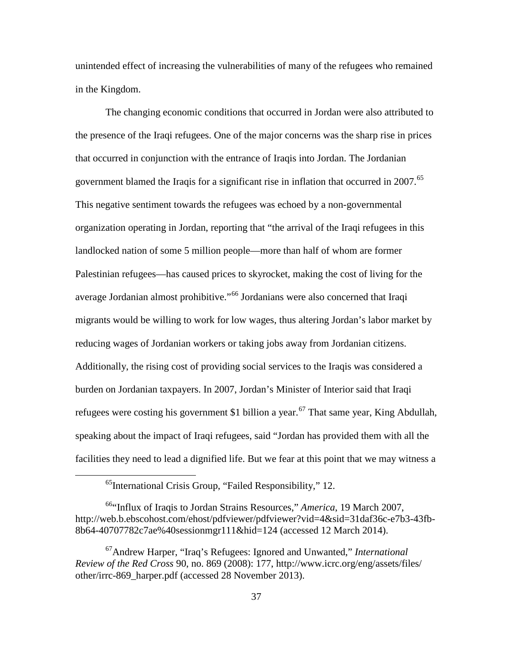unintended effect of increasing the vulnerabilities of many of the refugees who remained in the Kingdom.

The changing economic conditions that occurred in Jordan were also attributed to the presence of the Iraqi refugees. One of the major concerns was the sharp rise in prices that occurred in conjunction with the entrance of Iraqis into Jordan. The Jordanian government blamed the Iraqis for a significant rise in inflation that occurred in 2007.<sup>[65](#page-46-0)</sup> This negative sentiment towards the refugees was echoed by a non-governmental organization operating in Jordan, reporting that "the arrival of the Iraqi refugees in this landlocked nation of some 5 million people—more than half of whom are former Palestinian refugees—has caused prices to skyrocket, making the cost of living for the average Jordanian almost prohibitive."[66](#page-46-1) Jordanians were also concerned that Iraqi migrants would be willing to work for low wages, thus altering Jordan's labor market by reducing wages of Jordanian workers or taking jobs away from Jordanian citizens. Additionally, the rising cost of providing social services to the Iraqis was considered a burden on Jordanian taxpayers. In 2007, Jordan's Minister of Interior said that Iraqi refugees were costing his government \$1 billion a year.<sup>[67](#page-46-2)</sup> That same year, King Abdullah, speaking about the impact of Iraqi refugees, said "Jordan has provided them with all the facilities they need to lead a dignified life. But we fear at this point that we may witness a

<sup>&</sup>lt;sup>65</sup>International Crisis Group, "Failed Responsibility," 12.

<span id="page-46-1"></span><span id="page-46-0"></span><sup>66&</sup>quot;Influx of Iraqis to Jordan Strains Resources," *America*, 19 March 2007, http://web.b.ebscohost.com/ehost/pdfviewer/pdfviewer?vid=4&sid=31daf36c-e7b3-43fb-8b64-40707782c7ae%40sessionmgr111&hid=124 (accessed 12 March 2014).

<span id="page-46-2"></span><sup>67</sup>Andrew Harper, "Iraq's Refugees: Ignored and Unwanted," *International Review of the Red Cross* 90, no. 869 (2008): 177, http://www.icrc.org/eng/assets/files/ other/irrc-869\_harper.pdf (accessed 28 November 2013).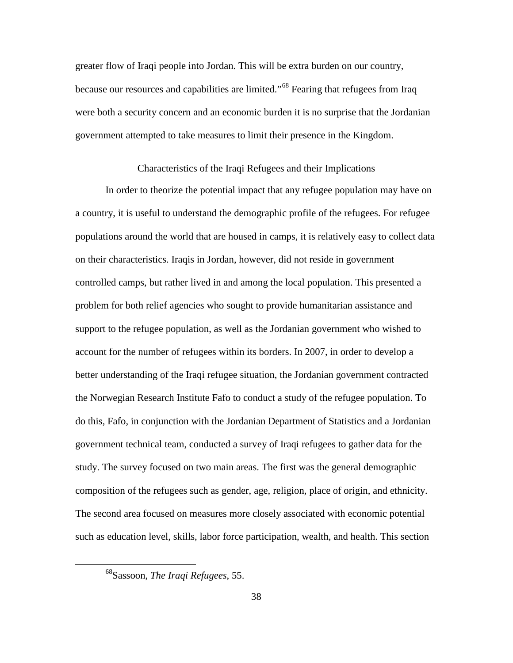greater flow of Iraqi people into Jordan. This will be extra burden on our country, because our resources and capabilities are limited."[68](#page-47-0) Fearing that refugees from Iraq were both a security concern and an economic burden it is no surprise that the Jordanian government attempted to take measures to limit their presence in the Kingdom.

#### Characteristics of the Iraqi Refugees and their Implications

In order to theorize the potential impact that any refugee population may have on a country, it is useful to understand the demographic profile of the refugees. For refugee populations around the world that are housed in camps, it is relatively easy to collect data on their characteristics. Iraqis in Jordan, however, did not reside in government controlled camps, but rather lived in and among the local population. This presented a problem for both relief agencies who sought to provide humanitarian assistance and support to the refugee population, as well as the Jordanian government who wished to account for the number of refugees within its borders. In 2007, in order to develop a better understanding of the Iraqi refugee situation, the Jordanian government contracted the Norwegian Research Institute Fafo to conduct a study of the refugee population. To do this, Fafo, in conjunction with the Jordanian Department of Statistics and a Jordanian government technical team, conducted a survey of Iraqi refugees to gather data for the study. The survey focused on two main areas. The first was the general demographic composition of the refugees such as gender, age, religion, place of origin, and ethnicity. The second area focused on measures more closely associated with economic potential such as education level, skills, labor force participation, wealth, and health. This section

<span id="page-47-0"></span><sup>68</sup>Sassoon, *The Iraqi Refugees*, 55.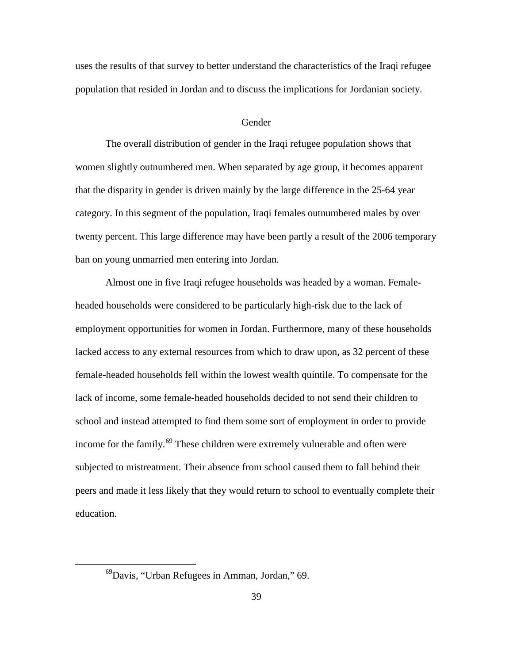uses the results of that survey to better understand the characteristics of the Iraqi refugee population that resided in Jordan and to discuss the implications for Jordanian society.

#### Gender

The overall distribution of gender in the Iraqi refugee population shows that women slightly outnumbered men. When separated by age group, it becomes apparent that the disparity in gender is driven mainly by the large difference in the 25-64 year category. In this segment of the population, Iraqi females outnumbered males by over twenty percent. This large difference may have been partly a result of the 2006 temporary ban on young unmarried men entering into Jordan.

Almost one in five Iraqi refugee households was headed by a woman. Femaleheaded households were considered to be particularly high-risk due to the lack of employment opportunities for women in Jordan. Furthermore, many of these households lacked access to any external resources from which to draw upon, as 32 percent of these female-headed households fell within the lowest wealth quintile. To compensate for the lack of income, some female-headed households decided to not send their children to school and instead attempted to find them some sort of employment in order to provide income for the family.<sup>[69](#page-48-0)</sup> These children were extremely vulnerable and often were subjected to mistreatment. Their absence from school caused them to fall behind their peers and made it less likely that they would return to school to eventually complete their education.

<span id="page-48-0"></span><sup>69</sup>Davis, "Urban Refugees in Amman, Jordan," 69.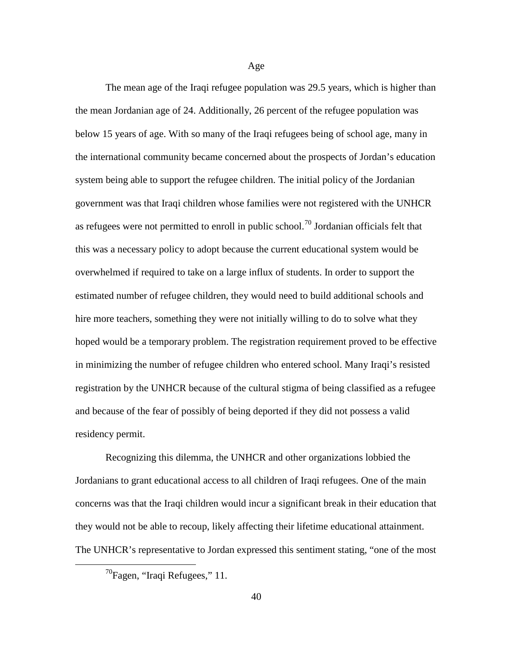The mean age of the Iraqi refugee population was 29.5 years, which is higher than the mean Jordanian age of 24. Additionally, 26 percent of the refugee population was below 15 years of age. With so many of the Iraqi refugees being of school age, many in the international community became concerned about the prospects of Jordan's education system being able to support the refugee children. The initial policy of the Jordanian government was that Iraqi children whose families were not registered with the UNHCR as refugees were not permitted to enroll in public school.<sup>[70](#page-49-0)</sup> Jordanian officials felt that this was a necessary policy to adopt because the current educational system would be overwhelmed if required to take on a large influx of students. In order to support the estimated number of refugee children, they would need to build additional schools and hire more teachers, something they were not initially willing to do to solve what they hoped would be a temporary problem. The registration requirement proved to be effective in minimizing the number of refugee children who entered school. Many Iraqi's resisted registration by the UNHCR because of the cultural stigma of being classified as a refugee and because of the fear of possibly of being deported if they did not possess a valid residency permit.

Recognizing this dilemma, the UNHCR and other organizations lobbied the Jordanians to grant educational access to all children of Iraqi refugees. One of the main concerns was that the Iraqi children would incur a significant break in their education that they would not be able to recoup, likely affecting their lifetime educational attainment. The UNHCR's representative to Jordan expressed this sentiment stating, "one of the most

<span id="page-49-0"></span><sup>70</sup>Fagen, "Iraqi Refugees," 11.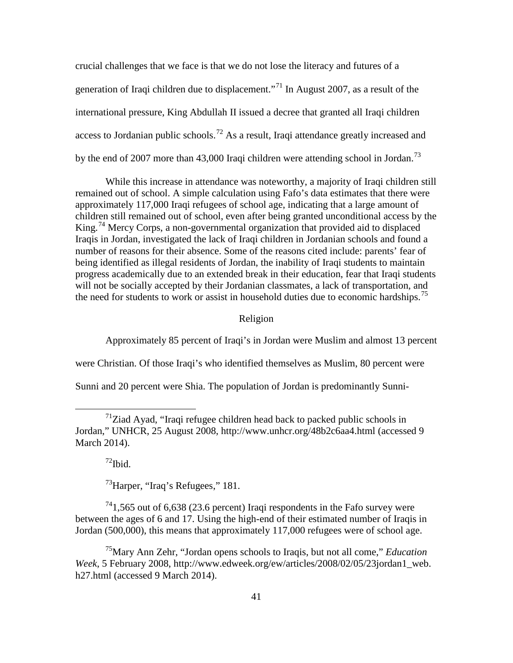crucial challenges that we face is that we do not lose the literacy and futures of a generation of Iraqi children due to displacement."<sup>[71](#page-50-0)</sup> In August 2007, as a result of the international pressure, King Abdullah II issued a decree that granted all Iraqi children access to Jordanian public schools.<sup>[72](#page-50-1)</sup> As a result, Iraqi attendance greatly increased and by the end of 2007 more than 43,000 Iraqi children were attending school in Jordan.<sup>[73](#page-50-2)</sup>

While this increase in attendance was noteworthy, a majority of Iraqi children still remained out of school. A simple calculation using Fafo's data estimates that there were approximately 117,000 Iraqi refugees of school age, indicating that a large amount of children still remained out of school, even after being granted unconditional access by the King.<sup>[74](#page-50-3)</sup> Mercy Corps, a non-governmental organization that provided aid to displaced Iraqis in Jordan, investigated the lack of Iraqi children in Jordanian schools and found a number of reasons for their absence. Some of the reasons cited include: parents' fear of being identified as illegal residents of Jordan, the inability of Iraqi students to maintain progress academically due to an extended break in their education, fear that Iraqi students will not be socially accepted by their Jordanian classmates, a lack of transportation, and the need for students to work or assist in household duties due to economic hardships.<sup>[75](#page-50-4)</sup>

Religion

Approximately 85 percent of Iraqi's in Jordan were Muslim and almost 13 percent were Christian. Of those Iraqi's who identified themselves as Muslim, 80 percent were

Sunni and 20 percent were Shia. The population of Jordan is predominantly Sunni-

 $72$ Ibid.

 $\overline{a}$ 

 $^{73}$ Harper, "Iraq's Refugees," 181.

<span id="page-50-3"></span><span id="page-50-2"></span><span id="page-50-1"></span> $^{74}$ 1,565 out of 6,638 (23.6 percent) Iraqi respondents in the Fafo survey were between the ages of 6 and 17. Using the high-end of their estimated number of Iraqis in Jordan (500,000), this means that approximately 117,000 refugees were of school age.

<span id="page-50-4"></span>75Mary Ann Zehr, "Jordan opens schools to Iraqis, but not all come," *Education Week*, 5 February 2008, http://www.edweek.org/ew/articles/2008/02/05/23jordan1\_web. h27.html (accessed 9 March 2014).

<span id="page-50-0"></span> $171$ Ziad Ayad, "Iraqi refugee children head back to packed public schools in Jordan," UNHCR, 25 August 2008, http://www.unhcr.org/48b2c6aa4.html (accessed 9 March 2014).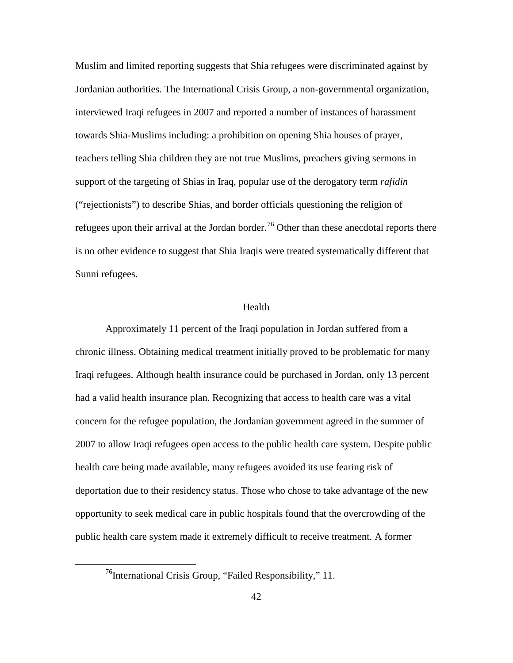Muslim and limited reporting suggests that Shia refugees were discriminated against by Jordanian authorities. The International Crisis Group, a non-governmental organization, interviewed Iraqi refugees in 2007 and reported a number of instances of harassment towards Shia-Muslims including: a prohibition on opening Shia houses of prayer, teachers telling Shia children they are not true Muslims, preachers giving sermons in support of the targeting of Shias in Iraq, popular use of the derogatory term *rafidin* ("rejectionists") to describe Shias, and border officials questioning the religion of refugees upon their arrival at the Jordan border.<sup>[76](#page-51-0)</sup> Other than these anecdotal reports there is no other evidence to suggest that Shia Iraqis were treated systematically different that Sunni refugees.

### Health

Approximately 11 percent of the Iraqi population in Jordan suffered from a chronic illness. Obtaining medical treatment initially proved to be problematic for many Iraqi refugees. Although health insurance could be purchased in Jordan, only 13 percent had a valid health insurance plan. Recognizing that access to health care was a vital concern for the refugee population, the Jordanian government agreed in the summer of 2007 to allow Iraqi refugees open access to the public health care system. Despite public health care being made available, many refugees avoided its use fearing risk of deportation due to their residency status. Those who chose to take advantage of the new opportunity to seek medical care in public hospitals found that the overcrowding of the public health care system made it extremely difficult to receive treatment. A former

<span id="page-51-0"></span> $76$ International Crisis Group, "Failed Responsibility," 11.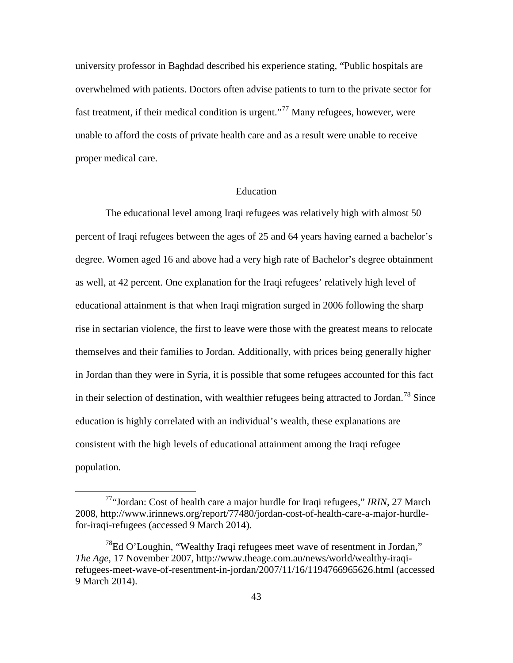university professor in Baghdad described his experience stating, "Public hospitals are overwhelmed with patients. Doctors often advise patients to turn to the private sector for fast treatment, if their medical condition is urgent."<sup>[77](#page-52-0)</sup> Many refugees, however, were unable to afford the costs of private health care and as a result were unable to receive proper medical care.

#### Education

The educational level among Iraqi refugees was relatively high with almost 50 percent of Iraqi refugees between the ages of 25 and 64 years having earned a bachelor's degree. Women aged 16 and above had a very high rate of Bachelor's degree obtainment as well, at 42 percent. One explanation for the Iraqi refugees' relatively high level of educational attainment is that when Iraqi migration surged in 2006 following the sharp rise in sectarian violence, the first to leave were those with the greatest means to relocate themselves and their families to Jordan. Additionally, with prices being generally higher in Jordan than they were in Syria, it is possible that some refugees accounted for this fact in their selection of destination, with wealthier refugees being attracted to Jordan.<sup>[78](#page-52-1)</sup> Since education is highly correlated with an individual's wealth, these explanations are consistent with the high levels of educational attainment among the Iraqi refugee population.

<span id="page-52-0"></span><sup>77&</sup>quot;Jordan: Cost of health care a major hurdle for Iraqi refugees," *IRIN*, 27 March 2008, http://www.irinnews.org/report/77480/jordan-cost-of-health-care-a-major-hurdlefor-iraqi-refugees (accessed 9 March 2014).

<span id="page-52-1"></span> $^{8}$ Ed O'Loughin, "Wealthy Iraqi refugees meet wave of resentment in Jordan," *The Age*, 17 November 2007, http://www.theage.com.au/news/world/wealthy-iraqirefugees-meet-wave-of-resentment-in-jordan/2007/11/16/1194766965626.html (accessed 9 March 2014).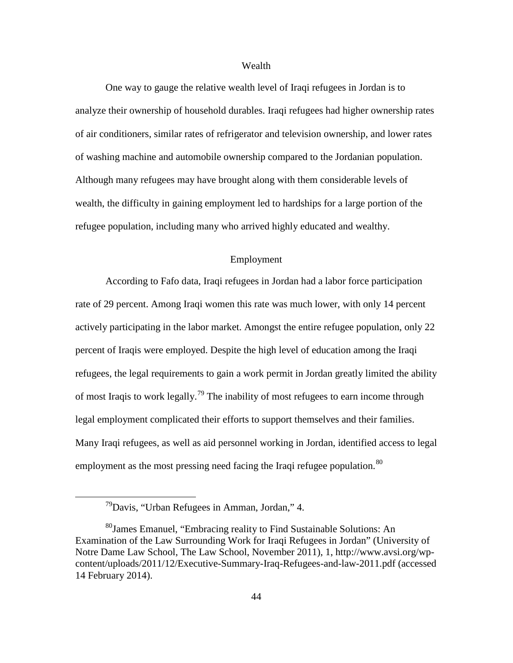## Wealth

One way to gauge the relative wealth level of Iraqi refugees in Jordan is to analyze their ownership of household durables. Iraqi refugees had higher ownership rates of air conditioners, similar rates of refrigerator and television ownership, and lower rates of washing machine and automobile ownership compared to the Jordanian population. Although many refugees may have brought along with them considerable levels of wealth, the difficulty in gaining employment led to hardships for a large portion of the refugee population, including many who arrived highly educated and wealthy.

## Employment

According to Fafo data, Iraqi refugees in Jordan had a labor force participation rate of 29 percent. Among Iraqi women this rate was much lower, with only 14 percent actively participating in the labor market. Amongst the entire refugee population, only 22 percent of Iraqis were employed. Despite the high level of education among the Iraqi refugees, the legal requirements to gain a work permit in Jordan greatly limited the ability of most Iraqis to work legally.<sup>[79](#page-53-0)</sup> The inability of most refugees to earn income through legal employment complicated their efforts to support themselves and their families. Many Iraqi refugees, as well as aid personnel working in Jordan, identified access to legal employment as the most pressing need facing the Iraqi refugee population.<sup>[80](#page-53-1)</sup>

 $79$ Davis, "Urban Refugees in Amman, Jordan," 4.

<span id="page-53-1"></span><span id="page-53-0"></span><sup>&</sup>lt;sup>80</sup>James Emanuel, "Embracing reality to Find Sustainable Solutions: An Examination of the Law Surrounding Work for Iraqi Refugees in Jordan" (University of Notre Dame Law School, The Law School, November 2011), 1, http://www.avsi.org/wpcontent/uploads/2011/12/Executive-Summary-Iraq-Refugees-and-law-2011.pdf (accessed 14 February 2014).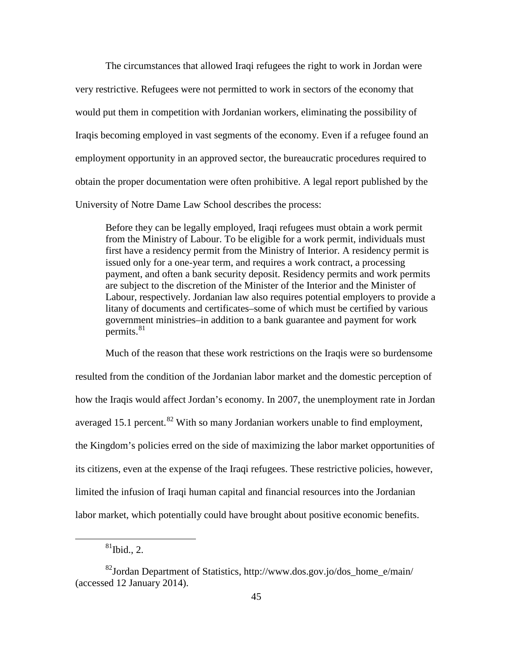The circumstances that allowed Iraqi refugees the right to work in Jordan were very restrictive. Refugees were not permitted to work in sectors of the economy that would put them in competition with Jordanian workers, eliminating the possibility of Iraqis becoming employed in vast segments of the economy. Even if a refugee found an employment opportunity in an approved sector, the bureaucratic procedures required to obtain the proper documentation were often prohibitive. A legal report published by the University of Notre Dame Law School describes the process:

Before they can be legally employed, Iraqi refugees must obtain a work permit from the Ministry of Labour. To be eligible for a work permit, individuals must first have a residency permit from the Ministry of Interior. A residency permit is issued only for a one-year term, and requires a work contract, a processing payment, and often a bank security deposit. Residency permits and work permits are subject to the discretion of the Minister of the Interior and the Minister of Labour, respectively. Jordanian law also requires potential employers to provide a litany of documents and certificates–some of which must be certified by various government ministries–in addition to a bank guarantee and payment for work permits. $81$ 

Much of the reason that these work restrictions on the Iraqis were so burdensome resulted from the condition of the Jordanian labor market and the domestic perception of how the Iraqis would affect Jordan's economy. In 2007, the unemployment rate in Jordan averaged 15.1 percent.<sup>[82](#page-54-1)</sup> With so many Jordanian workers unable to find employment, the Kingdom's policies erred on the side of maximizing the labor market opportunities of its citizens, even at the expense of the Iraqi refugees. These restrictive policies, however, limited the infusion of Iraqi human capital and financial resources into the Jordanian labor market, which potentially could have brought about positive economic benefits.

 $81$ Ibid., 2.

<span id="page-54-1"></span><span id="page-54-0"></span><sup>82</sup>Jordan Department of Statistics, http://www.dos.gov.jo/dos\_home\_e/main/ (accessed 12 January 2014).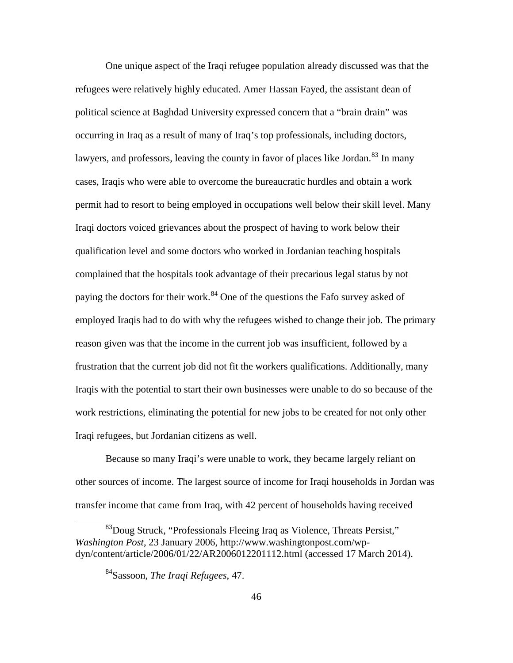One unique aspect of the Iraqi refugee population already discussed was that the refugees were relatively highly educated. Amer Hassan Fayed, the assistant dean of political science at Baghdad University expressed concern that a "brain drain" was occurring in Iraq as a result of many of Iraq's top professionals, including doctors, lawyers, and professors, leaving the county in favor of places like Jordan.<sup>[83](#page-55-0)</sup> In many cases, Iraqis who were able to overcome the bureaucratic hurdles and obtain a work permit had to resort to being employed in occupations well below their skill level. Many Iraqi doctors voiced grievances about the prospect of having to work below their qualification level and some doctors who worked in Jordanian teaching hospitals complained that the hospitals took advantage of their precarious legal status by not paying the doctors for their work.<sup>[84](#page-55-1)</sup> One of the questions the Fafo survey asked of employed Iraqis had to do with why the refugees wished to change their job. The primary reason given was that the income in the current job was insufficient, followed by a frustration that the current job did not fit the workers qualifications. Additionally, many Iraqis with the potential to start their own businesses were unable to do so because of the work restrictions, eliminating the potential for new jobs to be created for not only other Iraqi refugees, but Jordanian citizens as well.

Because so many Iraqi's were unable to work, they became largely reliant on other sources of income. The largest source of income for Iraqi households in Jordan was transfer income that came from Iraq, with 42 percent of households having received

<span id="page-55-1"></span><span id="page-55-0"></span> $^{83}$ Doug Struck, "Professionals Fleeing Iraq as Violence, Threats Persist," *Washington Post*, 23 January 2006, http://www.washingtonpost.com/wpdyn/content/article/2006/01/22/AR2006012201112.html (accessed 17 March 2014).

<sup>84</sup>Sassoon, *The Iraqi Refugees*, 47.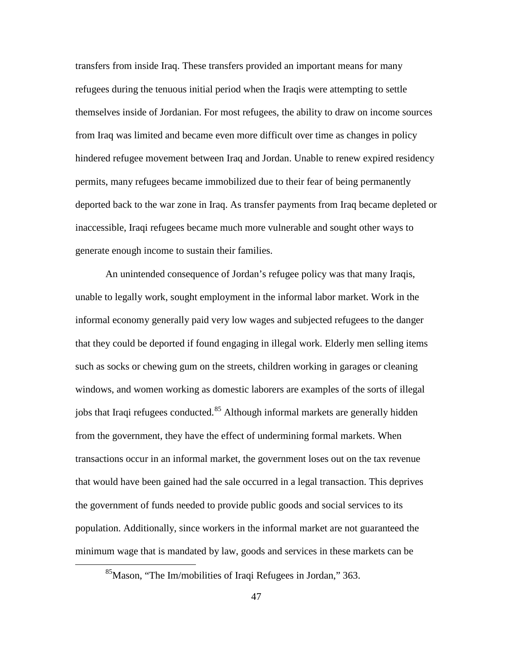transfers from inside Iraq. These transfers provided an important means for many refugees during the tenuous initial period when the Iraqis were attempting to settle themselves inside of Jordanian. For most refugees, the ability to draw on income sources from Iraq was limited and became even more difficult over time as changes in policy hindered refugee movement between Iraq and Jordan. Unable to renew expired residency permits, many refugees became immobilized due to their fear of being permanently deported back to the war zone in Iraq. As transfer payments from Iraq became depleted or inaccessible, Iraqi refugees became much more vulnerable and sought other ways to generate enough income to sustain their families.

An unintended consequence of Jordan's refugee policy was that many Iraqis, unable to legally work, sought employment in the informal labor market. Work in the informal economy generally paid very low wages and subjected refugees to the danger that they could be deported if found engaging in illegal work. Elderly men selling items such as socks or chewing gum on the streets, children working in garages or cleaning windows, and women working as domestic laborers are examples of the sorts of illegal jobs that Iraqi refugees conducted.<sup>[85](#page-56-0)</sup> Although informal markets are generally hidden from the government, they have the effect of undermining formal markets. When transactions occur in an informal market, the government loses out on the tax revenue that would have been gained had the sale occurred in a legal transaction. This deprives the government of funds needed to provide public goods and social services to its population. Additionally, since workers in the informal market are not guaranteed the minimum wage that is mandated by law, goods and services in these markets can be

<span id="page-56-0"></span><sup>&</sup>lt;sup>85</sup>Mason, "The Im/mobilities of Iraqi Refugees in Jordan," 363.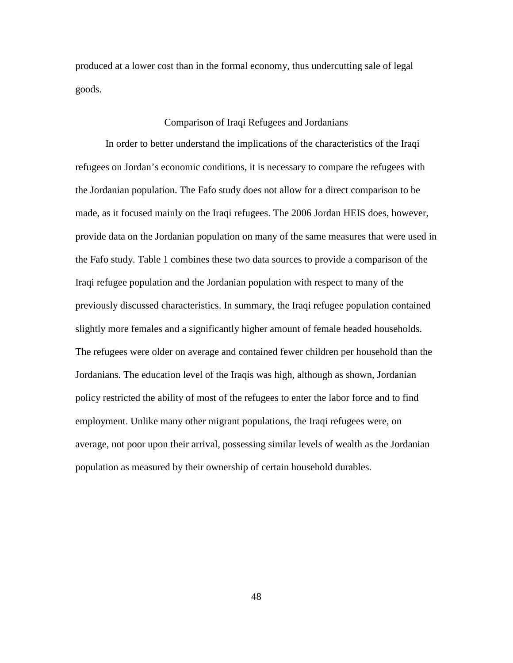produced at a lower cost than in the formal economy, thus undercutting sale of legal goods.

### Comparison of Iraqi Refugees and Jordanians

In order to better understand the implications of the characteristics of the Iraqi refugees on Jordan's economic conditions, it is necessary to compare the refugees with the Jordanian population. The Fafo study does not allow for a direct comparison to be made, as it focused mainly on the Iraqi refugees. The 2006 Jordan HEIS does, however, provide data on the Jordanian population on many of the same measures that were used in the Fafo study. Table 1 combines these two data sources to provide a comparison of the Iraqi refugee population and the Jordanian population with respect to many of the previously discussed characteristics. In summary, the Iraqi refugee population contained slightly more females and a significantly higher amount of female headed households. The refugees were older on average and contained fewer children per household than the Jordanians. The education level of the Iraqis was high, although as shown, Jordanian policy restricted the ability of most of the refugees to enter the labor force and to find employment. Unlike many other migrant populations, the Iraqi refugees were, on average, not poor upon their arrival, possessing similar levels of wealth as the Jordanian population as measured by their ownership of certain household durables.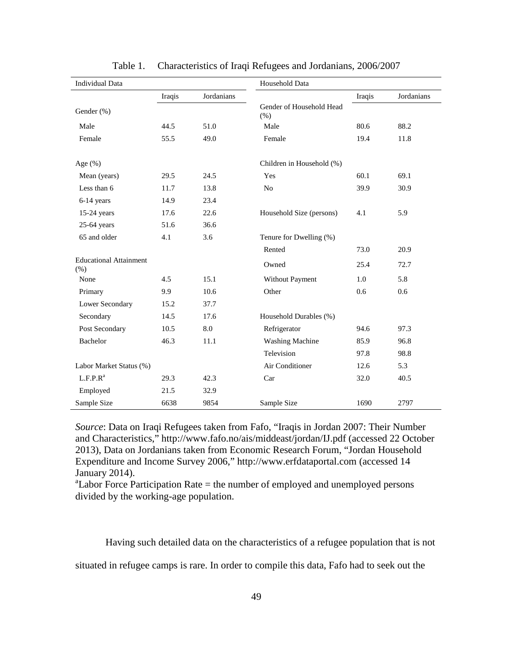| <b>Individual Data</b>                  |        |            | Household Data                   |        |            |
|-----------------------------------------|--------|------------|----------------------------------|--------|------------|
|                                         | Iraqis | Jordanians |                                  | Iraqis | Jordanians |
| Gender (%)                              |        |            | Gender of Household Head<br>(% ) |        |            |
| Male                                    | 44.5   | 51.0       | Male                             | 80.6   | 88.2       |
| Female                                  | 55.5   | 49.0       | Female                           | 19.4   | 11.8       |
|                                         |        |            |                                  |        |            |
| Age $(\%)$                              |        |            | Children in Household (%)        |        |            |
| Mean (years)                            | 29.5   | 24.5       | Yes                              | 60.1   | 69.1       |
| Less than 6                             | 11.7   | 13.8       | N <sub>o</sub>                   | 39.9   | 30.9       |
| 6-14 years                              | 14.9   | 23.4       |                                  |        |            |
| $15-24$ years                           | 17.6   | 22.6       | Household Size (persons)         | 4.1    | 5.9        |
| 25-64 years                             | 51.6   | 36.6       |                                  |        |            |
| 65 and older                            | 4.1    | 3.6        | Tenure for Dwelling (%)          |        |            |
|                                         |        |            | Rented                           | 73.0   | 20.9       |
| <b>Educational Attainment</b><br>$(\%)$ |        |            | Owned                            | 25.4   | 72.7       |
| None                                    | 4.5    | 15.1       | Without Payment                  | 1.0    | 5.8        |
| Primary                                 | 9.9    | 10.6       | Other                            | 0.6    | 0.6        |
| Lower Secondary                         | 15.2   | 37.7       |                                  |        |            |
| Secondary                               | 14.5   | 17.6       | Household Durables (%)           |        |            |
| Post Secondary                          | 10.5   | 8.0        | Refrigerator                     | 94.6   | 97.3       |
| Bachelor                                | 46.3   | 11.1       | <b>Washing Machine</b>           | 85.9   | 96.8       |
|                                         |        |            | Television                       | 97.8   | 98.8       |
| Labor Market Status (%)                 |        |            | Air Conditioner                  | 12.6   | 5.3        |
| $L.F.P.R^a$                             | 29.3   | 42.3       | Car                              | 32.0   | 40.5       |
| Employed                                | 21.5   | 32.9       |                                  |        |            |
| Sample Size                             | 6638   | 9854       | Sample Size                      | 1690   | 2797       |

Table 1. Characteristics of Iraqi Refugees and Jordanians, 2006/2007

*Source*: Data on Iraqi Refugees taken from Fafo, "Iraqis in Jordan 2007: Their Number and Characteristics," http://www.fafo.no/ais/middeast/jordan/IJ.pdf (accessed 22 October 2013), Data on Jordanians taken from Economic Research Forum, "Jordan Household Expenditure and Income Survey 2006," http://www.erfdataportal.com (accessed 14 January 2014).

<sup>a</sup>Labor Force Participation Rate = the number of employed and unemployed persons divided by the working-age population.

Having such detailed data on the characteristics of a refugee population that is not

situated in refugee camps is rare. In order to compile this data, Fafo had to seek out the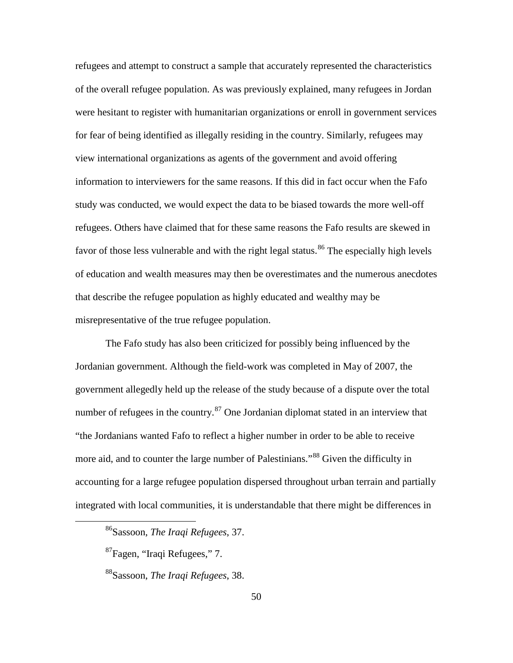refugees and attempt to construct a sample that accurately represented the characteristics of the overall refugee population. As was previously explained, many refugees in Jordan were hesitant to register with humanitarian organizations or enroll in government services for fear of being identified as illegally residing in the country. Similarly, refugees may view international organizations as agents of the government and avoid offering information to interviewers for the same reasons. If this did in fact occur when the Fafo study was conducted, we would expect the data to be biased towards the more well-off refugees. Others have claimed that for these same reasons the Fafo results are skewed in favor of those less vulnerable and with the right legal status.<sup>[86](#page-59-0)</sup> The especially high levels of education and wealth measures may then be overestimates and the numerous anecdotes that describe the refugee population as highly educated and wealthy may be misrepresentative of the true refugee population.

The Fafo study has also been criticized for possibly being influenced by the Jordanian government. Although the field-work was completed in May of 2007, the government allegedly held up the release of the study because of a dispute over the total number of refugees in the country. $87$  One Jordanian diplomat stated in an interview that "the Jordanians wanted Fafo to reflect a higher number in order to be able to receive more aid, and to counter the large number of Palestinians."<sup>[88](#page-59-2)</sup> Given the difficulty in accounting for a large refugee population dispersed throughout urban terrain and partially integrated with local communities, it is understandable that there might be differences in

<span id="page-59-0"></span><sup>86</sup>Sassoon, *The Iraqi Refugees*, 37.

<span id="page-59-1"></span><sup>87</sup>Fagen, "Iraqi Refugees," 7.

<span id="page-59-2"></span><sup>88</sup>Sassoon, *The Iraqi Refugees*, 38.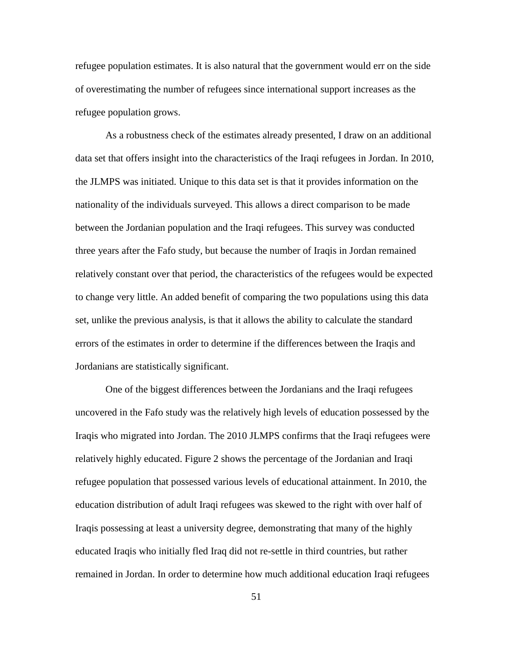refugee population estimates. It is also natural that the government would err on the side of overestimating the number of refugees since international support increases as the refugee population grows.

As a robustness check of the estimates already presented, I draw on an additional data set that offers insight into the characteristics of the Iraqi refugees in Jordan. In 2010, the JLMPS was initiated. Unique to this data set is that it provides information on the nationality of the individuals surveyed. This allows a direct comparison to be made between the Jordanian population and the Iraqi refugees. This survey was conducted three years after the Fafo study, but because the number of Iraqis in Jordan remained relatively constant over that period, the characteristics of the refugees would be expected to change very little. An added benefit of comparing the two populations using this data set, unlike the previous analysis, is that it allows the ability to calculate the standard errors of the estimates in order to determine if the differences between the Iraqis and Jordanians are statistically significant.

One of the biggest differences between the Jordanians and the Iraqi refugees uncovered in the Fafo study was the relatively high levels of education possessed by the Iraqis who migrated into Jordan. The 2010 JLMPS confirms that the Iraqi refugees were relatively highly educated. Figure 2 shows the percentage of the Jordanian and Iraqi refugee population that possessed various levels of educational attainment. In 2010, the education distribution of adult Iraqi refugees was skewed to the right with over half of Iraqis possessing at least a university degree, demonstrating that many of the highly educated Iraqis who initially fled Iraq did not re-settle in third countries, but rather remained in Jordan. In order to determine how much additional education Iraqi refugees

51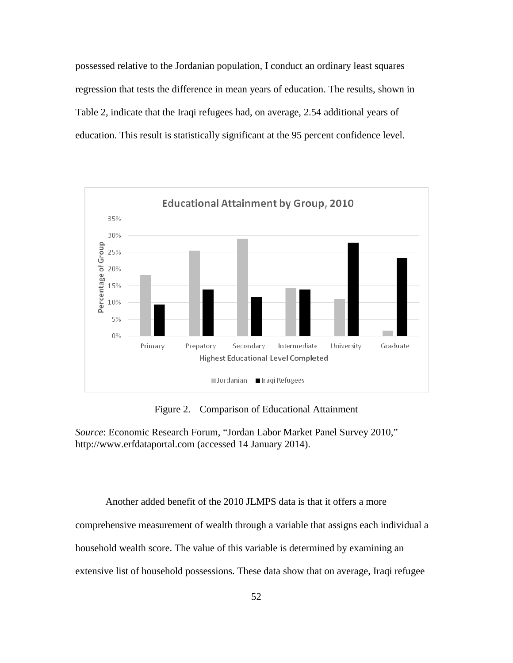possessed relative to the Jordanian population, I conduct an ordinary least squares regression that tests the difference in mean years of education. The results, shown in Table 2, indicate that the Iraqi refugees had, on average, 2.54 additional years of education. This result is statistically significant at the 95 percent confidence level.



Figure 2. Comparison of Educational Attainment

*Source*: Economic Research Forum, "Jordan Labor Market Panel Survey 2010," http://www.erfdataportal.com (accessed 14 January 2014).

Another added benefit of the 2010 JLMPS data is that it offers a more comprehensive measurement of wealth through a variable that assigns each individual a household wealth score. The value of this variable is determined by examining an extensive list of household possessions. These data show that on average, Iraqi refugee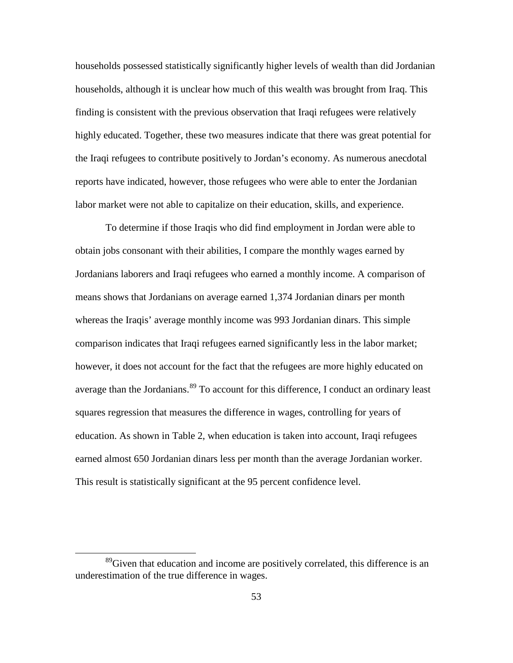households possessed statistically significantly higher levels of wealth than did Jordanian households, although it is unclear how much of this wealth was brought from Iraq. This finding is consistent with the previous observation that Iraqi refugees were relatively highly educated. Together, these two measures indicate that there was great potential for the Iraqi refugees to contribute positively to Jordan's economy. As numerous anecdotal reports have indicated, however, those refugees who were able to enter the Jordanian labor market were not able to capitalize on their education, skills, and experience.

To determine if those Iraqis who did find employment in Jordan were able to obtain jobs consonant with their abilities, I compare the monthly wages earned by Jordanians laborers and Iraqi refugees who earned a monthly income. A comparison of means shows that Jordanians on average earned 1,374 Jordanian dinars per month whereas the Iraqis' average monthly income was 993 Jordanian dinars. This simple comparison indicates that Iraqi refugees earned significantly less in the labor market; however, it does not account for the fact that the refugees are more highly educated on average than the Jordanians.<sup>[89](#page-62-0)</sup> To account for this difference, I conduct an ordinary least squares regression that measures the difference in wages, controlling for years of education. As shown in Table 2, when education is taken into account, Iraqi refugees earned almost 650 Jordanian dinars less per month than the average Jordanian worker. This result is statistically significant at the 95 percent confidence level.

<span id="page-62-0"></span><sup>&</sup>lt;sup>89</sup>Given that education and income are positively correlated, this difference is an underestimation of the true difference in wages.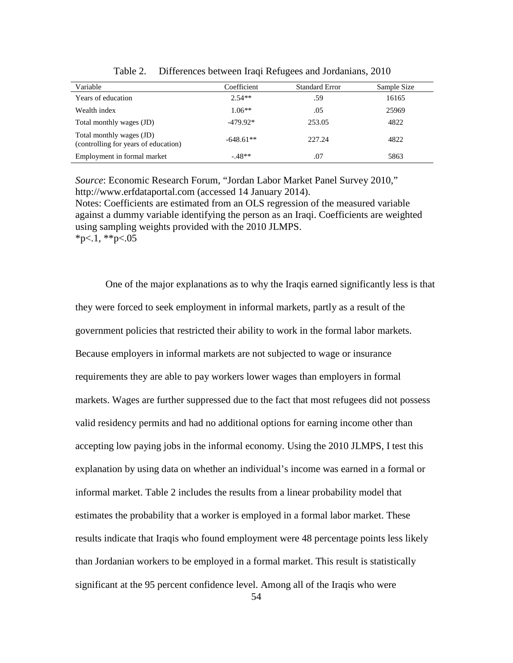| Variable                                                         | Coefficient | <b>Standard Error</b> | Sample Size |
|------------------------------------------------------------------|-------------|-----------------------|-------------|
| Years of education                                               | $2.54**$    | .59                   | 16165       |
| Wealth index                                                     | $1.06**$    | .05                   | 25969       |
| Total monthly wages (JD)                                         | $-479.92*$  | 253.05                | 4822        |
| Total monthly wages (JD)<br>(controlling for years of education) | $-648.61**$ | 227.24                | 4822        |
| Employment in formal market                                      | $-.48**$    | .07                   | 5863        |

Table 2. Differences between Iraqi Refugees and Jordanians, 2010

*Source*: Economic Research Forum, "Jordan Labor Market Panel Survey 2010," http://www.erfdataportal.com (accessed 14 January 2014).

Notes: Coefficients are estimated from an OLS regression of the measured variable against a dummy variable identifying the person as an Iraqi. Coefficients are weighted using sampling weights provided with the 2010 JLMPS.  $*p<1$ ,  $*p<.05$ 

One of the major explanations as to why the Iraqis earned significantly less is that they were forced to seek employment in informal markets, partly as a result of the government policies that restricted their ability to work in the formal labor markets. Because employers in informal markets are not subjected to wage or insurance requirements they are able to pay workers lower wages than employers in formal markets. Wages are further suppressed due to the fact that most refugees did not possess valid residency permits and had no additional options for earning income other than accepting low paying jobs in the informal economy. Using the 2010 JLMPS, I test this explanation by using data on whether an individual's income was earned in a formal or informal market. Table 2 includes the results from a linear probability model that estimates the probability that a worker is employed in a formal labor market. These results indicate that Iraqis who found employment were 48 percentage points less likely than Jordanian workers to be employed in a formal market. This result is statistically significant at the 95 percent confidence level. Among all of the Iraqis who were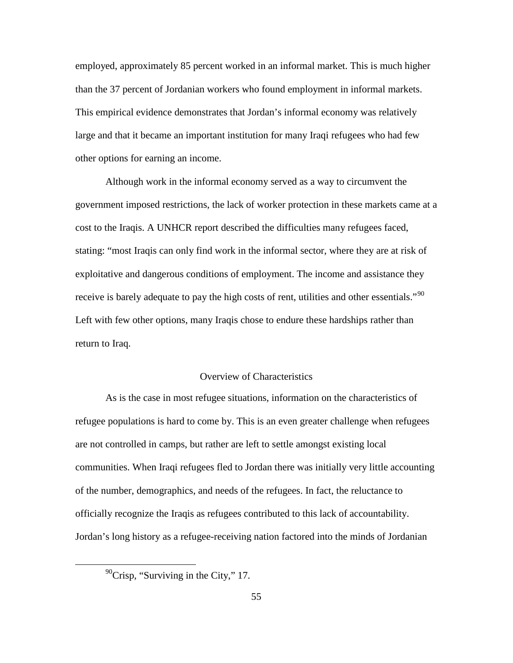employed, approximately 85 percent worked in an informal market. This is much higher than the 37 percent of Jordanian workers who found employment in informal markets. This empirical evidence demonstrates that Jordan's informal economy was relatively large and that it became an important institution for many Iraqi refugees who had few other options for earning an income.

Although work in the informal economy served as a way to circumvent the government imposed restrictions, the lack of worker protection in these markets came at a cost to the Iraqis. A UNHCR report described the difficulties many refugees faced, stating: "most Iraqis can only find work in the informal sector, where they are at risk of exploitative and dangerous conditions of employment. The income and assistance they receive is barely adequate to pay the high costs of rent, utilities and other essentials."<sup>[90](#page-64-0)</sup> Left with few other options, many Iraqis chose to endure these hardships rather than return to Iraq.

### Overview of Characteristics

As is the case in most refugee situations, information on the characteristics of refugee populations is hard to come by. This is an even greater challenge when refugees are not controlled in camps, but rather are left to settle amongst existing local communities. When Iraqi refugees fled to Jordan there was initially very little accounting of the number, demographics, and needs of the refugees. In fact, the reluctance to officially recognize the Iraqis as refugees contributed to this lack of accountability. Jordan's long history as a refugee-receiving nation factored into the minds of Jordanian

<span id="page-64-0"></span> $\mathrm{^{90}Crisp}$ , "Surviving in the City," 17.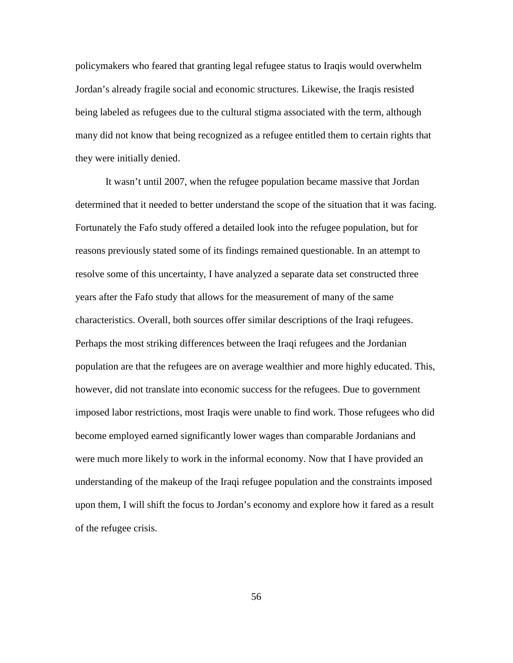policymakers who feared that granting legal refugee status to Iraqis would overwhelm Jordan's already fragile social and economic structures. Likewise, the Iraqis resisted being labeled as refugees due to the cultural stigma associated with the term, although many did not know that being recognized as a refugee entitled them to certain rights that they were initially denied.

It wasn't until 2007, when the refugee population became massive that Jordan determined that it needed to better understand the scope of the situation that it was facing. Fortunately the Fafo study offered a detailed look into the refugee population, but for reasons previously stated some of its findings remained questionable. In an attempt to resolve some of this uncertainty, I have analyzed a separate data set constructed three years after the Fafo study that allows for the measurement of many of the same characteristics. Overall, both sources offer similar descriptions of the Iraqi refugees. Perhaps the most striking differences between the Iraqi refugees and the Jordanian population are that the refugees are on average wealthier and more highly educated. This, however, did not translate into economic success for the refugees. Due to government imposed labor restrictions, most Iraqis were unable to find work. Those refugees who did become employed earned significantly lower wages than comparable Jordanians and were much more likely to work in the informal economy. Now that I have provided an understanding of the makeup of the Iraqi refugee population and the constraints imposed upon them, I will shift the focus to Jordan's economy and explore how it fared as a result of the refugee crisis.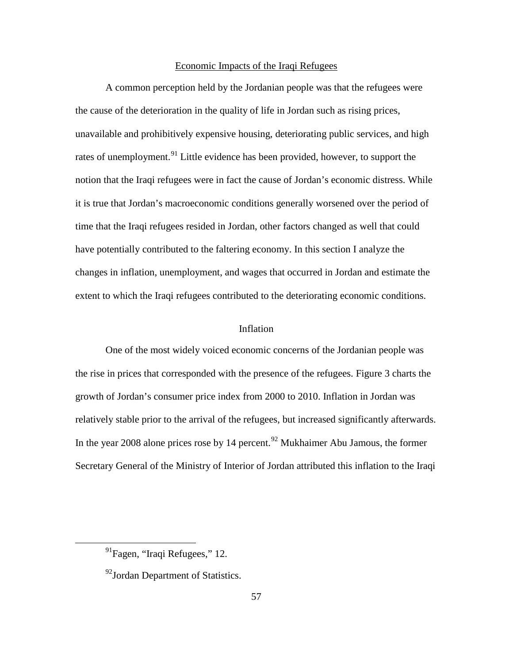### Economic Impacts of the Iraqi Refugees

A common perception held by the Jordanian people was that the refugees were the cause of the deterioration in the quality of life in Jordan such as rising prices, unavailable and prohibitively expensive housing, deteriorating public services, and high rates of unemployment.<sup>[91](#page-66-0)</sup> Little evidence has been provided, however, to support the notion that the Iraqi refugees were in fact the cause of Jordan's economic distress. While it is true that Jordan's macroeconomic conditions generally worsened over the period of time that the Iraqi refugees resided in Jordan, other factors changed as well that could have potentially contributed to the faltering economy. In this section I analyze the changes in inflation, unemployment, and wages that occurred in Jordan and estimate the extent to which the Iraqi refugees contributed to the deteriorating economic conditions.

# Inflation

One of the most widely voiced economic concerns of the Jordanian people was the rise in prices that corresponded with the presence of the refugees. Figure 3 charts the growth of Jordan's consumer price index from 2000 to 2010. Inflation in Jordan was relatively stable prior to the arrival of the refugees, but increased significantly afterwards. In the year 2008 alone prices rose by 14 percent.<sup>[92](#page-66-1)</sup> Mukhaimer Abu Jamous, the former Secretary General of the Ministry of Interior of Jordan attributed this inflation to the Iraqi

<span id="page-66-0"></span> $91$ Fagen, "Iraqi Refugees," 12.

<span id="page-66-1"></span><sup>&</sup>lt;sup>92</sup>Jordan Department of Statistics.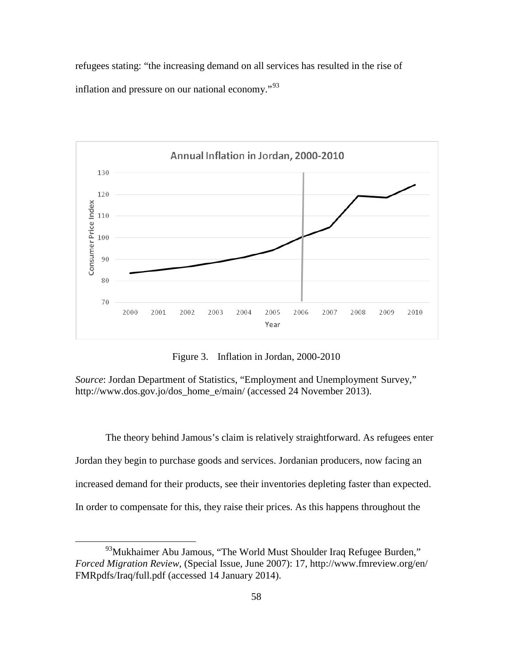refugees stating: "the increasing demand on all services has resulted in the rise of inflation and pressure on our national economy."[93](#page-67-0)



Figure 3. Inflation in Jordan, 2000-2010

*Source*: Jordan Department of Statistics, "Employment and Unemployment Survey," http://www.dos.gov.jo/dos\_home\_e/main/ (accessed 24 November 2013).

The theory behind Jamous's claim is relatively straightforward. As refugees enter Jordan they begin to purchase goods and services. Jordanian producers, now facing an increased demand for their products, see their inventories depleting faster than expected. In order to compensate for this, they raise their prices. As this happens throughout the

<span id="page-67-0"></span><sup>&</sup>lt;sup>93</sup>Mukhaimer Abu Jamous, "The World Must Shoulder Iraq Refugee Burden," *Forced Migration Review*, (Special Issue, June 2007): 17, http://www.fmreview.org/en/ FMRpdfs/Iraq/full.pdf (accessed 14 January 2014).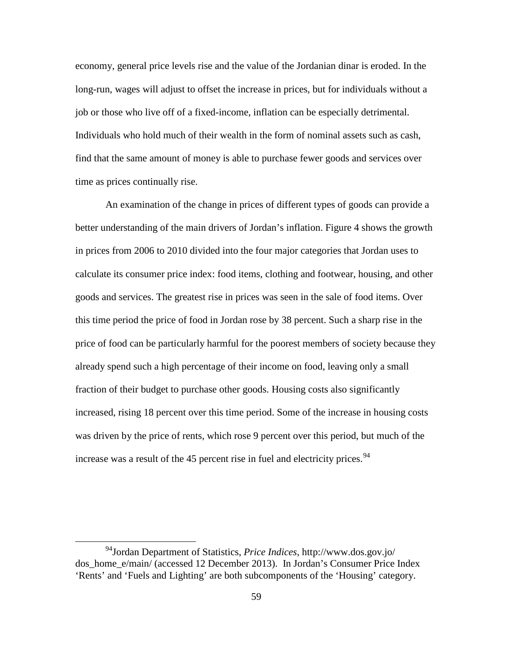economy, general price levels rise and the value of the Jordanian dinar is eroded. In the long-run, wages will adjust to offset the increase in prices, but for individuals without a job or those who live off of a fixed-income, inflation can be especially detrimental. Individuals who hold much of their wealth in the form of nominal assets such as cash, find that the same amount of money is able to purchase fewer goods and services over time as prices continually rise.

An examination of the change in prices of different types of goods can provide a better understanding of the main drivers of Jordan's inflation. Figure 4 shows the growth in prices from 2006 to 2010 divided into the four major categories that Jordan uses to calculate its consumer price index: food items, clothing and footwear, housing, and other goods and services. The greatest rise in prices was seen in the sale of food items. Over this time period the price of food in Jordan rose by 38 percent. Such a sharp rise in the price of food can be particularly harmful for the poorest members of society because they already spend such a high percentage of their income on food, leaving only a small fraction of their budget to purchase other goods. Housing costs also significantly increased, rising 18 percent over this time period. Some of the increase in housing costs was driven by the price of rents, which rose 9 percent over this period, but much of the increase was a result of the 45 percent rise in fuel and electricity prices.  $94$ 

<span id="page-68-0"></span><sup>94</sup>Jordan Department of Statistics, *Price Indices*, http://www.dos.gov.jo/ dos home e/main/ (accessed 12 December 2013). In Jordan's Consumer Price Index 'Rents' and 'Fuels and Lighting' are both subcomponents of the 'Housing' category.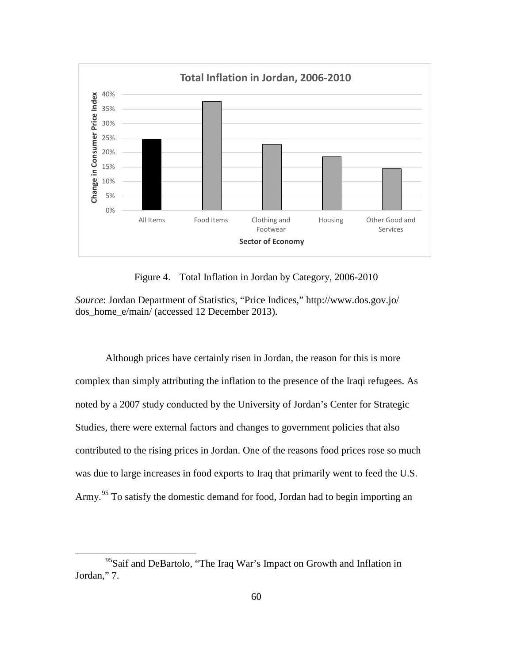

Figure 4. Total Inflation in Jordan by Category, 2006-2010

*Source*: Jordan Department of Statistics, "Price Indices," http://www.dos.gov.jo/ dos\_home\_e/main/ (accessed 12 December 2013).

Although prices have certainly risen in Jordan, the reason for this is more complex than simply attributing the inflation to the presence of the Iraqi refugees. As noted by a 2007 study conducted by the University of Jordan's Center for Strategic Studies, there were external factors and changes to government policies that also contributed to the rising prices in Jordan. One of the reasons food prices rose so much was due to large increases in food exports to Iraq that primarily went to feed the U.S. Army.<sup>[95](#page-69-0)</sup> To satisfy the domestic demand for food, Jordan had to begin importing an

<span id="page-69-0"></span><sup>&</sup>lt;sup>95</sup>Saif and DeBartolo, "The Iraq War's Impact on Growth and Inflation in Jordan," 7.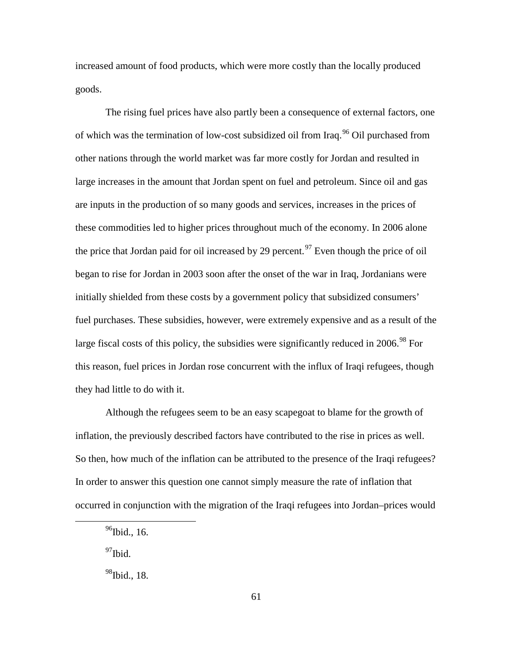increased amount of food products, which were more costly than the locally produced goods.

The rising fuel prices have also partly been a consequence of external factors, one of which was the termination of low-cost subsidized oil from Iraq.<sup>[96](#page-70-0)</sup> Oil purchased from other nations through the world market was far more costly for Jordan and resulted in large increases in the amount that Jordan spent on fuel and petroleum. Since oil and gas are inputs in the production of so many goods and services, increases in the prices of these commodities led to higher prices throughout much of the economy. In 2006 alone the price that Jordan paid for oil increased by 29 percent.<sup>[97](#page-70-1)</sup> Even though the price of oil began to rise for Jordan in 2003 soon after the onset of the war in Iraq, Jordanians were initially shielded from these costs by a government policy that subsidized consumers' fuel purchases. These subsidies, however, were extremely expensive and as a result of the large fiscal costs of this policy, the subsidies were significantly reduced in  $2006$ .<sup>[98](#page-70-2)</sup> For this reason, fuel prices in Jordan rose concurrent with the influx of Iraqi refugees, though they had little to do with it.

Although the refugees seem to be an easy scapegoat to blame for the growth of inflation, the previously described factors have contributed to the rise in prices as well. So then, how much of the inflation can be attributed to the presence of the Iraqi refugees? In order to answer this question one cannot simply measure the rate of inflation that occurred in conjunction with the migration of the Iraqi refugees into Jordan–prices would

<span id="page-70-1"></span> $97$ Ibid.

<span id="page-70-0"></span> $96$ Ibid., 16.

<span id="page-70-2"></span> $98$ Ibid., 18.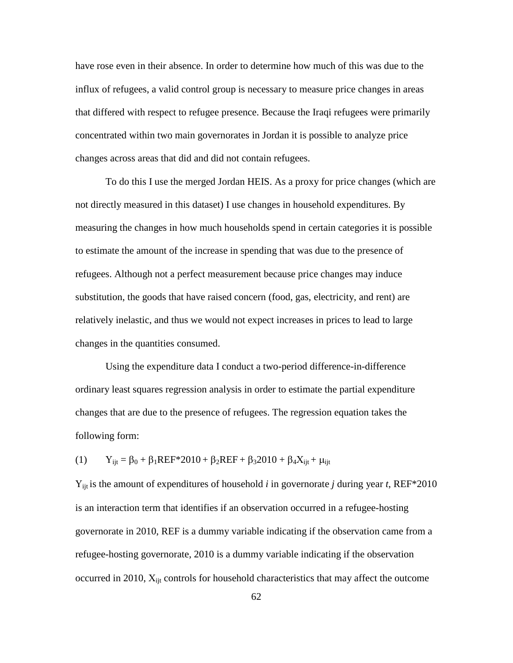have rose even in their absence. In order to determine how much of this was due to the influx of refugees, a valid control group is necessary to measure price changes in areas that differed with respect to refugee presence. Because the Iraqi refugees were primarily concentrated within two main governorates in Jordan it is possible to analyze price changes across areas that did and did not contain refugees.

To do this I use the merged Jordan HEIS. As a proxy for price changes (which are not directly measured in this dataset) I use changes in household expenditures. By measuring the changes in how much households spend in certain categories it is possible to estimate the amount of the increase in spending that was due to the presence of refugees. Although not a perfect measurement because price changes may induce substitution, the goods that have raised concern (food, gas, electricity, and rent) are relatively inelastic, and thus we would not expect increases in prices to lead to large changes in the quantities consumed.

Using the expenditure data I conduct a two-period difference-in-difference ordinary least squares regression analysis in order to estimate the partial expenditure changes that are due to the presence of refugees. The regression equation takes the following form:

(1)  $Y_{\text{ijt}} = \beta_0 + \beta_1 \text{REF} * 2010 + \beta_2 \text{REF} + \beta_3 2010 + \beta_4 X_{\text{ijt}} + \mu_{\text{ijt}}$ 

Υijt is the amount of expenditures of household *i* in governorate *j* during year *t*, REF\*2010 is an interaction term that identifies if an observation occurred in a refugee-hosting governorate in 2010, REF is a dummy variable indicating if the observation came from a refugee-hosting governorate, 2010 is a dummy variable indicating if the observation occurred in 2010, X<sub>ijt</sub> controls for household characteristics that may affect the outcome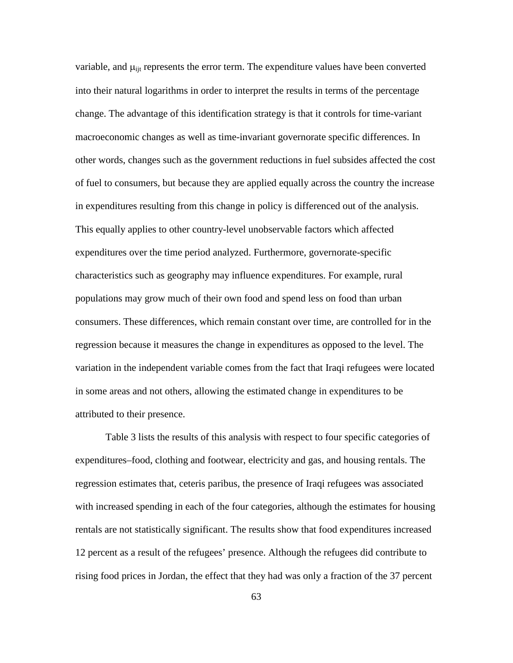variable, and  $\mu_{\text{lit}}$  represents the error term. The expenditure values have been converted into their natural logarithms in order to interpret the results in terms of the percentage change. The advantage of this identification strategy is that it controls for time-variant macroeconomic changes as well as time-invariant governorate specific differences. In other words, changes such as the government reductions in fuel subsides affected the cost of fuel to consumers, but because they are applied equally across the country the increase in expenditures resulting from this change in policy is differenced out of the analysis. This equally applies to other country-level unobservable factors which affected expenditures over the time period analyzed. Furthermore, governorate-specific characteristics such as geography may influence expenditures. For example, rural populations may grow much of their own food and spend less on food than urban consumers. These differences, which remain constant over time, are controlled for in the regression because it measures the change in expenditures as opposed to the level. The variation in the independent variable comes from the fact that Iraqi refugees were located in some areas and not others, allowing the estimated change in expenditures to be attributed to their presence.

Table 3 lists the results of this analysis with respect to four specific categories of expenditures–food, clothing and footwear, electricity and gas, and housing rentals. The regression estimates that, ceteris paribus, the presence of Iraqi refugees was associated with increased spending in each of the four categories, although the estimates for housing rentals are not statistically significant. The results show that food expenditures increased 12 percent as a result of the refugees' presence. Although the refugees did contribute to rising food prices in Jordan, the effect that they had was only a fraction of the 37 percent

63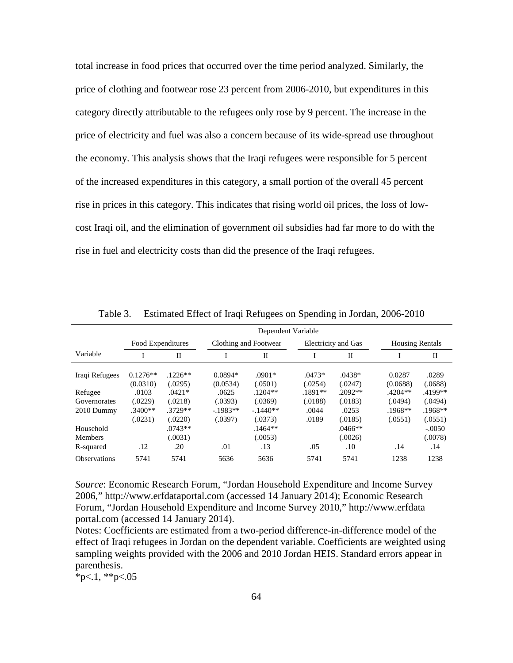total increase in food prices that occurred over the time period analyzed. Similarly, the price of clothing and footwear rose 23 percent from 2006-2010, but expenditures in this category directly attributable to the refugees only rose by 9 percent. The increase in the price of electricity and fuel was also a concern because of its wide-spread use throughout the economy. This analysis shows that the Iraqi refugees were responsible for 5 percent of the increased expenditures in this category, a small portion of the overall 45 percent rise in prices in this category. This indicates that rising world oil prices, the loss of lowcost Iraqi oil, and the elimination of government oil subsidies had far more to do with the rise in fuel and electricity costs than did the presence of the Iraqi refugees.

|                                          | Dependent Variable                       |                                             |                                          |                                              |                                        |                                          |                                              |                                              |
|------------------------------------------|------------------------------------------|---------------------------------------------|------------------------------------------|----------------------------------------------|----------------------------------------|------------------------------------------|----------------------------------------------|----------------------------------------------|
|                                          | Food Expenditures                        |                                             | Clothing and Footwear                    |                                              | Electricity and Gas                    |                                          | <b>Housing Rentals</b>                       |                                              |
| Variable                                 |                                          | П                                           |                                          | П                                            |                                        | П                                        |                                              | П                                            |
| Iraqi Refugees                           | $0.1276**$<br>(0.0310)                   | $.1226**$<br>(.0295)                        | $0.0894*$<br>(0.0534)                    | $.0901*$<br>(.0501)                          | $.0473*$<br>(.0254)                    | $.0438*$<br>(.0247)                      | 0.0287<br>(0.0688)                           | .0289<br>(.0688)                             |
| Refugee<br>Governorates<br>2010 Dummy    | .0103<br>(.0229)<br>$.3400**$<br>(.0231) | $.0421*$<br>(.0218)<br>$.3729**$<br>(.0220) | .0625<br>(.0393)<br>$-1983**$<br>(.0397) | $.1204**$<br>(.0369)<br>$-1440**$<br>(.0373) | $.1891**$<br>(.0188)<br>.0044<br>.0189 | $.2092**$<br>(.0183)<br>.0253<br>(.0185) | $.4204**$<br>(.0494)<br>$.1968**$<br>(.0551) | $.4199**$<br>(.0494)<br>$.1968**$<br>(.0551) |
| Household<br><b>Members</b><br>R-squared | .12                                      | $.0743**$<br>(.0031)<br>.20                 | .01                                      | $.1464**$<br>(.0053)<br>.13                  | .05                                    | $.0466**$<br>(.0026)<br>.10              | .14                                          | $-.0050$<br>(.0078)<br>.14                   |
| <b>Observations</b>                      | 5741                                     | 5741                                        | 5636                                     | 5636                                         | 5741                                   | 5741                                     | 1238                                         | 1238                                         |

Table 3. Estimated Effect of Iraqi Refugees on Spending in Jordan, 2006-2010

*Source*: Economic Research Forum, "Jordan Household Expenditure and Income Survey 2006," http://www.erfdataportal.com (accessed 14 January 2014); Economic Research Forum, "Jordan Household Expenditure and Income Survey 2010," http://www.erfdata portal.com (accessed 14 January 2014).

Notes: Coefficients are estimated from a two-period difference-in-difference model of the effect of Iraqi refugees in Jordan on the dependent variable. Coefficients are weighted using sampling weights provided with the 2006 and 2010 Jordan HEIS. Standard errors appear in parenthesis.

 $*p<1,*p<.05$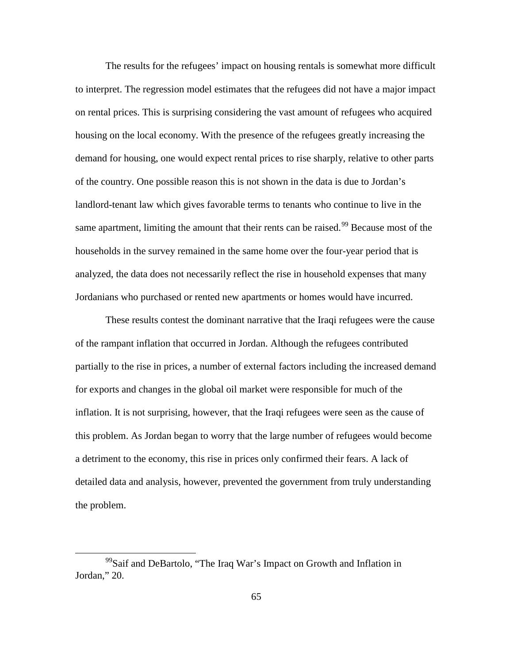The results for the refugees' impact on housing rentals is somewhat more difficult to interpret. The regression model estimates that the refugees did not have a major impact on rental prices. This is surprising considering the vast amount of refugees who acquired housing on the local economy. With the presence of the refugees greatly increasing the demand for housing, one would expect rental prices to rise sharply, relative to other parts of the country. One possible reason this is not shown in the data is due to Jordan's landlord-tenant law which gives favorable terms to tenants who continue to live in the same apartment, limiting the amount that their rents can be raised.<sup>[99](#page-74-0)</sup> Because most of the households in the survey remained in the same home over the four-year period that is analyzed, the data does not necessarily reflect the rise in household expenses that many Jordanians who purchased or rented new apartments or homes would have incurred.

These results contest the dominant narrative that the Iraqi refugees were the cause of the rampant inflation that occurred in Jordan. Although the refugees contributed partially to the rise in prices, a number of external factors including the increased demand for exports and changes in the global oil market were responsible for much of the inflation. It is not surprising, however, that the Iraqi refugees were seen as the cause of this problem. As Jordan began to worry that the large number of refugees would become a detriment to the economy, this rise in prices only confirmed their fears. A lack of detailed data and analysis, however, prevented the government from truly understanding the problem.

<span id="page-74-0"></span><sup>99</sup>Saif and DeBartolo, "The Iraq War's Impact on Growth and Inflation in Jordan," 20.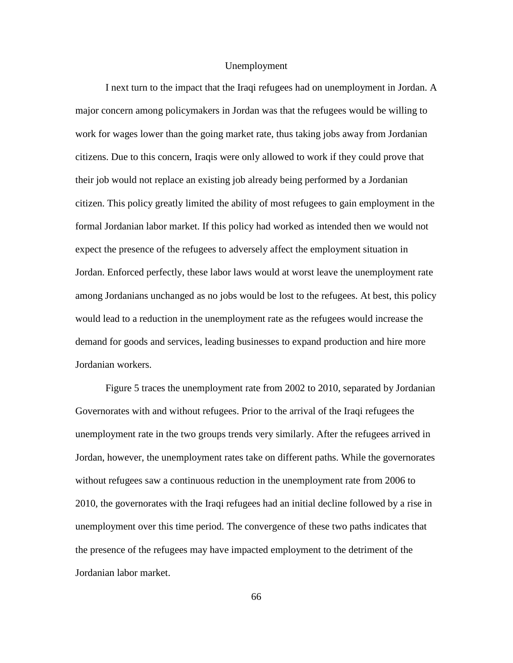## Unemployment

I next turn to the impact that the Iraqi refugees had on unemployment in Jordan. A major concern among policymakers in Jordan was that the refugees would be willing to work for wages lower than the going market rate, thus taking jobs away from Jordanian citizens. Due to this concern, Iraqis were only allowed to work if they could prove that their job would not replace an existing job already being performed by a Jordanian citizen. This policy greatly limited the ability of most refugees to gain employment in the formal Jordanian labor market. If this policy had worked as intended then we would not expect the presence of the refugees to adversely affect the employment situation in Jordan. Enforced perfectly, these labor laws would at worst leave the unemployment rate among Jordanians unchanged as no jobs would be lost to the refugees. At best, this policy would lead to a reduction in the unemployment rate as the refugees would increase the demand for goods and services, leading businesses to expand production and hire more Jordanian workers.

Figure 5 traces the unemployment rate from 2002 to 2010, separated by Jordanian Governorates with and without refugees. Prior to the arrival of the Iraqi refugees the unemployment rate in the two groups trends very similarly. After the refugees arrived in Jordan, however, the unemployment rates take on different paths. While the governorates without refugees saw a continuous reduction in the unemployment rate from 2006 to 2010, the governorates with the Iraqi refugees had an initial decline followed by a rise in unemployment over this time period. The convergence of these two paths indicates that the presence of the refugees may have impacted employment to the detriment of the Jordanian labor market.

66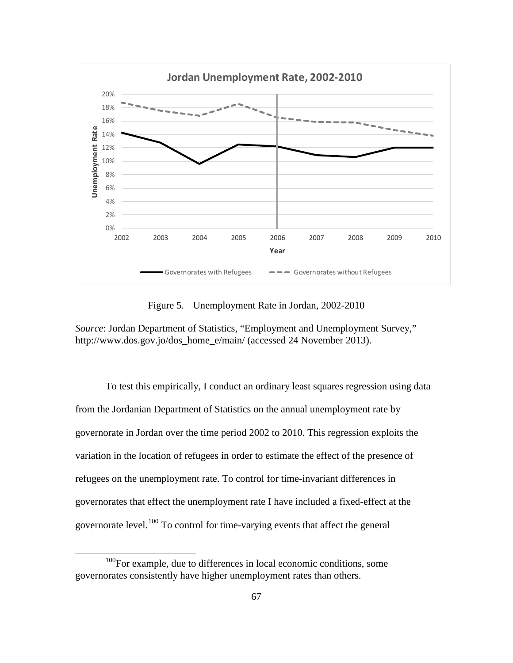

Figure 5. Unemployment Rate in Jordan, 2002-2010

*Source*: Jordan Department of Statistics, "Employment and Unemployment Survey," http://www.dos.gov.jo/dos\_home\_e/main/ (accessed 24 November 2013).

To test this empirically, I conduct an ordinary least squares regression using data from the Jordanian Department of Statistics on the annual unemployment rate by governorate in Jordan over the time period 2002 to 2010. This regression exploits the variation in the location of refugees in order to estimate the effect of the presence of refugees on the unemployment rate. To control for time-invariant differences in governorates that effect the unemployment rate I have included a fixed-effect at the governorate level.<sup>[100](#page-76-0)</sup> To control for time-varying events that affect the general

<span id="page-76-0"></span><sup>&</sup>lt;sup>100</sup>For example, due to differences in local economic conditions, some governorates consistently have higher unemployment rates than others.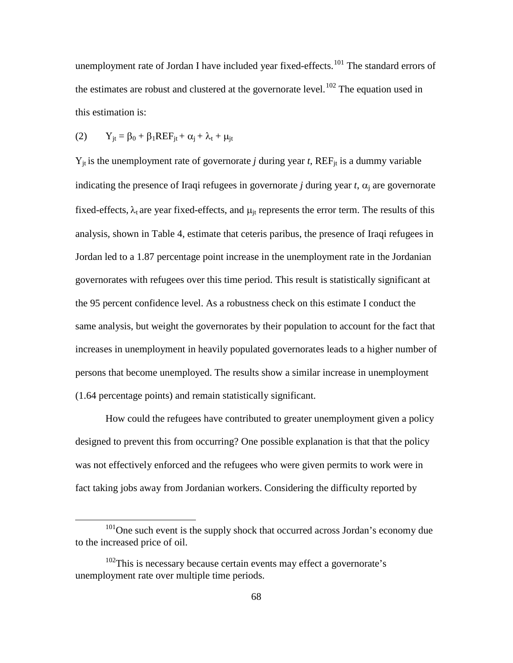unemployment rate of Jordan I have included year fixed-effects.<sup>[101](#page-77-0)</sup> The standard errors of the estimates are robust and clustered at the governorate level.<sup>[102](#page-77-1)</sup> The equation used in this estimation is:

$$
(2) \tY_{jt} = \beta_0 + \beta_1 REF_{jt} + \alpha_j + \lambda_t + \mu_{jt}
$$

 $\overline{a}$ 

 $Y_{it}$  is the unemployment rate of governorate *j* during year *t*,  $REF_{it}$  is a dummy variable indicating the presence of Iraqi refugees in governorate *j* during year *t*,  $\alpha_i$  are governorate fixed-effects,  $\lambda_t$  are year fixed-effects, and  $\mu_{it}$  represents the error term. The results of this analysis, shown in Table 4, estimate that ceteris paribus, the presence of Iraqi refugees in Jordan led to a 1.87 percentage point increase in the unemployment rate in the Jordanian governorates with refugees over this time period. This result is statistically significant at the 95 percent confidence level. As a robustness check on this estimate I conduct the same analysis, but weight the governorates by their population to account for the fact that increases in unemployment in heavily populated governorates leads to a higher number of persons that become unemployed. The results show a similar increase in unemployment (1.64 percentage points) and remain statistically significant.

How could the refugees have contributed to greater unemployment given a policy designed to prevent this from occurring? One possible explanation is that that the policy was not effectively enforced and the refugees who were given permits to work were in fact taking jobs away from Jordanian workers. Considering the difficulty reported by

<span id="page-77-0"></span><sup>&</sup>lt;sup>101</sup>One such event is the supply shock that occurred across Jordan's economy due to the increased price of oil.

<span id="page-77-1"></span> $102$ This is necessary because certain events may effect a governorate's unemployment rate over multiple time periods.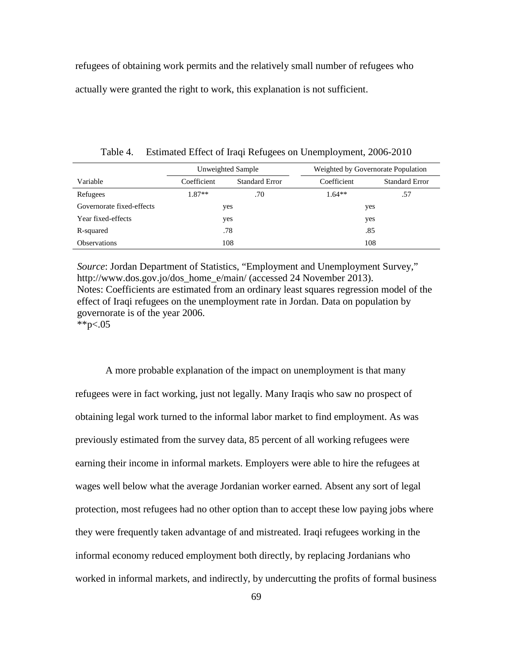refugees of obtaining work permits and the relatively small number of refugees who actually were granted the right to work, this explanation is not sufficient.

|                           |             | Unweighted Sample     | Weighted by Governorate Population |                       |  |
|---------------------------|-------------|-----------------------|------------------------------------|-----------------------|--|
| Variable                  | Coefficient | <b>Standard Error</b> | Coefficient                        | <b>Standard Error</b> |  |
| Refugees                  | 1.87**      | .70                   | $1.64**$                           | .57                   |  |
| Governorate fixed-effects | yes         |                       | yes                                |                       |  |
| Year fixed-effects        |             | yes                   | yes                                |                       |  |
| R-squared                 | .78         |                       | .85                                |                       |  |
| <b>Observations</b>       | 108         |                       | 108                                |                       |  |

Table 4. Estimated Effect of Iraqi Refugees on Unemployment, 2006-2010

*Source*: Jordan Department of Statistics, "Employment and Unemployment Survey," http://www.dos.gov.jo/dos\_home\_e/main/ (accessed 24 November 2013). Notes: Coefficients are estimated from an ordinary least squares regression model of the effect of Iraqi refugees on the unemployment rate in Jordan. Data on population by governorate is of the year 2006. \*\*p<.05

A more probable explanation of the impact on unemployment is that many refugees were in fact working, just not legally. Many Iraqis who saw no prospect of obtaining legal work turned to the informal labor market to find employment. As was previously estimated from the survey data, 85 percent of all working refugees were earning their income in informal markets. Employers were able to hire the refugees at wages well below what the average Jordanian worker earned. Absent any sort of legal protection, most refugees had no other option than to accept these low paying jobs where they were frequently taken advantage of and mistreated. Iraqi refugees working in the informal economy reduced employment both directly, by replacing Jordanians who worked in informal markets, and indirectly, by undercutting the profits of formal business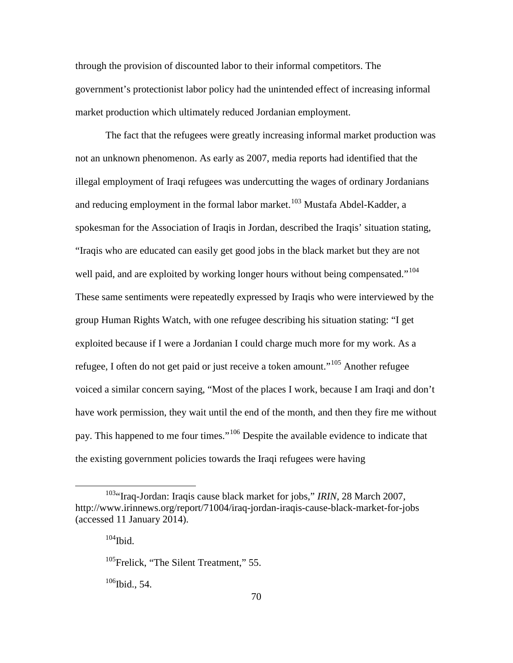through the provision of discounted labor to their informal competitors. The government's protectionist labor policy had the unintended effect of increasing informal market production which ultimately reduced Jordanian employment.

The fact that the refugees were greatly increasing informal market production was not an unknown phenomenon. As early as 2007, media reports had identified that the illegal employment of Iraqi refugees was undercutting the wages of ordinary Jordanians and reducing employment in the formal labor market.<sup>[103](#page-79-0)</sup> Mustafa Abdel-Kadder, a spokesman for the Association of Iraqis in Jordan, described the Iraqis' situation stating, "Iraqis who are educated can easily get good jobs in the black market but they are not well paid, and are exploited by working longer hours without being compensated."<sup>[104](#page-79-1)</sup> These same sentiments were repeatedly expressed by Iraqis who were interviewed by the group Human Rights Watch, with one refugee describing his situation stating: "I get exploited because if I were a Jordanian I could charge much more for my work. As a refugee, I often do not get paid or just receive a token amount."[105](#page-79-2) Another refugee voiced a similar concern saying, "Most of the places I work, because I am Iraqi and don't have work permission, they wait until the end of the month, and then they fire me without pay. This happened to me four times."<sup>[106](#page-79-3)</sup> Despite the available evidence to indicate that the existing government policies towards the Iraqi refugees were having

 $\overline{a}$ 

<span id="page-79-3"></span> $106$ Ibid., 54.

<span id="page-79-2"></span><span id="page-79-1"></span><span id="page-79-0"></span><sup>&</sup>lt;sup>103</sup>"Iraq-Jordan: Iraqis cause black market for jobs," IRIN, 28 March 2007, http://www.irinnews.org/report/71004/iraq-jordan-iraqis-cause-black-market-for-jobs (accessed 11 January 2014).

 $104$ Ibid.

<sup>&</sup>lt;sup>105</sup>Frelick, "The Silent Treatment," 55.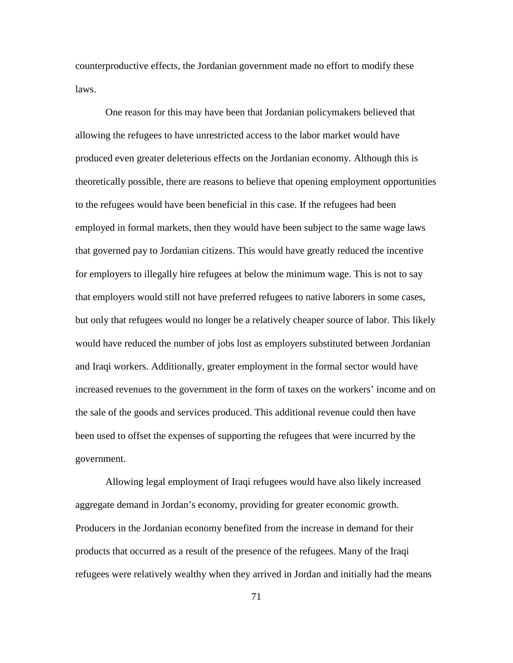counterproductive effects, the Jordanian government made no effort to modify these laws.

One reason for this may have been that Jordanian policymakers believed that allowing the refugees to have unrestricted access to the labor market would have produced even greater deleterious effects on the Jordanian economy. Although this is theoretically possible, there are reasons to believe that opening employment opportunities to the refugees would have been beneficial in this case. If the refugees had been employed in formal markets, then they would have been subject to the same wage laws that governed pay to Jordanian citizens. This would have greatly reduced the incentive for employers to illegally hire refugees at below the minimum wage. This is not to say that employers would still not have preferred refugees to native laborers in some cases, but only that refugees would no longer be a relatively cheaper source of labor. This likely would have reduced the number of jobs lost as employers substituted between Jordanian and Iraqi workers. Additionally, greater employment in the formal sector would have increased revenues to the government in the form of taxes on the workers' income and on the sale of the goods and services produced. This additional revenue could then have been used to offset the expenses of supporting the refugees that were incurred by the government.

Allowing legal employment of Iraqi refugees would have also likely increased aggregate demand in Jordan's economy, providing for greater economic growth. Producers in the Jordanian economy benefited from the increase in demand for their products that occurred as a result of the presence of the refugees. Many of the Iraqi refugees were relatively wealthy when they arrived in Jordan and initially had the means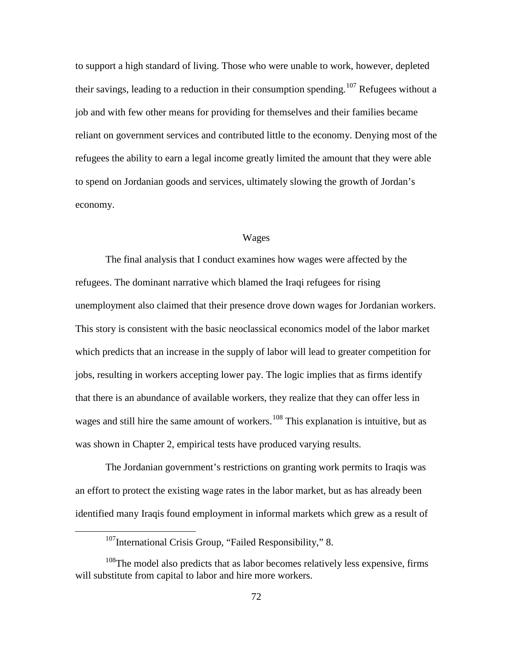to support a high standard of living. Those who were unable to work, however, depleted their savings, leading to a reduction in their consumption spending.<sup>[107](#page-81-0)</sup> Refugees without a job and with few other means for providing for themselves and their families became reliant on government services and contributed little to the economy. Denying most of the refugees the ability to earn a legal income greatly limited the amount that they were able to spend on Jordanian goods and services, ultimately slowing the growth of Jordan's economy.

# Wages

The final analysis that I conduct examines how wages were affected by the refugees. The dominant narrative which blamed the Iraqi refugees for rising unemployment also claimed that their presence drove down wages for Jordanian workers. This story is consistent with the basic neoclassical economics model of the labor market which predicts that an increase in the supply of labor will lead to greater competition for jobs, resulting in workers accepting lower pay. The logic implies that as firms identify that there is an abundance of available workers, they realize that they can offer less in wages and still hire the same amount of workers.<sup>[108](#page-81-1)</sup> This explanation is intuitive, but as was shown in Chapter 2, empirical tests have produced varying results.

The Jordanian government's restrictions on granting work permits to Iraqis was an effort to protect the existing wage rates in the labor market, but as has already been identified many Iraqis found employment in informal markets which grew as a result of

<sup>&</sup>lt;sup>107</sup>International Crisis Group, "Failed Responsibility," 8.

<span id="page-81-1"></span><span id="page-81-0"></span><sup>&</sup>lt;sup>108</sup>The model also predicts that as labor becomes relatively less expensive, firms will substitute from capital to labor and hire more workers.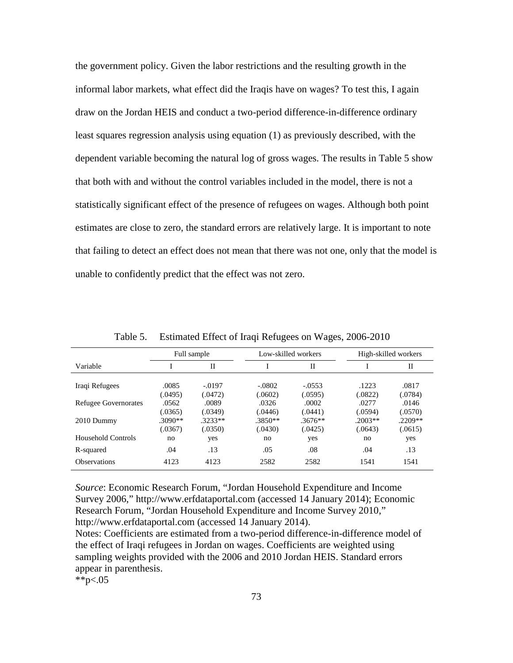the government policy. Given the labor restrictions and the resulting growth in the informal labor markets, what effect did the Iraqis have on wages? To test this, I again draw on the Jordan HEIS and conduct a two-period difference-in-difference ordinary least squares regression analysis using equation (1) as previously described, with the dependent variable becoming the natural log of gross wages. The results in Table 5 show that both with and without the control variables included in the model, there is not a statistically significant effect of the presence of refugees on wages. Although both point estimates are close to zero, the standard errors are relatively large. It is important to note that failing to detect an effect does not mean that there was not one, only that the model is unable to confidently predict that the effect was not zero.

|                             | Full sample                 |                             | Low-skilled workers         |                             | High-skilled workers        |                             |
|-----------------------------|-----------------------------|-----------------------------|-----------------------------|-----------------------------|-----------------------------|-----------------------------|
| Variable                    |                             | H                           |                             | $_{\rm II}$                 |                             | H                           |
| Iraqi Refugees              | .0085                       | $-.0197$                    | $-.0802$                    | $-.0553$                    | .1223                       | .0817                       |
| <b>Refugee Governorates</b> | (.0495)<br>.0562<br>(.0365) | (.0472)<br>.0089<br>(.0349) | (.0602)<br>.0326<br>(.0446) | (.0595)<br>.0002<br>(.0441) | (.0822)<br>.0277<br>(.0594) | (.0784)<br>.0146<br>(.0570) |
| 2010 Dummy                  | $.3090**$<br>(.0367)        | $.3233**$<br>(.0350)        | $.3850**$<br>(.0430)        | $.3676**$<br>(.0425)        | $.2003**$<br>(.0643)        | $.2209**$<br>(.0615)        |
| Household Controls          | no                          | yes                         | no                          | yes                         | no                          | yes                         |
| R-squared                   | .04                         | .13                         | .05                         | .08                         | .04                         | .13                         |
| <b>Observations</b>         | 4123                        | 4123                        | 2582                        | 2582                        | 1541                        | 1541                        |

Table 5. Estimated Effect of Iraqi Refugees on Wages, 2006-2010

*Source*: Economic Research Forum, "Jordan Household Expenditure and Income Survey 2006," http://www.erfdataportal.com (accessed 14 January 2014); Economic Research Forum, "Jordan Household Expenditure and Income Survey 2010," http://www.erfdataportal.com (accessed 14 January 2014).

Notes: Coefficients are estimated from a two-period difference-in-difference model of the effect of Iraqi refugees in Jordan on wages. Coefficients are weighted using sampling weights provided with the 2006 and 2010 Jordan HEIS. Standard errors appear in parenthesis.

\*\*p<.05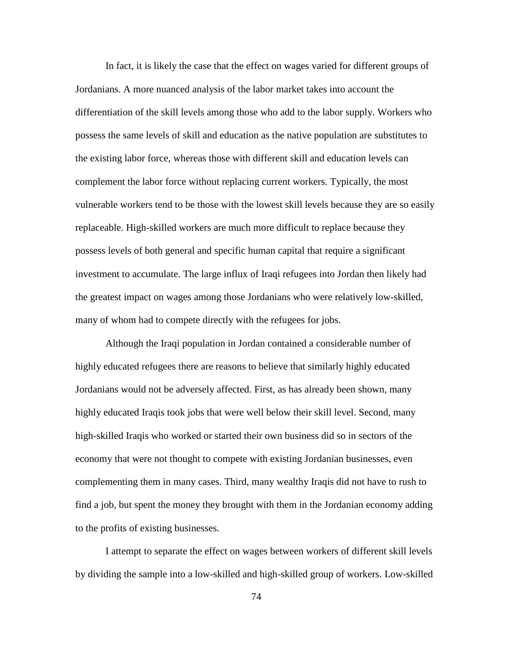In fact, it is likely the case that the effect on wages varied for different groups of Jordanians. A more nuanced analysis of the labor market takes into account the differentiation of the skill levels among those who add to the labor supply. Workers who possess the same levels of skill and education as the native population are substitutes to the existing labor force, whereas those with different skill and education levels can complement the labor force without replacing current workers. Typically, the most vulnerable workers tend to be those with the lowest skill levels because they are so easily replaceable. High-skilled workers are much more difficult to replace because they possess levels of both general and specific human capital that require a significant investment to accumulate. The large influx of Iraqi refugees into Jordan then likely had the greatest impact on wages among those Jordanians who were relatively low-skilled, many of whom had to compete directly with the refugees for jobs.

Although the Iraqi population in Jordan contained a considerable number of highly educated refugees there are reasons to believe that similarly highly educated Jordanians would not be adversely affected. First, as has already been shown, many highly educated Iraqis took jobs that were well below their skill level. Second, many high-skilled Iraqis who worked or started their own business did so in sectors of the economy that were not thought to compete with existing Jordanian businesses, even complementing them in many cases. Third, many wealthy Iraqis did not have to rush to find a job, but spent the money they brought with them in the Jordanian economy adding to the profits of existing businesses.

I attempt to separate the effect on wages between workers of different skill levels by dividing the sample into a low-skilled and high-skilled group of workers. Low-skilled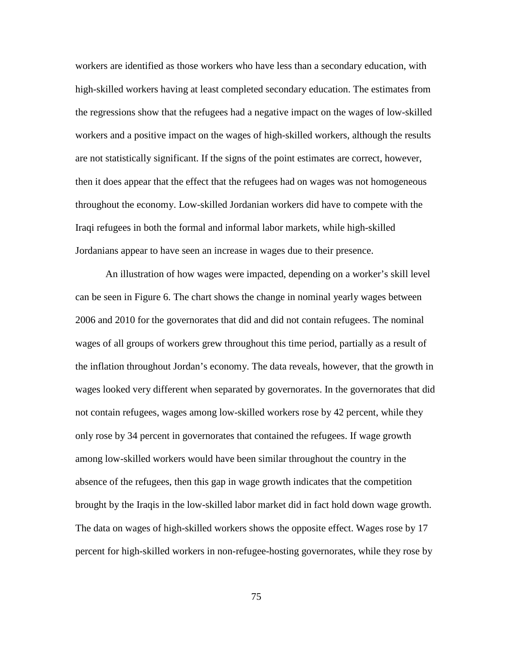workers are identified as those workers who have less than a secondary education, with high-skilled workers having at least completed secondary education. The estimates from the regressions show that the refugees had a negative impact on the wages of low-skilled workers and a positive impact on the wages of high-skilled workers, although the results are not statistically significant. If the signs of the point estimates are correct, however, then it does appear that the effect that the refugees had on wages was not homogeneous throughout the economy. Low-skilled Jordanian workers did have to compete with the Iraqi refugees in both the formal and informal labor markets, while high-skilled Jordanians appear to have seen an increase in wages due to their presence.

An illustration of how wages were impacted, depending on a worker's skill level can be seen in Figure 6. The chart shows the change in nominal yearly wages between 2006 and 2010 for the governorates that did and did not contain refugees. The nominal wages of all groups of workers grew throughout this time period, partially as a result of the inflation throughout Jordan's economy. The data reveals, however, that the growth in wages looked very different when separated by governorates. In the governorates that did not contain refugees, wages among low-skilled workers rose by 42 percent, while they only rose by 34 percent in governorates that contained the refugees. If wage growth among low-skilled workers would have been similar throughout the country in the absence of the refugees, then this gap in wage growth indicates that the competition brought by the Iraqis in the low-skilled labor market did in fact hold down wage growth. The data on wages of high-skilled workers shows the opposite effect. Wages rose by 17 percent for high-skilled workers in non-refugee-hosting governorates, while they rose by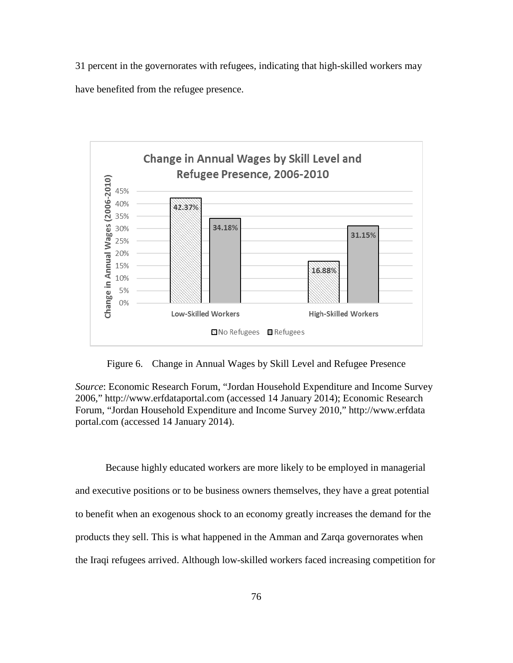31 percent in the governorates with refugees, indicating that high-skilled workers may have benefited from the refugee presence.



Figure 6. Change in Annual Wages by Skill Level and Refugee Presence

*Source*: Economic Research Forum, "Jordan Household Expenditure and Income Survey 2006," http://www.erfdataportal.com (accessed 14 January 2014); Economic Research Forum, "Jordan Household Expenditure and Income Survey 2010," http://www.erfdata portal.com (accessed 14 January 2014).

Because highly educated workers are more likely to be employed in managerial and executive positions or to be business owners themselves, they have a great potential to benefit when an exogenous shock to an economy greatly increases the demand for the products they sell. This is what happened in the Amman and Zarqa governorates when the Iraqi refugees arrived. Although low-skilled workers faced increasing competition for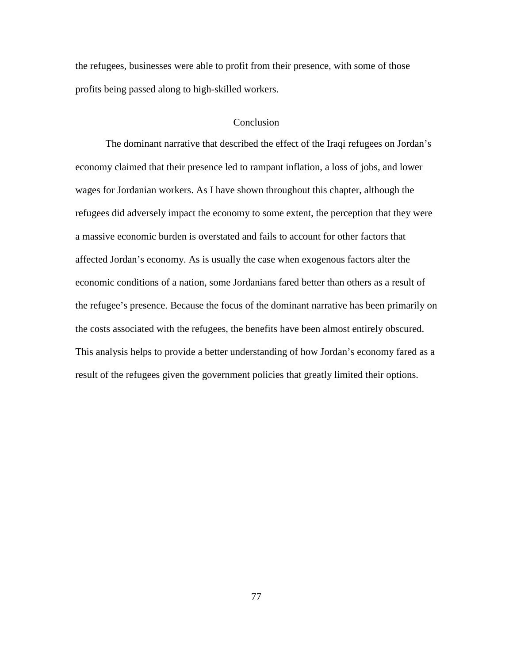the refugees, businesses were able to profit from their presence, with some of those profits being passed along to high-skilled workers.

#### Conclusion

The dominant narrative that described the effect of the Iraqi refugees on Jordan's economy claimed that their presence led to rampant inflation, a loss of jobs, and lower wages for Jordanian workers. As I have shown throughout this chapter, although the refugees did adversely impact the economy to some extent, the perception that they were a massive economic burden is overstated and fails to account for other factors that affected Jordan's economy. As is usually the case when exogenous factors alter the economic conditions of a nation, some Jordanians fared better than others as a result of the refugee's presence. Because the focus of the dominant narrative has been primarily on the costs associated with the refugees, the benefits have been almost entirely obscured. This analysis helps to provide a better understanding of how Jordan's economy fared as a result of the refugees given the government policies that greatly limited their options.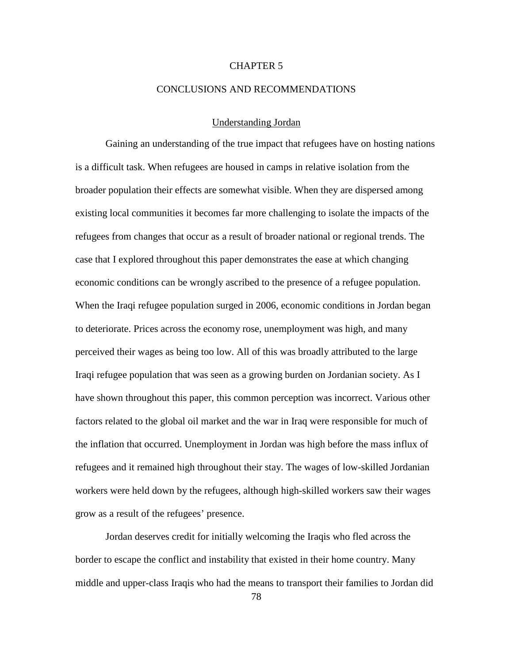# CHAPTER 5

### CONCLUSIONS AND RECOMMENDATIONS

# Understanding Jordan

Gaining an understanding of the true impact that refugees have on hosting nations is a difficult task. When refugees are housed in camps in relative isolation from the broader population their effects are somewhat visible. When they are dispersed among existing local communities it becomes far more challenging to isolate the impacts of the refugees from changes that occur as a result of broader national or regional trends. The case that I explored throughout this paper demonstrates the ease at which changing economic conditions can be wrongly ascribed to the presence of a refugee population. When the Iraqi refugee population surged in 2006, economic conditions in Jordan began to deteriorate. Prices across the economy rose, unemployment was high, and many perceived their wages as being too low. All of this was broadly attributed to the large Iraqi refugee population that was seen as a growing burden on Jordanian society. As I have shown throughout this paper, this common perception was incorrect. Various other factors related to the global oil market and the war in Iraq were responsible for much of the inflation that occurred. Unemployment in Jordan was high before the mass influx of refugees and it remained high throughout their stay. The wages of low-skilled Jordanian workers were held down by the refugees, although high-skilled workers saw their wages grow as a result of the refugees' presence.

Jordan deserves credit for initially welcoming the Iraqis who fled across the border to escape the conflict and instability that existed in their home country. Many middle and upper-class Iraqis who had the means to transport their families to Jordan did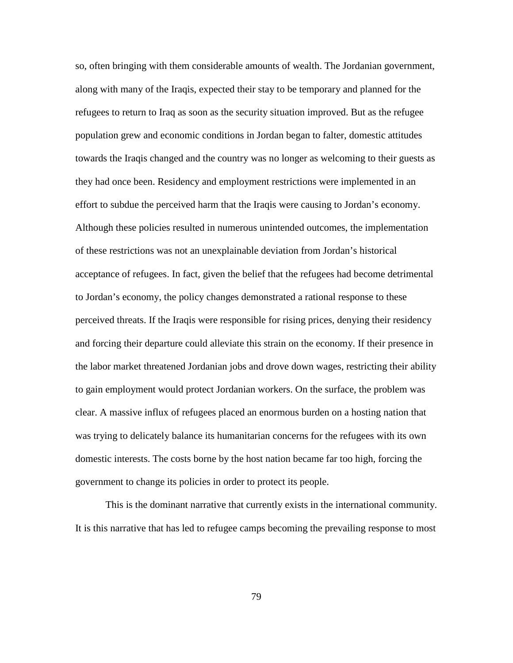so, often bringing with them considerable amounts of wealth. The Jordanian government, along with many of the Iraqis, expected their stay to be temporary and planned for the refugees to return to Iraq as soon as the security situation improved. But as the refugee population grew and economic conditions in Jordan began to falter, domestic attitudes towards the Iraqis changed and the country was no longer as welcoming to their guests as they had once been. Residency and employment restrictions were implemented in an effort to subdue the perceived harm that the Iraqis were causing to Jordan's economy. Although these policies resulted in numerous unintended outcomes, the implementation of these restrictions was not an unexplainable deviation from Jordan's historical acceptance of refugees. In fact, given the belief that the refugees had become detrimental to Jordan's economy, the policy changes demonstrated a rational response to these perceived threats. If the Iraqis were responsible for rising prices, denying their residency and forcing their departure could alleviate this strain on the economy. If their presence in the labor market threatened Jordanian jobs and drove down wages, restricting their ability to gain employment would protect Jordanian workers. On the surface, the problem was clear. A massive influx of refugees placed an enormous burden on a hosting nation that was trying to delicately balance its humanitarian concerns for the refugees with its own domestic interests. The costs borne by the host nation became far too high, forcing the government to change its policies in order to protect its people.

This is the dominant narrative that currently exists in the international community. It is this narrative that has led to refugee camps becoming the prevailing response to most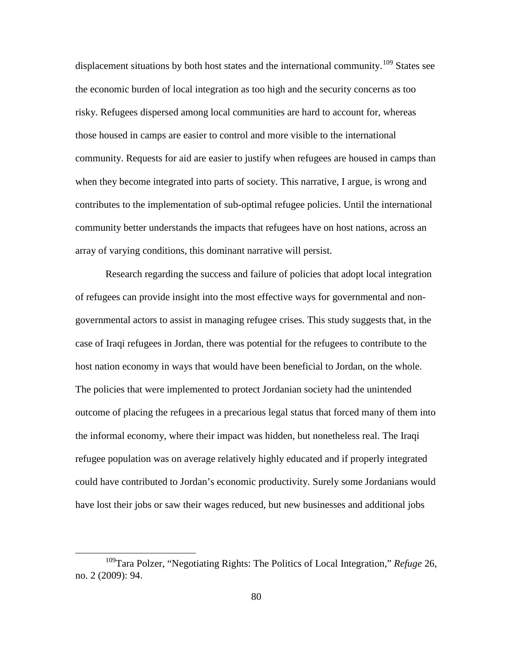displacement situations by both host states and the international community.<sup>[109](#page-89-0)</sup> States see the economic burden of local integration as too high and the security concerns as too risky. Refugees dispersed among local communities are hard to account for, whereas those housed in camps are easier to control and more visible to the international community. Requests for aid are easier to justify when refugees are housed in camps than when they become integrated into parts of society. This narrative, I argue, is wrong and contributes to the implementation of sub-optimal refugee policies. Until the international community better understands the impacts that refugees have on host nations, across an array of varying conditions, this dominant narrative will persist.

Research regarding the success and failure of policies that adopt local integration of refugees can provide insight into the most effective ways for governmental and nongovernmental actors to assist in managing refugee crises. This study suggests that, in the case of Iraqi refugees in Jordan, there was potential for the refugees to contribute to the host nation economy in ways that would have been beneficial to Jordan, on the whole. The policies that were implemented to protect Jordanian society had the unintended outcome of placing the refugees in a precarious legal status that forced many of them into the informal economy, where their impact was hidden, but nonetheless real. The Iraqi refugee population was on average relatively highly educated and if properly integrated could have contributed to Jordan's economic productivity. Surely some Jordanians would have lost their jobs or saw their wages reduced, but new businesses and additional jobs

<span id="page-89-0"></span><sup>109</sup>Tara Polzer, "Negotiating Rights: The Politics of Local Integration," *Refuge* 26, no. 2 (2009): 94.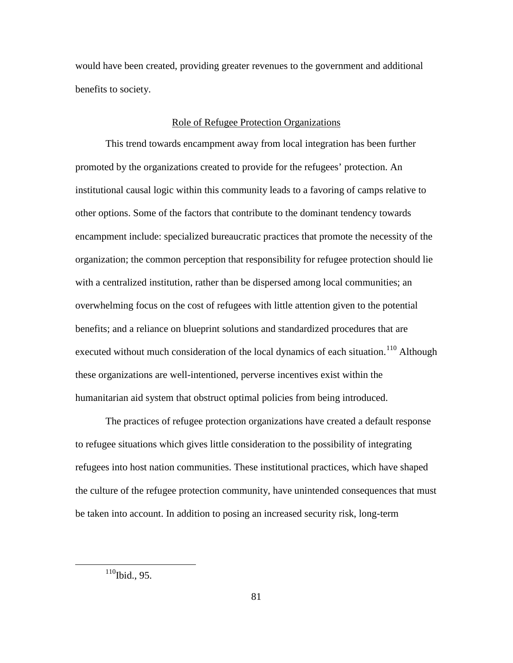would have been created, providing greater revenues to the government and additional benefits to society.

## Role of Refugee Protection Organizations

This trend towards encampment away from local integration has been further promoted by the organizations created to provide for the refugees' protection. An institutional causal logic within this community leads to a favoring of camps relative to other options. Some of the factors that contribute to the dominant tendency towards encampment include: specialized bureaucratic practices that promote the necessity of the organization; the common perception that responsibility for refugee protection should lie with a centralized institution, rather than be dispersed among local communities; an overwhelming focus on the cost of refugees with little attention given to the potential benefits; and a reliance on blueprint solutions and standardized procedures that are executed without much consideration of the local dynamics of each situation.<sup>[110](#page-90-0)</sup> Although these organizations are well-intentioned, perverse incentives exist within the humanitarian aid system that obstruct optimal policies from being introduced.

The practices of refugee protection organizations have created a default response to refugee situations which gives little consideration to the possibility of integrating refugees into host nation communities. These institutional practices, which have shaped the culture of the refugee protection community, have unintended consequences that must be taken into account. In addition to posing an increased security risk, long-term

<span id="page-90-0"></span> $110$ Ibid., 95.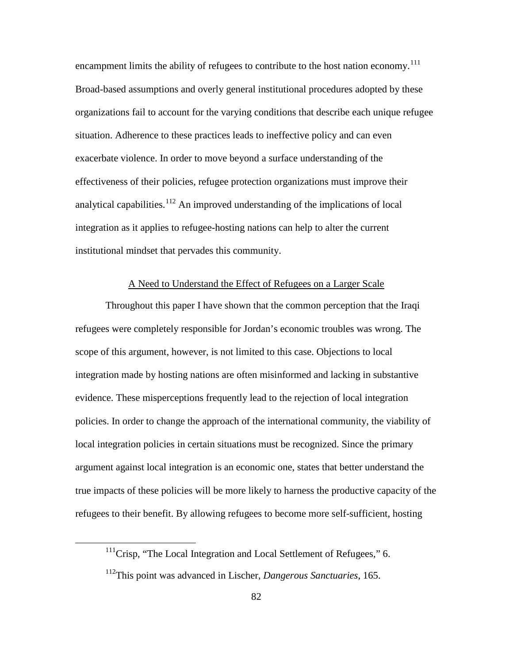encampment limits the ability of refugees to contribute to the host nation economy.<sup>[111](#page-91-0)</sup> Broad-based assumptions and overly general institutional procedures adopted by these organizations fail to account for the varying conditions that describe each unique refugee situation. Adherence to these practices leads to ineffective policy and can even exacerbate violence. In order to move beyond a surface understanding of the effectiveness of their policies, refugee protection organizations must improve their analytical capabilities.<sup>[112](#page-91-1)</sup> An improved understanding of the implications of local integration as it applies to refugee-hosting nations can help to alter the current institutional mindset that pervades this community.

# A Need to Understand the Effect of Refugees on a Larger Scale

Throughout this paper I have shown that the common perception that the Iraqi refugees were completely responsible for Jordan's economic troubles was wrong. The scope of this argument, however, is not limited to this case. Objections to local integration made by hosting nations are often misinformed and lacking in substantive evidence. These misperceptions frequently lead to the rejection of local integration policies. In order to change the approach of the international community, the viability of local integration policies in certain situations must be recognized. Since the primary argument against local integration is an economic one, states that better understand the true impacts of these policies will be more likely to harness the productive capacity of the refugees to their benefit. By allowing refugees to become more self-sufficient, hosting

<span id="page-91-0"></span> $111$ Crisp, "The Local Integration and Local Settlement of Refugees," 6.

<span id="page-91-1"></span><sup>112</sup>This point was advanced in Lischer, *Dangerous Sanctuaries*, 165.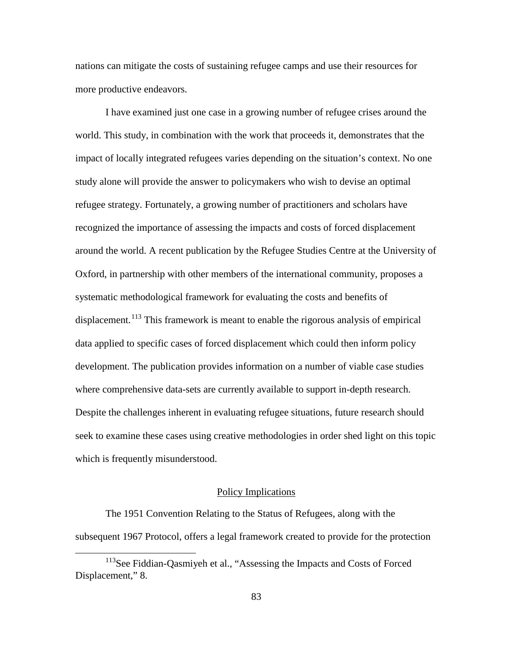nations can mitigate the costs of sustaining refugee camps and use their resources for more productive endeavors.

I have examined just one case in a growing number of refugee crises around the world. This study, in combination with the work that proceeds it, demonstrates that the impact of locally integrated refugees varies depending on the situation's context. No one study alone will provide the answer to policymakers who wish to devise an optimal refugee strategy. Fortunately, a growing number of practitioners and scholars have recognized the importance of assessing the impacts and costs of forced displacement around the world. A recent publication by the Refugee Studies Centre at the University of Oxford, in partnership with other members of the international community, proposes a systematic methodological framework for evaluating the costs and benefits of displacement.<sup>[113](#page-92-0)</sup> This framework is meant to enable the rigorous analysis of empirical data applied to specific cases of forced displacement which could then inform policy development. The publication provides information on a number of viable case studies where comprehensive data-sets are currently available to support in-depth research. Despite the challenges inherent in evaluating refugee situations, future research should seek to examine these cases using creative methodologies in order shed light on this topic which is frequently misunderstood.

# Policy Implications

The 1951 Convention Relating to the Status of Refugees, along with the subsequent 1967 Protocol, offers a legal framework created to provide for the protection

<span id="page-92-0"></span><sup>&</sup>lt;sup>113</sup>See Fiddian-Oasmiyeh et al., "Assessing the Impacts and Costs of Forced Displacement," 8.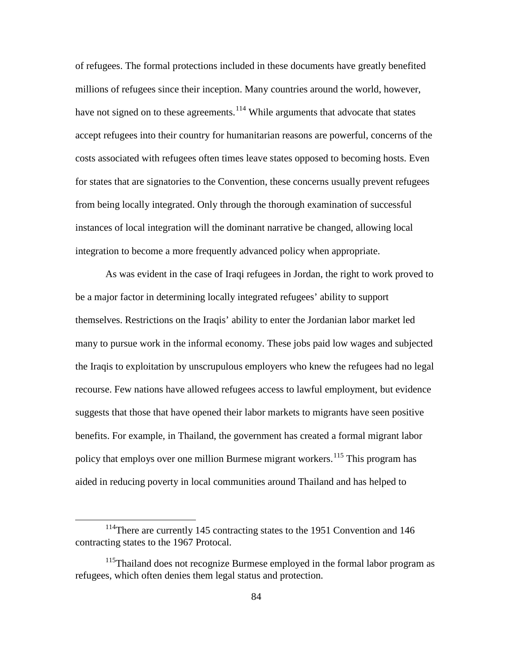of refugees. The formal protections included in these documents have greatly benefited millions of refugees since their inception. Many countries around the world, however, have not signed on to these agreements.<sup>[114](#page-93-0)</sup> While arguments that advocate that states accept refugees into their country for humanitarian reasons are powerful, concerns of the costs associated with refugees often times leave states opposed to becoming hosts. Even for states that are signatories to the Convention, these concerns usually prevent refugees from being locally integrated. Only through the thorough examination of successful instances of local integration will the dominant narrative be changed, allowing local integration to become a more frequently advanced policy when appropriate.

As was evident in the case of Iraqi refugees in Jordan, the right to work proved to be a major factor in determining locally integrated refugees' ability to support themselves. Restrictions on the Iraqis' ability to enter the Jordanian labor market led many to pursue work in the informal economy. These jobs paid low wages and subjected the Iraqis to exploitation by unscrupulous employers who knew the refugees had no legal recourse. Few nations have allowed refugees access to lawful employment, but evidence suggests that those that have opened their labor markets to migrants have seen positive benefits. For example, in Thailand, the government has created a formal migrant labor policy that employs over one million Burmese migrant workers.<sup>[115](#page-93-1)</sup> This program has aided in reducing poverty in local communities around Thailand and has helped to

<span id="page-93-0"></span><sup>&</sup>lt;sup>114</sup>There are currently 145 contracting states to the 1951 Convention and 146 contracting states to the 1967 Protocal.

<span id="page-93-1"></span><sup>&</sup>lt;sup>115</sup>Thailand does not recognize Burmese employed in the formal labor program as refugees, which often denies them legal status and protection.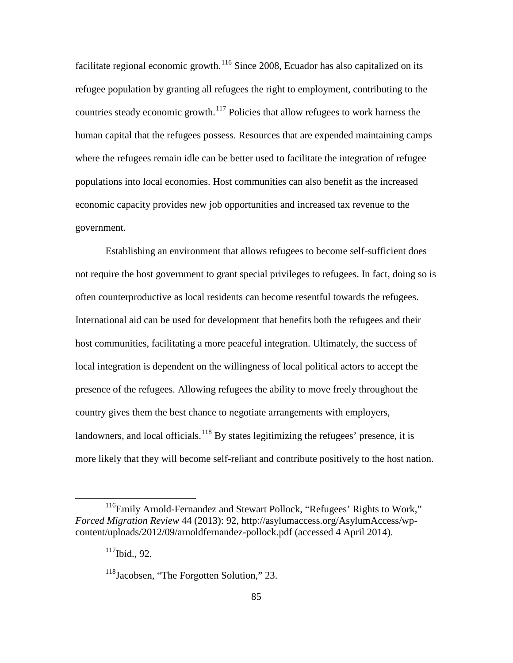facilitate regional economic growth.<sup>[116](#page-94-0)</sup> Since 2008, Ecuador has also capitalized on its refugee population by granting all refugees the right to employment, contributing to the countries steady economic growth.<sup>[117](#page-94-1)</sup> Policies that allow refugees to work harness the human capital that the refugees possess. Resources that are expended maintaining camps where the refugees remain idle can be better used to facilitate the integration of refugee populations into local economies. Host communities can also benefit as the increased economic capacity provides new job opportunities and increased tax revenue to the government.

Establishing an environment that allows refugees to become self-sufficient does not require the host government to grant special privileges to refugees. In fact, doing so is often counterproductive as local residents can become resentful towards the refugees. International aid can be used for development that benefits both the refugees and their host communities, facilitating a more peaceful integration. Ultimately, the success of local integration is dependent on the willingness of local political actors to accept the presence of the refugees. Allowing refugees the ability to move freely throughout the country gives them the best chance to negotiate arrangements with employers, landowners, and local officials.<sup>[118](#page-94-2)</sup> By states legitimizing the refugees' presence, it is more likely that they will become self-reliant and contribute positively to the host nation.

<span id="page-94-2"></span><span id="page-94-1"></span><span id="page-94-0"></span><sup>&</sup>lt;sup>116</sup>Emily Arnold-Fernandez and Stewart Pollock, "Refugees' Rights to Work," *Forced Migration Review* 44 (2013): 92, http://asylumaccess.org/AsylumAccess/wpcontent/uploads/2012/09/arnoldfernandez-pollock.pdf (accessed 4 April 2014).

<sup>117</sup>Ibid., 92.

<sup>&</sup>lt;sup>118</sup>Jacobsen, "The Forgotten Solution," 23.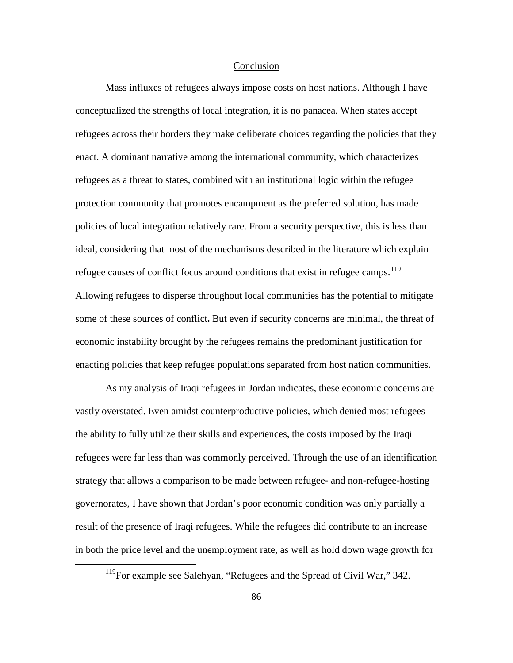### **Conclusion**

Mass influxes of refugees always impose costs on host nations. Although I have conceptualized the strengths of local integration, it is no panacea. When states accept refugees across their borders they make deliberate choices regarding the policies that they enact. A dominant narrative among the international community, which characterizes refugees as a threat to states, combined with an institutional logic within the refugee protection community that promotes encampment as the preferred solution, has made policies of local integration relatively rare. From a security perspective, this is less than ideal, considering that most of the mechanisms described in the literature which explain refugee causes of conflict focus around conditions that exist in refugee camps.<sup>[119](#page-95-0)</sup> Allowing refugees to disperse throughout local communities has the potential to mitigate some of these sources of conflict**.** But even if security concerns are minimal, the threat of economic instability brought by the refugees remains the predominant justification for enacting policies that keep refugee populations separated from host nation communities.

As my analysis of Iraqi refugees in Jordan indicates, these economic concerns are vastly overstated. Even amidst counterproductive policies, which denied most refugees the ability to fully utilize their skills and experiences, the costs imposed by the Iraqi refugees were far less than was commonly perceived. Through the use of an identification strategy that allows a comparison to be made between refugee- and non-refugee-hosting governorates, I have shown that Jordan's poor economic condition was only partially a result of the presence of Iraqi refugees. While the refugees did contribute to an increase in both the price level and the unemployment rate, as well as hold down wage growth for

<span id="page-95-0"></span><sup>&</sup>lt;sup>119</sup>For example see Salehyan, "Refugees and the Spread of Civil War," 342.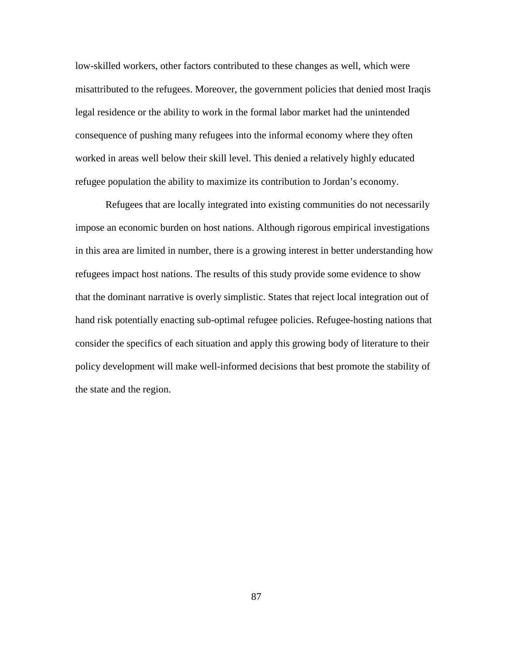low-skilled workers, other factors contributed to these changes as well, which were misattributed to the refugees. Moreover, the government policies that denied most Iraqis legal residence or the ability to work in the formal labor market had the unintended consequence of pushing many refugees into the informal economy where they often worked in areas well below their skill level. This denied a relatively highly educated refugee population the ability to maximize its contribution to Jordan's economy.

Refugees that are locally integrated into existing communities do not necessarily impose an economic burden on host nations. Although rigorous empirical investigations in this area are limited in number, there is a growing interest in better understanding how refugees impact host nations. The results of this study provide some evidence to show that the dominant narrative is overly simplistic. States that reject local integration out of hand risk potentially enacting sub-optimal refugee policies. Refugee-hosting nations that consider the specifics of each situation and apply this growing body of literature to their policy development will make well-informed decisions that best promote the stability of the state and the region.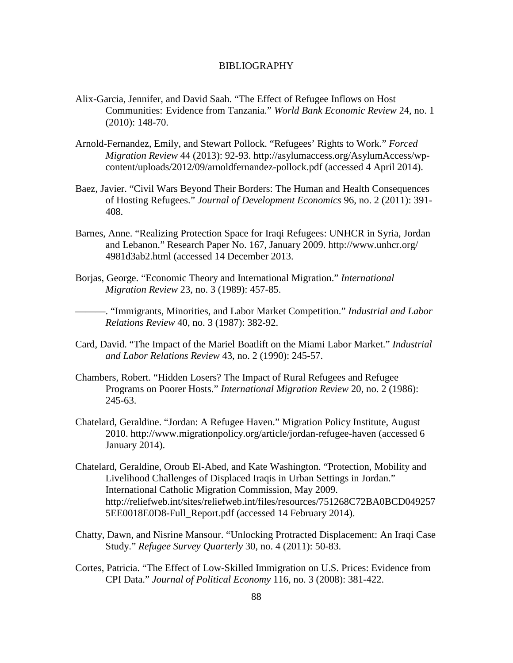#### BIBLIOGRAPHY

- Alix-Garcia, Jennifer, and David Saah. "The Effect of Refugee Inflows on Host Communities: Evidence from Tanzania." *World Bank Economic Review* 24, no. 1 (2010): 148-70.
- Arnold-Fernandez, Emily, and Stewart Pollock. "Refugees' Rights to Work." *Forced Migration Review* 44 (2013): 92-93. http://asylumaccess.org/AsylumAccess/wpcontent/uploads/2012/09/arnoldfernandez-pollock.pdf (accessed 4 April 2014).
- Baez, Javier. "Civil Wars Beyond Their Borders: The Human and Health Consequences of Hosting Refugees." *Journal of Development Economics* 96, no. 2 (2011): 391- 408.
- Barnes, Anne. "Realizing Protection Space for Iraqi Refugees: UNHCR in Syria, Jordan and Lebanon." Research Paper No. 167, January 2009. http://www.unhcr.org/ 4981d3ab2.html (accessed 14 December 2013.
- Borjas, George. "Economic Theory and International Migration." *International Migration Review* 23, no. 3 (1989): 457-85.

———. "Immigrants, Minorities, and Labor Market Competition." *Industrial and Labor Relations Review* 40, no. 3 (1987): 382-92.

- Card, David. "The Impact of the Mariel Boatlift on the Miami Labor Market." *Industrial and Labor Relations Review* 43, no. 2 (1990): 245-57.
- Chambers, Robert. "Hidden Losers? The Impact of Rural Refugees and Refugee Programs on Poorer Hosts." *International Migration Review* 20, no. 2 (1986): 245-63.
- Chatelard, Geraldine. "Jordan: A Refugee Haven." Migration Policy Institute, August 2010. http://www.migrationpolicy.org/article/jordan-refugee-haven (accessed 6 January 2014).
- Chatelard, Geraldine, Oroub El-Abed, and Kate Washington. "Protection, Mobility and Livelihood Challenges of Displaced Iraqis in Urban Settings in Jordan." International Catholic Migration Commission, May 2009. http://reliefweb.int/sites/reliefweb.int/files/resources/751268C72BA0BCD049257 5EE0018E0D8-Full\_Report.pdf (accessed 14 February 2014).
- Chatty, Dawn, and Nisrine Mansour. "Unlocking Protracted Displacement: An Iraqi Case Study." *Refugee Survey Quarterly* 30, no. 4 (2011): 50-83.
- Cortes, Patricia. "The Effect of Low-Skilled Immigration on U.S. Prices: Evidence from CPI Data." *Journal of Political Economy* 116, no. 3 (2008): 381-422.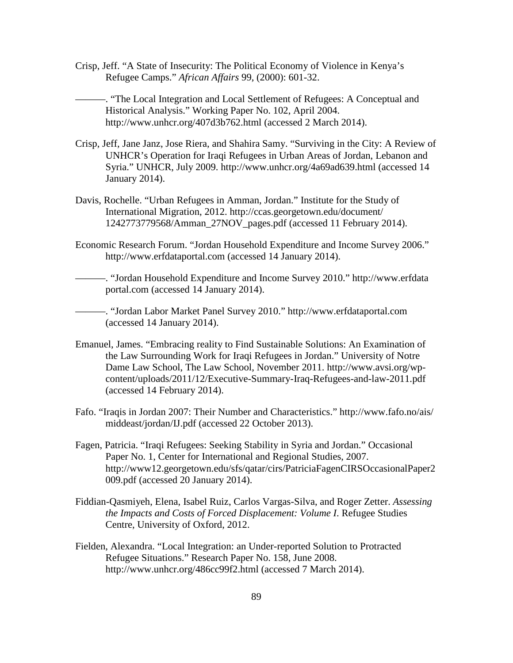Crisp, Jeff. "A State of Insecurity: The Political Economy of Violence in Kenya's Refugee Camps." *African Affairs* 99, (2000): 601-32.

———. "The Local Integration and Local Settlement of Refugees: A Conceptual and Historical Analysis." Working Paper No. 102, April 2004. http://www.unhcr.org/407d3b762.html (accessed 2 March 2014).

- Crisp, Jeff, Jane Janz, Jose Riera, and Shahira Samy. "Surviving in the City: A Review of UNHCR's Operation for Iraqi Refugees in Urban Areas of Jordan, Lebanon and Syria." UNHCR, July 2009. http://www.unhcr.org/4a69ad639.html (accessed 14 January 2014).
- Davis, Rochelle. "Urban Refugees in Amman, Jordan." Institute for the Study of International Migration, 2012. http://ccas.georgetown.edu/document/ 1242773779568/Amman\_27NOV\_pages.pdf (accessed 11 February 2014).
- Economic Research Forum. "Jordan Household Expenditure and Income Survey 2006." http://www.erfdataportal.com (accessed 14 January 2014).

———. "Jordan Household Expenditure and Income Survey 2010." http://www.erfdata portal.com (accessed 14 January 2014).

———. "Jordan Labor Market Panel Survey 2010." http://www.erfdataportal.com (accessed 14 January 2014).

- Emanuel, James. "Embracing reality to Find Sustainable Solutions: An Examination of the Law Surrounding Work for Iraqi Refugees in Jordan." University of Notre Dame Law School, The Law School, November 2011. http://www.avsi.org/wpcontent/uploads/2011/12/Executive-Summary-Iraq-Refugees-and-law-2011.pdf (accessed 14 February 2014).
- Fafo. "Iraqis in Jordan 2007: Their Number and Characteristics." http://www.fafo.no/ais/ middeast/jordan/IJ.pdf (accessed 22 October 2013).
- Fagen, Patricia. "Iraqi Refugees: Seeking Stability in Syria and Jordan." Occasional Paper No. 1, Center for International and Regional Studies, 2007. http://www12.georgetown.edu/sfs/qatar/cirs/PatriciaFagenCIRSOccasionalPaper2 009.pdf (accessed 20 January 2014).
- Fiddian-Qasmiyeh, Elena, Isabel Ruiz, Carlos Vargas-Silva, and Roger Zetter. *Assessing the Impacts and Costs of Forced Displacement: Volume I*. Refugee Studies Centre, University of Oxford, 2012.
- Fielden, Alexandra. "Local Integration: an Under-reported Solution to Protracted Refugee Situations." Research Paper No. 158, June 2008. http://www.unhcr.org/486cc99f2.html (accessed 7 March 2014).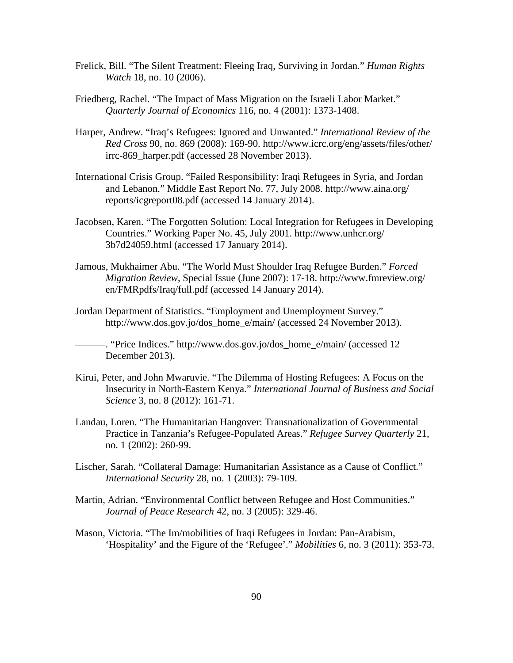- Frelick, Bill. "The Silent Treatment: Fleeing Iraq, Surviving in Jordan." *Human Rights Watch* 18, no. 10 (2006).
- Friedberg, Rachel. "The Impact of Mass Migration on the Israeli Labor Market." *Quarterly Journal of Economics* 116, no. 4 (2001): 1373-1408.
- Harper, Andrew. "Iraq's Refugees: Ignored and Unwanted." *International Review of the Red Cross* 90, no. 869 (2008): 169-90. http://www.icrc.org/eng/assets/files/other/ irrc-869\_harper.pdf (accessed 28 November 2013).
- International Crisis Group. "Failed Responsibility: Iraqi Refugees in Syria, and Jordan and Lebanon." Middle East Report No. 77, July 2008. http://www.aina.org/ reports/icgreport08.pdf (accessed 14 January 2014).
- Jacobsen, Karen. "The Forgotten Solution: Local Integration for Refugees in Developing Countries." Working Paper No. 45, July 2001. http://www.unhcr.org/ 3b7d24059.html (accessed 17 January 2014).
- Jamous, Mukhaimer Abu. "The World Must Shoulder Iraq Refugee Burden." *Forced Migration Review*, Special Issue (June 2007): 17-18. http://www.fmreview.org/ en/FMRpdfs/Iraq/full.pdf (accessed 14 January 2014).
- Jordan Department of Statistics. "Employment and Unemployment Survey." http://www.dos.gov.jo/dos\_home\_e/main/ (accessed 24 November 2013).
	- ———. "Price Indices." http://www.dos.gov.jo/dos\_home\_e/main/ (accessed 12 December 2013).
- Kirui, Peter, and John Mwaruvie. "The Dilemma of Hosting Refugees: A Focus on the Insecurity in North-Eastern Kenya." *International Journal of Business and Social Science* 3, no. 8 (2012): 161-71.
- Landau, Loren. "The Humanitarian Hangover: Transnationalization of Governmental Practice in Tanzania's Refugee-Populated Areas." *Refugee Survey Quarterly* 21, no. 1 (2002): 260-99.
- Lischer, Sarah. "Collateral Damage: Humanitarian Assistance as a Cause of Conflict." *International Security* 28, no. 1 (2003): 79-109.
- Martin, Adrian. "Environmental Conflict between Refugee and Host Communities." *Journal of Peace Research* 42, no. 3 (2005): 329-46.
- Mason, Victoria. "The Im/mobilities of Iraqi Refugees in Jordan: Pan-Arabism, 'Hospitality' and the Figure of the 'Refugee'." *Mobilities* 6, no. 3 (2011): 353-73.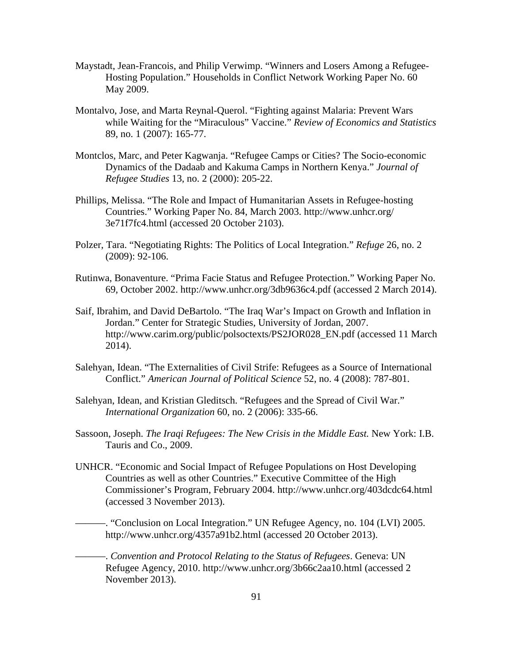- Maystadt, Jean-Francois, and Philip Verwimp. "Winners and Losers Among a Refugee-Hosting Population." Households in Conflict Network Working Paper No. 60 May 2009.
- Montalvo, Jose, and Marta Reynal-Querol. "Fighting against Malaria: Prevent Wars while Waiting for the "Miraculous" Vaccine." *Review of Economics and Statistics* 89, no. 1 (2007): 165-77.
- Montclos, Marc, and Peter Kagwanja. "Refugee Camps or Cities? The Socio-economic Dynamics of the Dadaab and Kakuma Camps in Northern Kenya." *Journal of Refugee Studies* 13, no. 2 (2000): 205-22.
- Phillips, Melissa. "The Role and Impact of Humanitarian Assets in Refugee-hosting Countries." Working Paper No. 84, March 2003. http://www.unhcr.org/ 3e71f7fc4.html (accessed 20 October 2103).
- Polzer, Tara. "Negotiating Rights: The Politics of Local Integration." *Refuge* 26, no. 2 (2009): 92-106.
- Rutinwa, Bonaventure. "Prima Facie Status and Refugee Protection." Working Paper No. 69, October 2002. http://www.unhcr.org/3db9636c4.pdf (accessed 2 March 2014).
- Saif, Ibrahim, and David DeBartolo. "The Iraq War's Impact on Growth and Inflation in Jordan." Center for Strategic Studies, University of Jordan, 2007. http://www.carim.org/public/polsoctexts/PS2JOR028\_EN.pdf (accessed 11 March 2014).
- Salehyan, Idean. "The Externalities of Civil Strife: Refugees as a Source of International Conflict." *American Journal of Political Science* 52, no. 4 (2008): 787-801.
- Salehyan, Idean, and Kristian Gleditsch. "Refugees and the Spread of Civil War." *International Organization* 60, no. 2 (2006): 335-66.
- Sassoon, Joseph. *The Iraqi Refugees: The New Crisis in the Middle East.* New York: I.B. Tauris and Co., 2009.
- UNHCR. "Economic and Social Impact of Refugee Populations on Host Developing Countries as well as other Countries." Executive Committee of the High Commissioner's Program, February 2004. http://www.unhcr.org/403dcdc64.html (accessed 3 November 2013).

———. "Conclusion on Local Integration." UN Refugee Agency, no. 104 (LVI) 2005. http://www.unhcr.org/4357a91b2.html (accessed 20 October 2013).

———. *Convention and Protocol Relating to the Status of Refugees*. Geneva: UN Refugee Agency, 2010. http://www.unhcr.org/3b66c2aa10.html (accessed 2 November 2013).